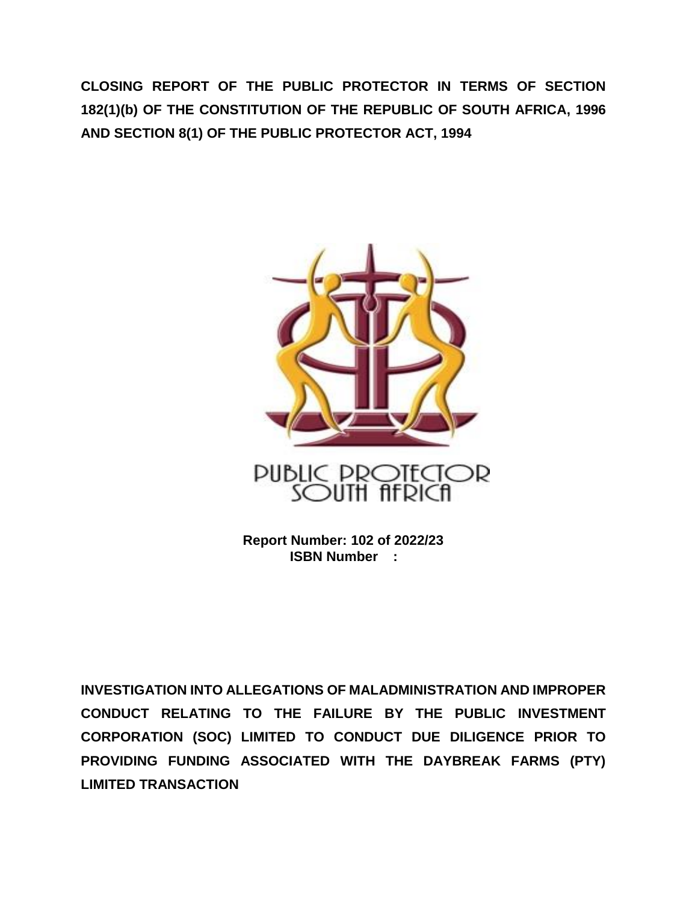**CLOSING REPORT OF THE PUBLIC PROTECTOR IN TERMS OF SECTION 182(1)(b) OF THE CONSTITUTION OF THE REPUBLIC OF SOUTH AFRICA, 1996 AND SECTION 8(1) OF THE PUBLIC PROTECTOR ACT, 1994**



**Report Number: 102 of 2022/23 ISBN Number :**

**INVESTIGATION INTO ALLEGATIONS OF MALADMINISTRATION AND IMPROPER CONDUCT RELATING TO THE FAILURE BY THE PUBLIC INVESTMENT CORPORATION (SOC) LIMITED TO CONDUCT DUE DILIGENCE PRIOR TO PROVIDING FUNDING ASSOCIATED WITH THE DAYBREAK FARMS (PTY) LIMITED TRANSACTION**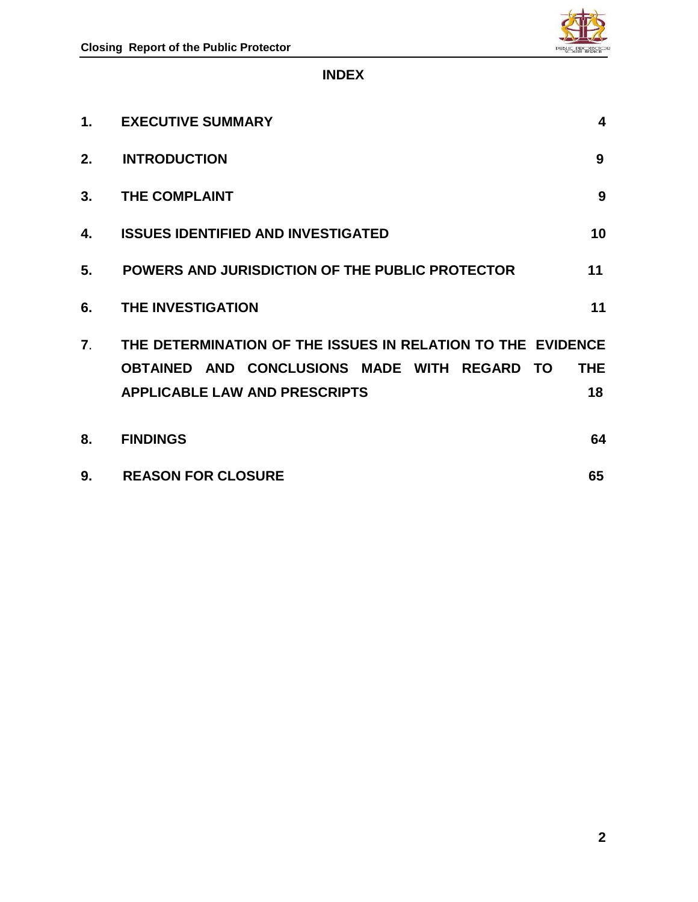

## **INDEX**

| 1.               | <b>EXECUTIVE SUMMARY</b>                                                                                                                                   | 4                             |
|------------------|------------------------------------------------------------------------------------------------------------------------------------------------------------|-------------------------------|
| 2.               | <b>INTRODUCTION</b>                                                                                                                                        | 9                             |
| 3.               | THE COMPLAINT                                                                                                                                              | 9                             |
| 4.               | <b>ISSUES IDENTIFIED AND INVESTIGATED</b>                                                                                                                  | 10                            |
| 5.               | POWERS AND JURISDICTION OF THE PUBLIC PROTECTOR                                                                                                            | 11                            |
| 6.               | <b>THE INVESTIGATION</b>                                                                                                                                   | 11                            |
| $\overline{7}$ . | THE DETERMINATION OF THE ISSUES IN RELATION TO THE EVIDENCE<br>AND CONCLUSIONS MADE WITH REGARD<br><b>OBTAINED</b><br><b>APPLICABLE LAW AND PRESCRIPTS</b> | <b>THE</b><br><b>TO</b><br>18 |
| 8.               | <b>FINDINGS</b>                                                                                                                                            | 64                            |
| 9.               | <b>REASON FOR CLOSURE</b>                                                                                                                                  | 65                            |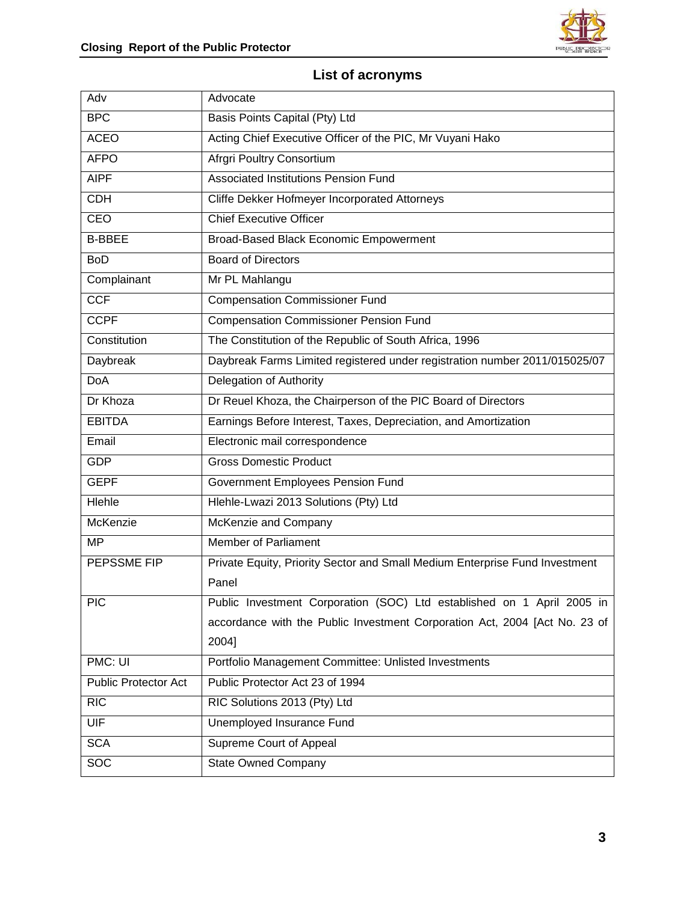

# **List of acronyms**

| Adv                  | Advocate                                                                    |
|----------------------|-----------------------------------------------------------------------------|
| <b>BPC</b>           | Basis Points Capital (Pty) Ltd                                              |
| <b>ACEO</b>          | Acting Chief Executive Officer of the PIC, Mr Vuyani Hako                   |
| <b>AFPO</b>          | Afrgri Poultry Consortium                                                   |
| <b>AIPF</b>          | Associated Institutions Pension Fund                                        |
| <b>CDH</b>           | Cliffe Dekker Hofmeyer Incorporated Attorneys                               |
| CEO                  | <b>Chief Executive Officer</b>                                              |
| <b>B-BBEE</b>        | Broad-Based Black Economic Empowerment                                      |
| <b>BoD</b>           | <b>Board of Directors</b>                                                   |
| Complainant          | Mr PL Mahlangu                                                              |
| <b>CCF</b>           | <b>Compensation Commissioner Fund</b>                                       |
| <b>CCPF</b>          | <b>Compensation Commissioner Pension Fund</b>                               |
| Constitution         | The Constitution of the Republic of South Africa, 1996                      |
| Daybreak             | Daybreak Farms Limited registered under registration number 2011/015025/07  |
| <b>DoA</b>           | Delegation of Authority                                                     |
| Dr Khoza             | Dr Reuel Khoza, the Chairperson of the PIC Board of Directors               |
| <b>EBITDA</b>        | Earnings Before Interest, Taxes, Depreciation, and Amortization             |
| Email                | Electronic mail correspondence                                              |
| <b>GDP</b>           | <b>Gross Domestic Product</b>                                               |
| <b>GEPF</b>          | Government Employees Pension Fund                                           |
| Hlehle               | Hlehle-Lwazi 2013 Solutions (Pty) Ltd                                       |
| McKenzie             | McKenzie and Company                                                        |
| MP                   | Member of Parliament                                                        |
| PEPSSME FIP          | Private Equity, Priority Sector and Small Medium Enterprise Fund Investment |
|                      | Panel                                                                       |
| PIC                  | Public Investment Corporation (SOC) Ltd established on 1 April 2005 in      |
|                      | accordance with the Public Investment Corporation Act, 2004 [Act No. 23 of  |
|                      | 2004]                                                                       |
| PMC: UI              | Portfolio Management Committee: Unlisted Investments                        |
| Public Protector Act | Public Protector Act 23 of 1994                                             |
| <b>RIC</b>           | RIC Solutions 2013 (Pty) Ltd                                                |
| <b>UIF</b>           | Unemployed Insurance Fund                                                   |
| <b>SCA</b>           | Supreme Court of Appeal                                                     |
| SOC                  | <b>State Owned Company</b>                                                  |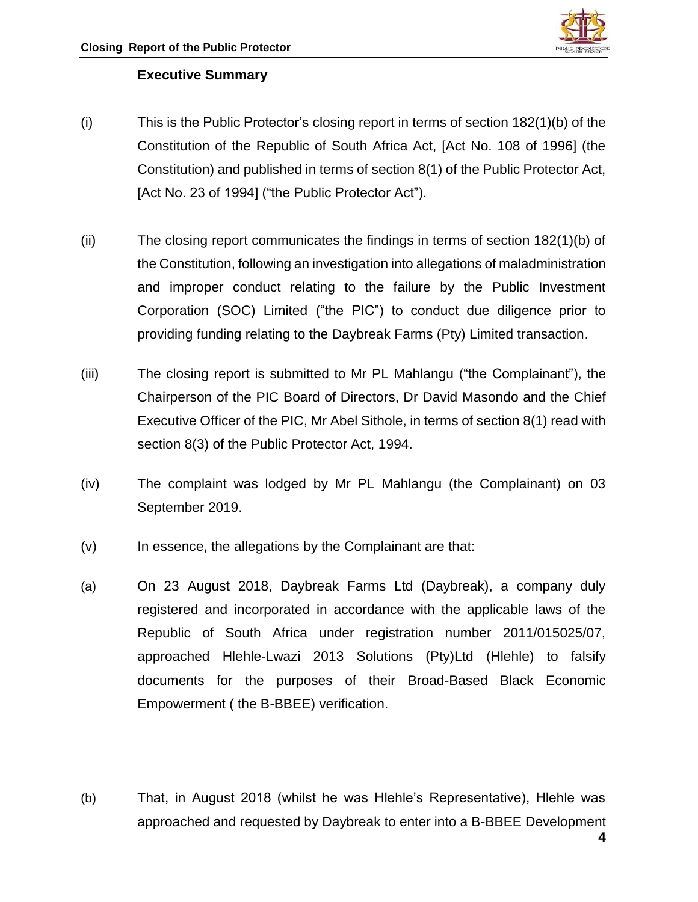

## **Executive Summary**

- (i) This is the Public Protector's closing report in terms of section 182(1)(b) of the Constitution of the Republic of South Africa Act, [Act No. 108 of 1996] (the Constitution) and published in terms of section 8(1) of the Public Protector Act, [Act No. 23 of 1994] ("the Public Protector Act").
- (ii) The closing report communicates the findings in terms of section 182(1)(b) of the Constitution, following an investigation into allegations of maladministration and improper conduct relating to the failure by the Public Investment Corporation (SOC) Limited ("the PIC") to conduct due diligence prior to providing funding relating to the Daybreak Farms (Pty) Limited transaction.
- (iii) The closing report is submitted to Mr PL Mahlangu ("the Complainant"), the Chairperson of the PIC Board of Directors, Dr David Masondo and the Chief Executive Officer of the PIC, Mr Abel Sithole, in terms of section 8(1) read with section 8(3) of the Public Protector Act, 1994.
- (iv) The complaint was lodged by Mr PL Mahlangu (the Complainant) on 03 September 2019.
- (v) In essence, the allegations by the Complainant are that:
- (a) On 23 August 2018, Daybreak Farms Ltd (Daybreak), a company duly registered and incorporated in accordance with the applicable laws of the Republic of South Africa under registration number 2011/015025/07, approached Hlehle-Lwazi 2013 Solutions (Pty)Ltd (Hlehle) to falsify documents for the purposes of their Broad-Based Black Economic Empowerment ( the B-BBEE) verification.
- (b) That, in August 2018 (whilst he was Hlehle's Representative), Hlehle was approached and requested by Daybreak to enter into a B-BBEE Development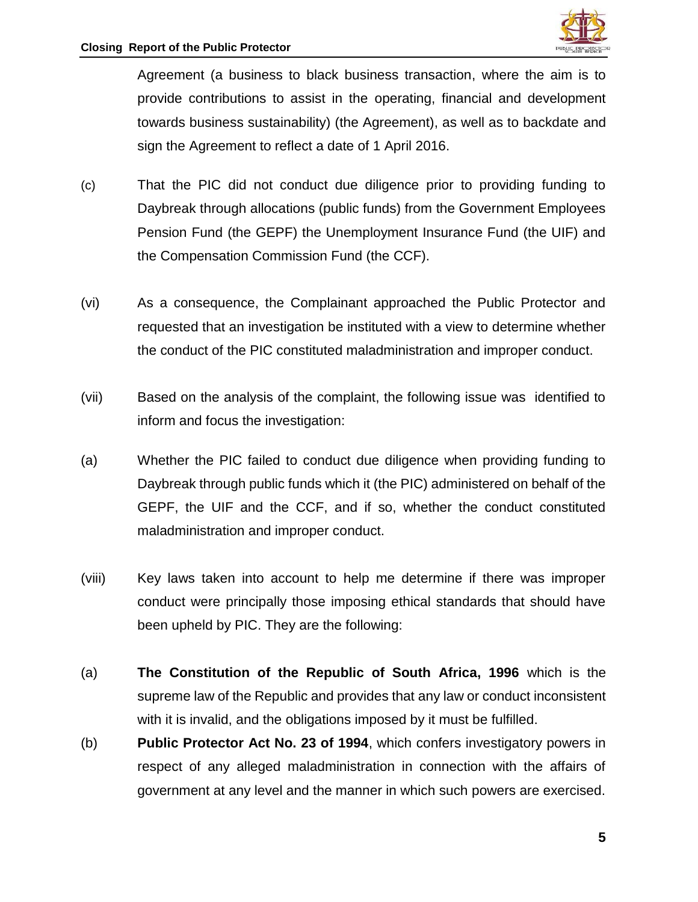

Agreement (a business to black business transaction, where the aim is to provide contributions to assist in the operating, financial and development towards business sustainability) (the Agreement), as well as to backdate and sign the Agreement to reflect a date of 1 April 2016.

- (c) That the PIC did not conduct due diligence prior to providing funding to Daybreak through allocations (public funds) from the Government Employees Pension Fund (the GEPF) the Unemployment Insurance Fund (the UIF) and the Compensation Commission Fund (the CCF).
- (vi) As a consequence, the Complainant approached the Public Protector and requested that an investigation be instituted with a view to determine whether the conduct of the PIC constituted maladministration and improper conduct.
- (vii) Based on the analysis of the complaint, the following issue was identified to inform and focus the investigation:
- (a) Whether the PIC failed to conduct due diligence when providing funding to Daybreak through public funds which it (the PIC) administered on behalf of the GEPF, the UIF and the CCF, and if so, whether the conduct constituted maladministration and improper conduct.
- (viii) Key laws taken into account to help me determine if there was improper conduct were principally those imposing ethical standards that should have been upheld by PIC. They are the following:
- (a) **The Constitution of the Republic of South Africa, 1996** which is the supreme law of the Republic and provides that any law or conduct inconsistent with it is invalid, and the obligations imposed by it must be fulfilled.
- (b) **Public Protector Act No. 23 of 1994**, which confers investigatory powers in respect of any alleged maladministration in connection with the affairs of government at any level and the manner in which such powers are exercised.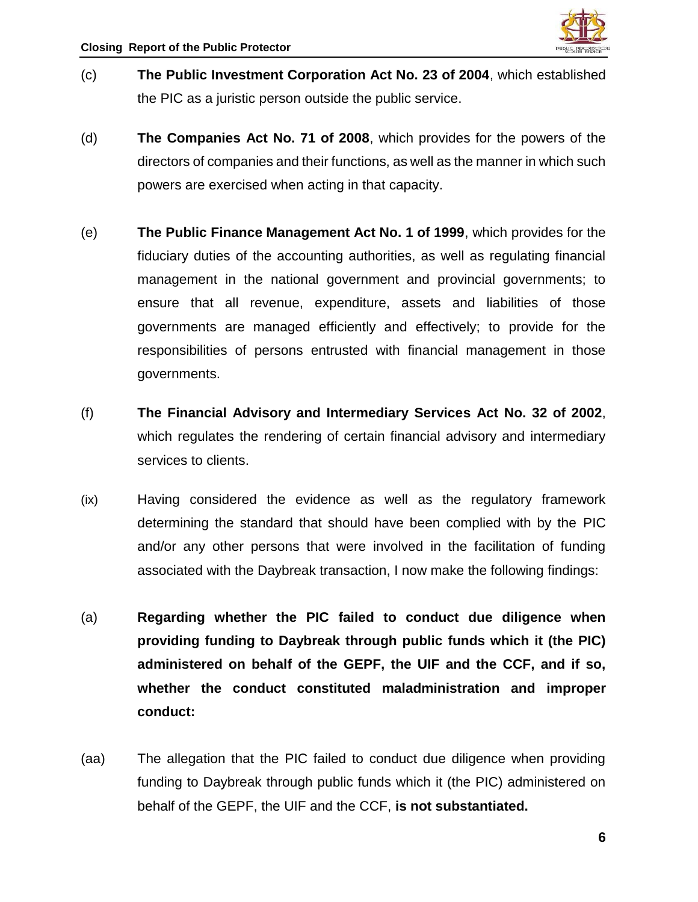

- (c) **The Public Investment Corporation Act No. 23 of 2004**, which established the PIC as a juristic person outside the public service.
- (d) **The Companies Act No. 71 of 2008**, which provides for the powers of the directors of companies and their functions, as well as the manner in which such powers are exercised when acting in that capacity.
- (e) **The Public Finance Management Act No. 1 of 1999**, which provides for the fiduciary duties of the accounting authorities, as well as regulating financial management in the national government and provincial governments; to ensure that all revenue, expenditure, assets and liabilities of those governments are managed efficiently and effectively; to provide for the responsibilities of persons entrusted with financial management in those governments.
- (f) **The Financial Advisory and Intermediary Services Act No. 32 of 2002**, which regulates the rendering of certain financial advisory and intermediary services to clients.
- (ix) Having considered the evidence as well as the regulatory framework determining the standard that should have been complied with by the PIC and/or any other persons that were involved in the facilitation of funding associated with the Daybreak transaction, I now make the following findings:
- (a) **Regarding whether the PIC failed to conduct due diligence when providing funding to Daybreak through public funds which it (the PIC) administered on behalf of the GEPF, the UIF and the CCF, and if so, whether the conduct constituted maladministration and improper conduct:**
- (aa) The allegation that the PIC failed to conduct due diligence when providing funding to Daybreak through public funds which it (the PIC) administered on behalf of the GEPF, the UIF and the CCF, **is not substantiated.**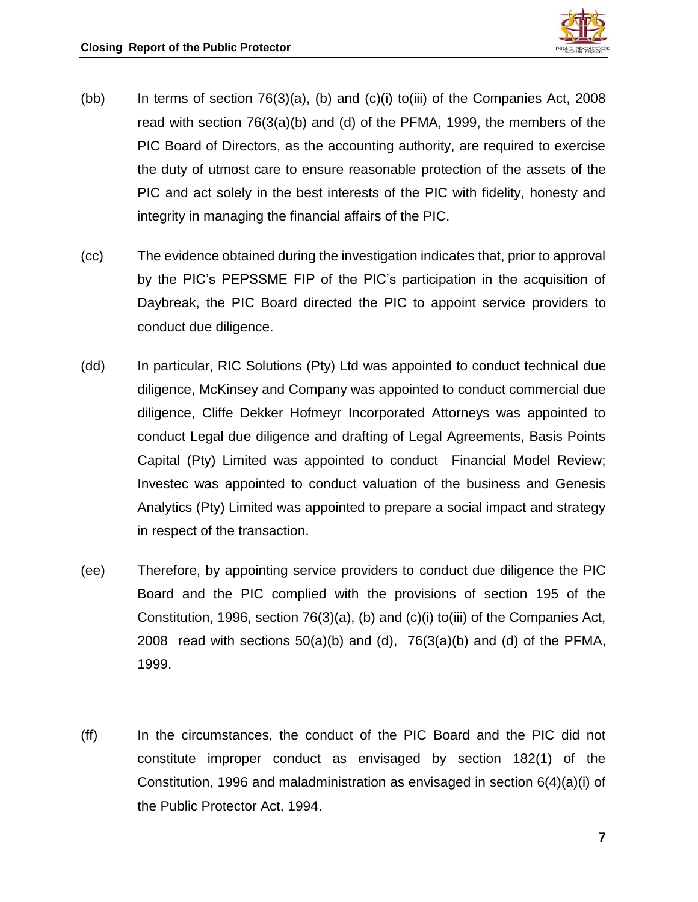

- (bb) In terms of section  $76(3)(a)$ , (b) and (c)(i) to(iii) of the Companies Act, 2008 read with section 76(3(a)(b) and (d) of the PFMA, 1999, the members of the PIC Board of Directors, as the accounting authority, are required to exercise the duty of utmost care to ensure reasonable protection of the assets of the PIC and act solely in the best interests of the PIC with fidelity, honesty and integrity in managing the financial affairs of the PIC.
- (cc) The evidence obtained during the investigation indicates that, prior to approval by the PIC's PEPSSME FIP of the PIC's participation in the acquisition of Daybreak, the PIC Board directed the PIC to appoint service providers to conduct due diligence.
- (dd) In particular, RIC Solutions (Pty) Ltd was appointed to conduct technical due diligence, McKinsey and Company was appointed to conduct commercial due diligence, Cliffe Dekker Hofmeyr Incorporated Attorneys was appointed to conduct Legal due diligence and drafting of Legal Agreements, Basis Points Capital (Pty) Limited was appointed to conduct Financial Model Review; Investec was appointed to conduct valuation of the business and Genesis Analytics (Pty) Limited was appointed to prepare a social impact and strategy in respect of the transaction.
- (ee) Therefore, by appointing service providers to conduct due diligence the PIC Board and the PIC complied with the provisions of section 195 of the Constitution, 1996, section 76(3)(a), (b) and (c)(i) to(iii) of the Companies Act, 2008 read with sections  $50(a)(b)$  and  $(d)$ ,  $76(3(a)(b)$  and  $(d)$  of the PFMA, 1999.
- (ff) In the circumstances, the conduct of the PIC Board and the PIC did not constitute improper conduct as envisaged by section 182(1) of the Constitution, 1996 and maladministration as envisaged in section 6(4)(a)(i) of the Public Protector Act, 1994.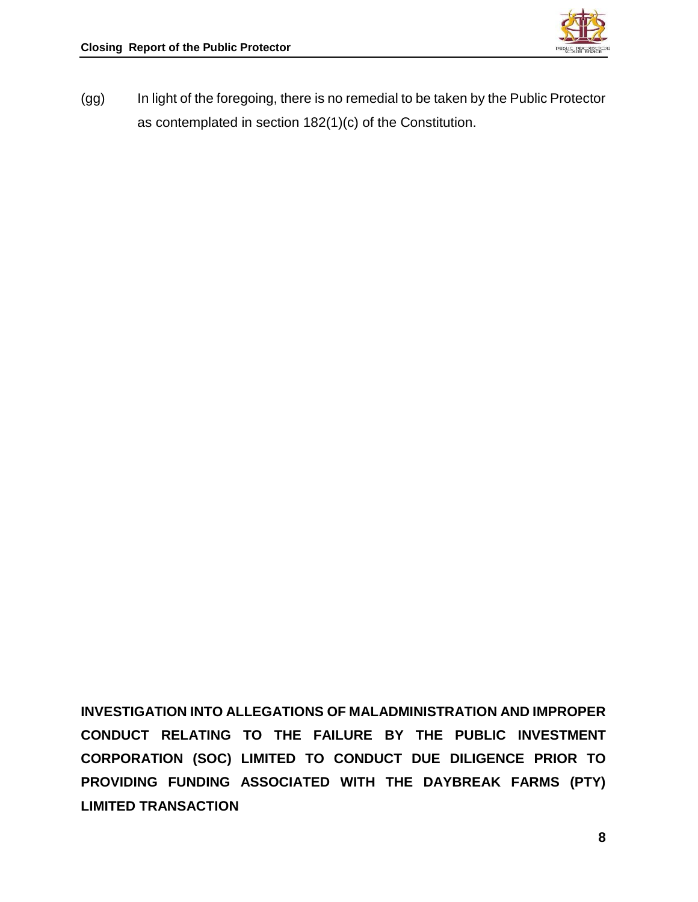

(gg) In light of the foregoing, there is no remedial to be taken by the Public Protector as contemplated in section 182(1)(c) of the Constitution.

**INVESTIGATION INTO ALLEGATIONS OF MALADMINISTRATION AND IMPROPER CONDUCT RELATING TO THE FAILURE BY THE PUBLIC INVESTMENT CORPORATION (SOC) LIMITED TO CONDUCT DUE DILIGENCE PRIOR TO PROVIDING FUNDING ASSOCIATED WITH THE DAYBREAK FARMS (PTY) LIMITED TRANSACTION**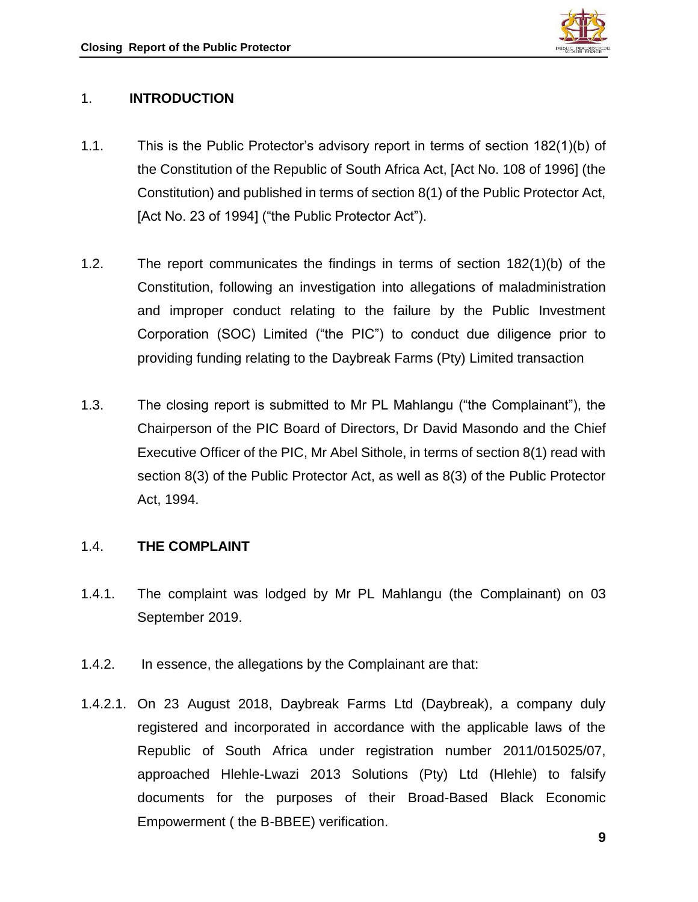

## 1. **INTRODUCTION**

- 1.1. This is the Public Protector's advisory report in terms of section 182(1)(b) of the Constitution of the Republic of South Africa Act, [Act No. 108 of 1996] (the Constitution) and published in terms of section 8(1) of the Public Protector Act, [Act No. 23 of 1994] ("the Public Protector Act").
- 1.2. The report communicates the findings in terms of section 182(1)(b) of the Constitution, following an investigation into allegations of maladministration and improper conduct relating to the failure by the Public Investment Corporation (SOC) Limited ("the PIC") to conduct due diligence prior to providing funding relating to the Daybreak Farms (Pty) Limited transaction
- 1.3. The closing report is submitted to Mr PL Mahlangu ("the Complainant"), the Chairperson of the PIC Board of Directors, Dr David Masondo and the Chief Executive Officer of the PIC, Mr Abel Sithole, in terms of section 8(1) read with section 8(3) of the Public Protector Act, as well as 8(3) of the Public Protector Act, 1994.

## 1.4. **THE COMPLAINT**

- 1.4.1. The complaint was lodged by Mr PL Mahlangu (the Complainant) on 03 September 2019.
- 1.4.2. In essence, the allegations by the Complainant are that:
- 1.4.2.1. On 23 August 2018, Daybreak Farms Ltd (Daybreak), a company duly registered and incorporated in accordance with the applicable laws of the Republic of South Africa under registration number 2011/015025/07, approached Hlehle-Lwazi 2013 Solutions (Pty) Ltd (Hlehle) to falsify documents for the purposes of their Broad-Based Black Economic Empowerment ( the B-BBEE) verification.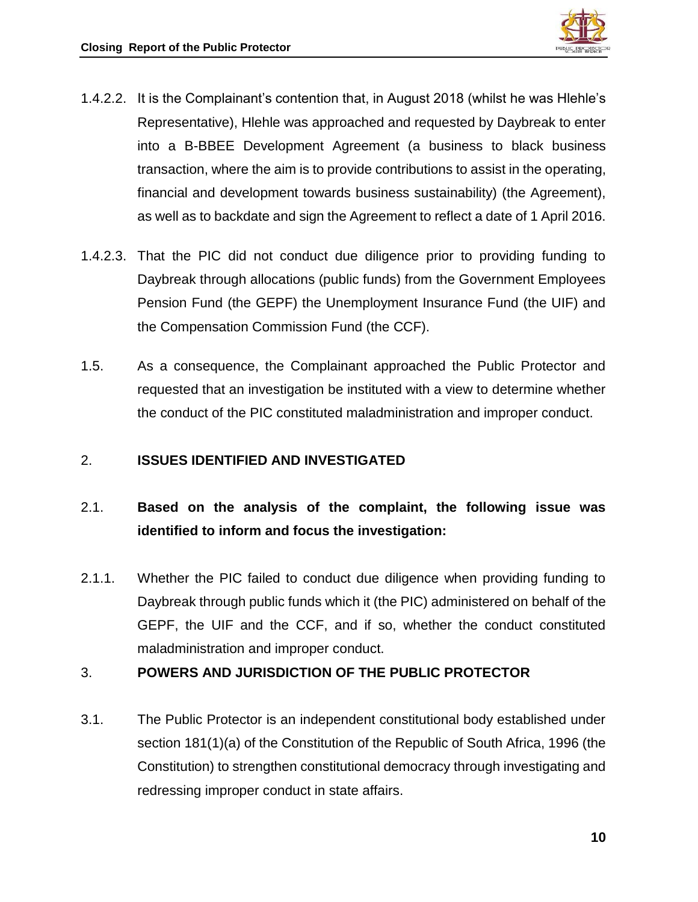

- 1.4.2.2. It is the Complainant's contention that, in August 2018 (whilst he was Hlehle's Representative), Hlehle was approached and requested by Daybreak to enter into a B-BBEE Development Agreement (a business to black business transaction, where the aim is to provide contributions to assist in the operating, financial and development towards business sustainability) (the Agreement), as well as to backdate and sign the Agreement to reflect a date of 1 April 2016.
- 1.4.2.3. That the PIC did not conduct due diligence prior to providing funding to Daybreak through allocations (public funds) from the Government Employees Pension Fund (the GEPF) the Unemployment Insurance Fund (the UIF) and the Compensation Commission Fund (the CCF).
- 1.5. As a consequence, the Complainant approached the Public Protector and requested that an investigation be instituted with a view to determine whether the conduct of the PIC constituted maladministration and improper conduct.

## 2. **ISSUES IDENTIFIED AND INVESTIGATED**

# 2.1. **Based on the analysis of the complaint, the following issue was identified to inform and focus the investigation:**

2.1.1. Whether the PIC failed to conduct due diligence when providing funding to Daybreak through public funds which it (the PIC) administered on behalf of the GEPF, the UIF and the CCF, and if so, whether the conduct constituted maladministration and improper conduct.

## 3. **POWERS AND JURISDICTION OF THE PUBLIC PROTECTOR**

3.1. The Public Protector is an independent constitutional body established under section 181(1)(a) of the Constitution of the Republic of South Africa, 1996 (the Constitution) to strengthen constitutional democracy through investigating and redressing improper conduct in state affairs.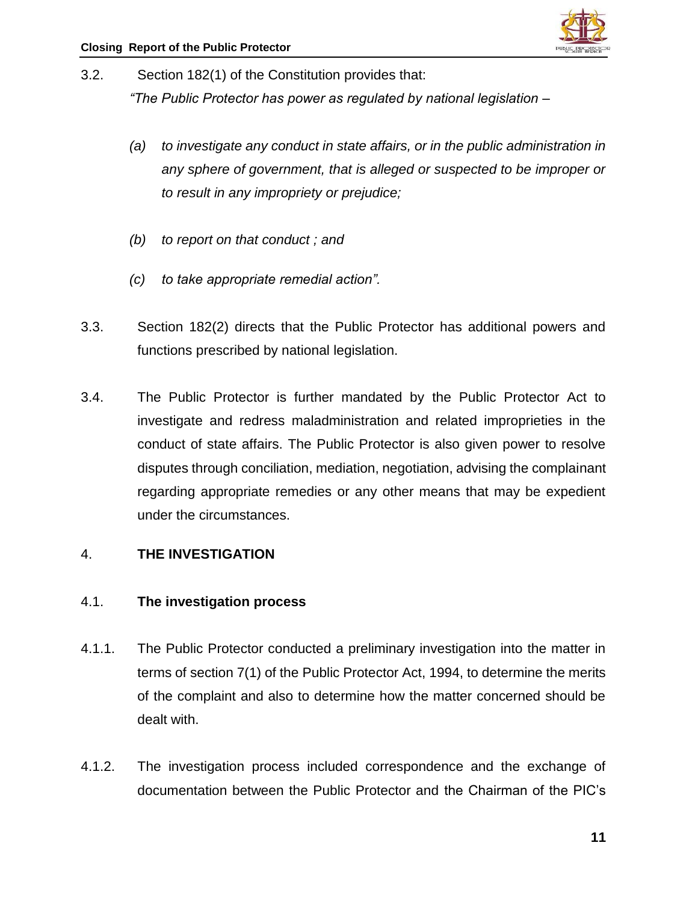

- 3.2. Section 182(1) of the Constitution provides that: *"The Public Protector has power as regulated by national legislation –*
	- *(a) to investigate any conduct in state affairs, or in the public administration in any sphere of government, that is alleged or suspected to be improper or to result in any impropriety or prejudice;*
	- *(b) to report on that conduct ; and*
	- *(c) to take appropriate remedial action".*
- 3.3. Section 182(2) directs that the Public Protector has additional powers and functions prescribed by national legislation.
- 3.4. The Public Protector is further mandated by the Public Protector Act to investigate and redress maladministration and related improprieties in the conduct of state affairs. The Public Protector is also given power to resolve disputes through conciliation, mediation, negotiation, advising the complainant regarding appropriate remedies or any other means that may be expedient under the circumstances.

#### 4. **THE INVESTIGATION**

#### 4.1. **The investigation process**

- 4.1.1. The Public Protector conducted a preliminary investigation into the matter in terms of section 7(1) of the Public Protector Act, 1994, to determine the merits of the complaint and also to determine how the matter concerned should be dealt with.
- 4.1.2. The investigation process included correspondence and the exchange of documentation between the Public Protector and the Chairman of the PIC's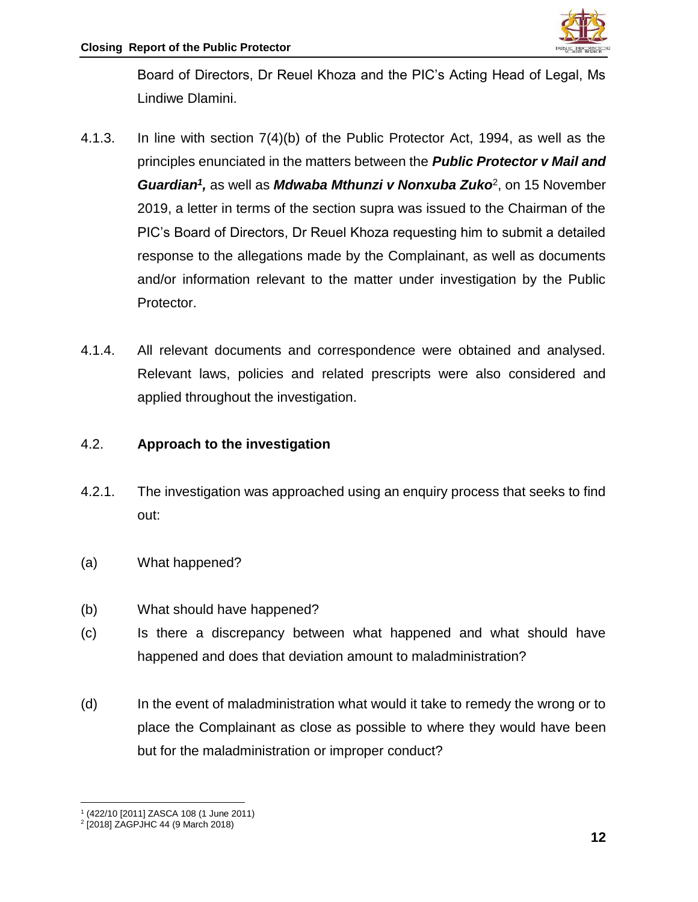

Board of Directors, Dr Reuel Khoza and the PIC's Acting Head of Legal, Ms Lindiwe Dlamini.

- 4.1.3. In line with section 7(4)(b) of the Public Protector Act, 1994, as well as the principles enunciated in the matters between the *Public Protector v Mail and*  Guardian<sup>1</sup>, as well as *Mdwaba Mthunzi v Nonxuba Zuko*<sup>2</sup>, on 15 November 2019, a letter in terms of the section supra was issued to the Chairman of the PIC's Board of Directors, Dr Reuel Khoza requesting him to submit a detailed response to the allegations made by the Complainant, as well as documents and/or information relevant to the matter under investigation by the Public Protector.
- 4.1.4. All relevant documents and correspondence were obtained and analysed. Relevant laws, policies and related prescripts were also considered and applied throughout the investigation.

#### 4.2. **Approach to the investigation**

- 4.2.1. The investigation was approached using an enquiry process that seeks to find out:
- (a) What happened?
- (b) What should have happened?
- (c) Is there a discrepancy between what happened and what should have happened and does that deviation amount to maladministration?
- (d) In the event of maladministration what would it take to remedy the wrong or to place the Complainant as close as possible to where they would have been but for the maladministration or improper conduct?

 $\overline{\phantom{a}}$ 1 (422/10 [2011] ZASCA 108 (1 June 2011)

<sup>2</sup> [2018] ZAGPJHC 44 (9 March 2018)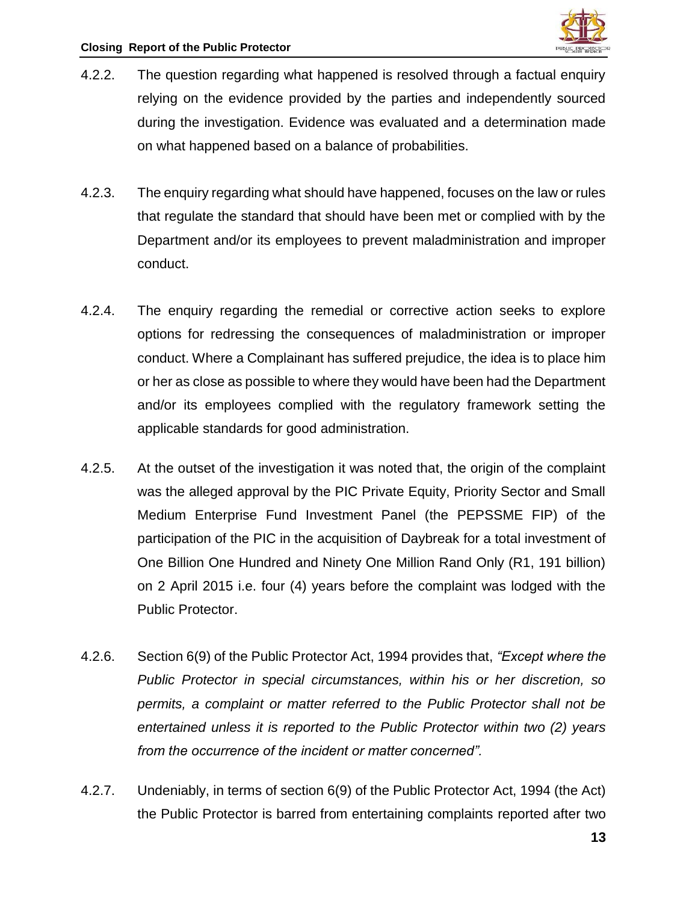- 4.2.2. The question regarding what happened is resolved through a factual enquiry relying on the evidence provided by the parties and independently sourced during the investigation. Evidence was evaluated and a determination made on what happened based on a balance of probabilities.
- 4.2.3. The enquiry regarding what should have happened, focuses on the law or rules that regulate the standard that should have been met or complied with by the Department and/or its employees to prevent maladministration and improper conduct.
- 4.2.4. The enquiry regarding the remedial or corrective action seeks to explore options for redressing the consequences of maladministration or improper conduct. Where a Complainant has suffered prejudice, the idea is to place him or her as close as possible to where they would have been had the Department and/or its employees complied with the regulatory framework setting the applicable standards for good administration.
- 4.2.5. At the outset of the investigation it was noted that, the origin of the complaint was the alleged approval by the PIC Private Equity, Priority Sector and Small Medium Enterprise Fund Investment Panel (the PEPSSME FIP) of the participation of the PIC in the acquisition of Daybreak for a total investment of One Billion One Hundred and Ninety One Million Rand Only (R1, 191 billion) on 2 April 2015 i.e. four (4) years before the complaint was lodged with the Public Protector.
- 4.2.6. Section 6(9) of the Public Protector Act, 1994 provides that, *"Except where the Public Protector in special circumstances, within his or her discretion, so permits, a complaint or matter referred to the Public Protector shall not be entertained unless it is reported to the Public Protector within two (2) years from the occurrence of the incident or matter concerned".*
- 4.2.7. Undeniably, in terms of section 6(9) of the Public Protector Act, 1994 (the Act) the Public Protector is barred from entertaining complaints reported after two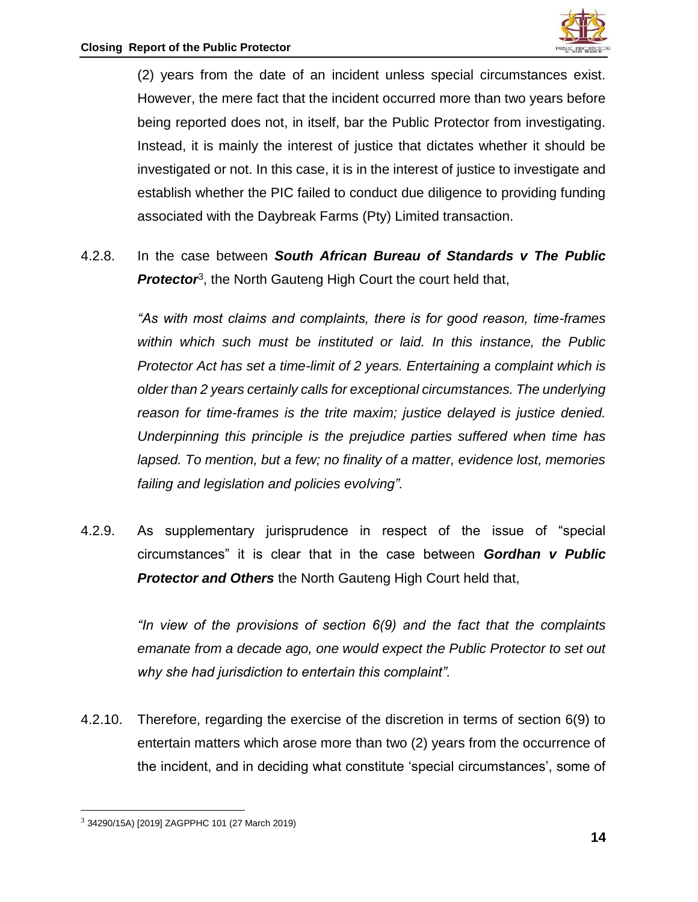

(2) years from the date of an incident unless special circumstances exist. However, the mere fact that the incident occurred more than two years before being reported does not, in itself, bar the Public Protector from investigating. Instead, it is mainly the interest of justice that dictates whether it should be investigated or not. In this case, it is in the interest of justice to investigate and establish whether the PIC failed to conduct due diligence to providing funding associated with the Daybreak Farms (Pty) Limited transaction.

4.2.8. In the case between *South African Bureau of Standards v The Public*  Protector<sup>3</sup>, the North Gauteng High Court the court held that,

> *"As with most claims and complaints, there is for good reason, time-frames within which such must be instituted or laid. In this instance, the Public Protector Act has set a time-limit of 2 years. Entertaining a complaint which is older than 2 years certainly calls for exceptional circumstances. The underlying reason for time-frames is the trite maxim; justice delayed is justice denied. Underpinning this principle is the prejudice parties suffered when time has lapsed. To mention, but a few; no finality of a matter, evidence lost, memories failing and legislation and policies evolving".*

4.2.9. As supplementary jurisprudence in respect of the issue of "special circumstances" it is clear that in the case between *Gordhan v Public Protector and Others* the North Gauteng High Court held that,

> *"In view of the provisions of section 6(9) and the fact that the complaints emanate from a decade ago, one would expect the Public Protector to set out why she had jurisdiction to entertain this complaint".*

4.2.10. Therefore, regarding the exercise of the discretion in terms of section 6(9) to entertain matters which arose more than two (2) years from the occurrence of the incident, and in deciding what constitute 'special circumstances', some of

 $\overline{\phantom{a}}$ 

<sup>3</sup> 34290/15A) [2019] ZAGPPHC 101 (27 March 2019)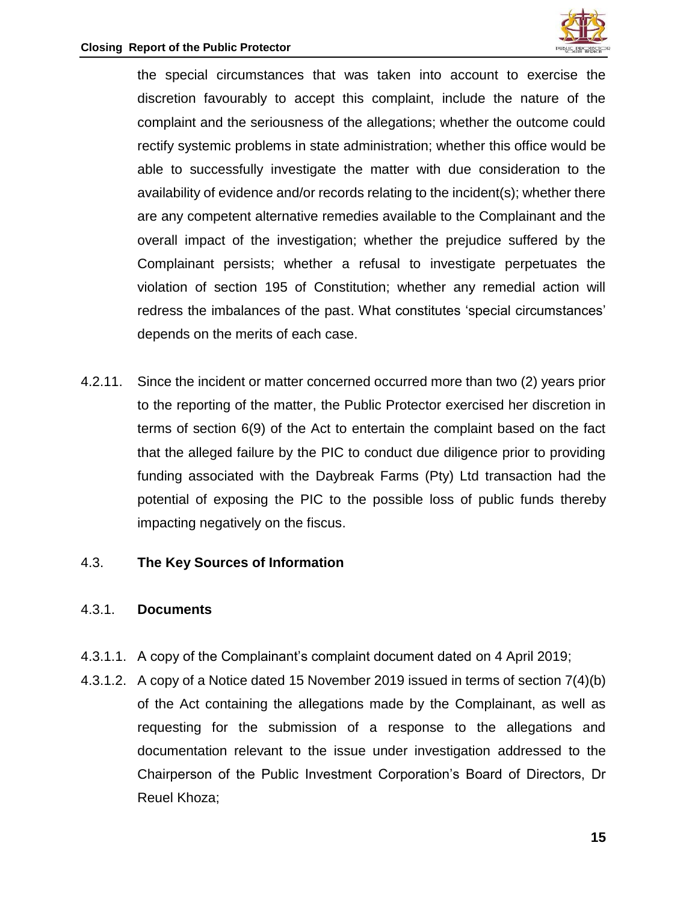

the special circumstances that was taken into account to exercise the discretion favourably to accept this complaint, include the nature of the complaint and the seriousness of the allegations; whether the outcome could rectify systemic problems in state administration; whether this office would be able to successfully investigate the matter with due consideration to the availability of evidence and/or records relating to the incident(s); whether there are any competent alternative remedies available to the Complainant and the overall impact of the investigation; whether the prejudice suffered by the Complainant persists; whether a refusal to investigate perpetuates the violation of section 195 of Constitution; whether any remedial action will redress the imbalances of the past. What constitutes 'special circumstances' depends on the merits of each case.

4.2.11. Since the incident or matter concerned occurred more than two (2) years prior to the reporting of the matter, the Public Protector exercised her discretion in terms of section 6(9) of the Act to entertain the complaint based on the fact that the alleged failure by the PIC to conduct due diligence prior to providing funding associated with the Daybreak Farms (Pty) Ltd transaction had the potential of exposing the PIC to the possible loss of public funds thereby impacting negatively on the fiscus.

#### 4.3. **The Key Sources of Information**

#### 4.3.1. **Documents**

- 4.3.1.1. A copy of the Complainant's complaint document dated on 4 April 2019;
- 4.3.1.2. A copy of a Notice dated 15 November 2019 issued in terms of section 7(4)(b) of the Act containing the allegations made by the Complainant, as well as requesting for the submission of a response to the allegations and documentation relevant to the issue under investigation addressed to the Chairperson of the Public Investment Corporation's Board of Directors, Dr Reuel Khoza;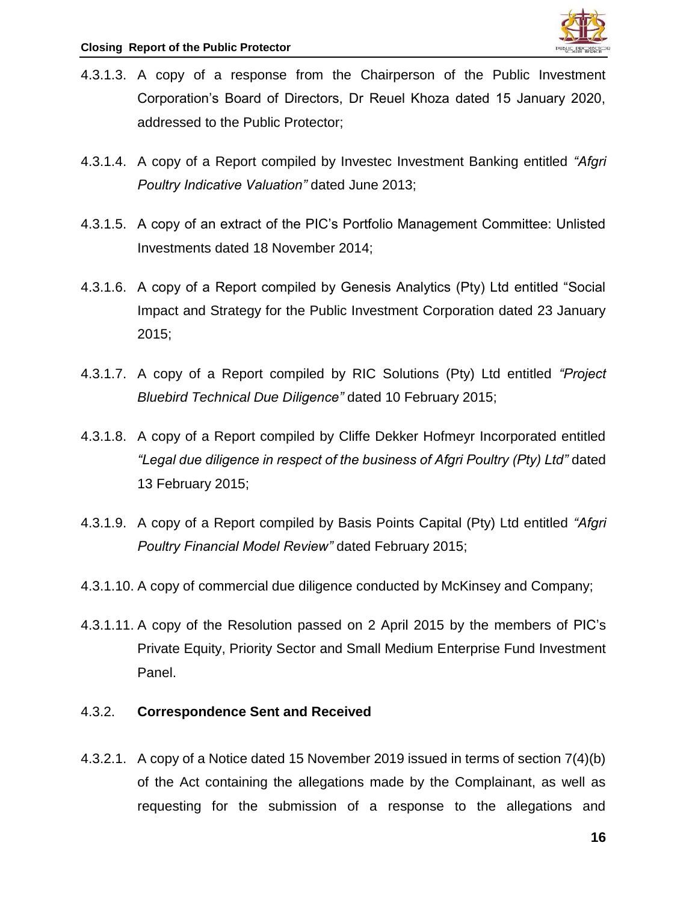- 4.3.1.3. A copy of a response from the Chairperson of the Public Investment Corporation's Board of Directors, Dr Reuel Khoza dated 15 January 2020, addressed to the Public Protector;
- 4.3.1.4. A copy of a Report compiled by Investec Investment Banking entitled *"Afgri Poultry Indicative Valuation"* dated June 2013;
- 4.3.1.5. A copy of an extract of the PIC's Portfolio Management Committee: Unlisted Investments dated 18 November 2014;
- 4.3.1.6. A copy of a Report compiled by Genesis Analytics (Pty) Ltd entitled "Social Impact and Strategy for the Public Investment Corporation dated 23 January 2015;
- 4.3.1.7. A copy of a Report compiled by RIC Solutions (Pty) Ltd entitled *"Project Bluebird Technical Due Diligence"* dated 10 February 2015;
- 4.3.1.8. A copy of a Report compiled by Cliffe Dekker Hofmeyr Incorporated entitled *"Legal due diligence in respect of the business of Afgri Poultry (Pty) Ltd"* dated 13 February 2015;
- 4.3.1.9. A copy of a Report compiled by Basis Points Capital (Pty) Ltd entitled *"Afgri Poultry Financial Model Review"* dated February 2015;
- 4.3.1.10. A copy of commercial due diligence conducted by McKinsey and Company;
- 4.3.1.11. A copy of the Resolution passed on 2 April 2015 by the members of PIC's Private Equity, Priority Sector and Small Medium Enterprise Fund Investment Panel.

#### 4.3.2. **Correspondence Sent and Received**

4.3.2.1. A copy of a Notice dated 15 November 2019 issued in terms of section 7(4)(b) of the Act containing the allegations made by the Complainant, as well as requesting for the submission of a response to the allegations and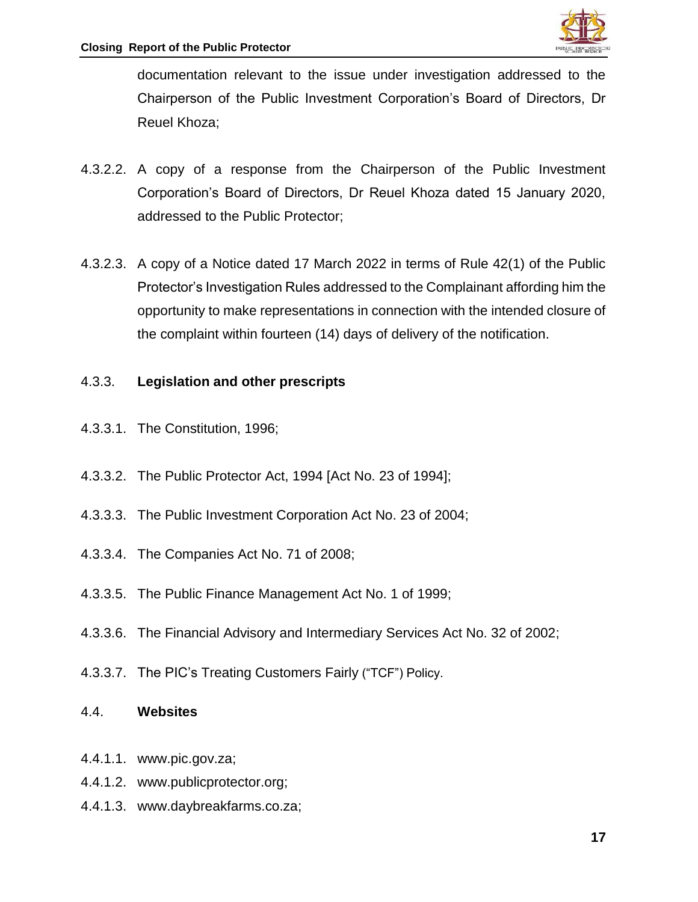

documentation relevant to the issue under investigation addressed to the Chairperson of the Public Investment Corporation's Board of Directors, Dr Reuel Khoza;

- 4.3.2.2. A copy of a response from the Chairperson of the Public Investment Corporation's Board of Directors, Dr Reuel Khoza dated 15 January 2020, addressed to the Public Protector;
- 4.3.2.3. A copy of a Notice dated 17 March 2022 in terms of Rule 42(1) of the Public Protector's Investigation Rules addressed to the Complainant affording him the opportunity to make representations in connection with the intended closure of the complaint within fourteen (14) days of delivery of the notification.

#### 4.3.3. **Legislation and other prescripts**

- 4.3.3.1. The Constitution, 1996;
- 4.3.3.2. The Public Protector Act, 1994 [Act No. 23 of 1994];
- 4.3.3.3. The Public Investment Corporation Act No. 23 of 2004;
- 4.3.3.4. The Companies Act No. 71 of 2008;
- 4.3.3.5. The Public Finance Management Act No. 1 of 1999;
- 4.3.3.6. The Financial Advisory and Intermediary Services Act No. 32 of 2002;
- 4.3.3.7. The PIC's Treating Customers Fairly ("TCF") Policy.

#### 4.4. **Websites**

- 4.4.1.1. [www.pic.gov.za;](http://www.pic.gov.za/)
- 4.4.1.2. [www.publicprotector.org;](http://www.publicprotector.org/)
- 4.4.1.3. [www.daybreakfarms.co.za;](http://www.daybreakfarms.co.za/)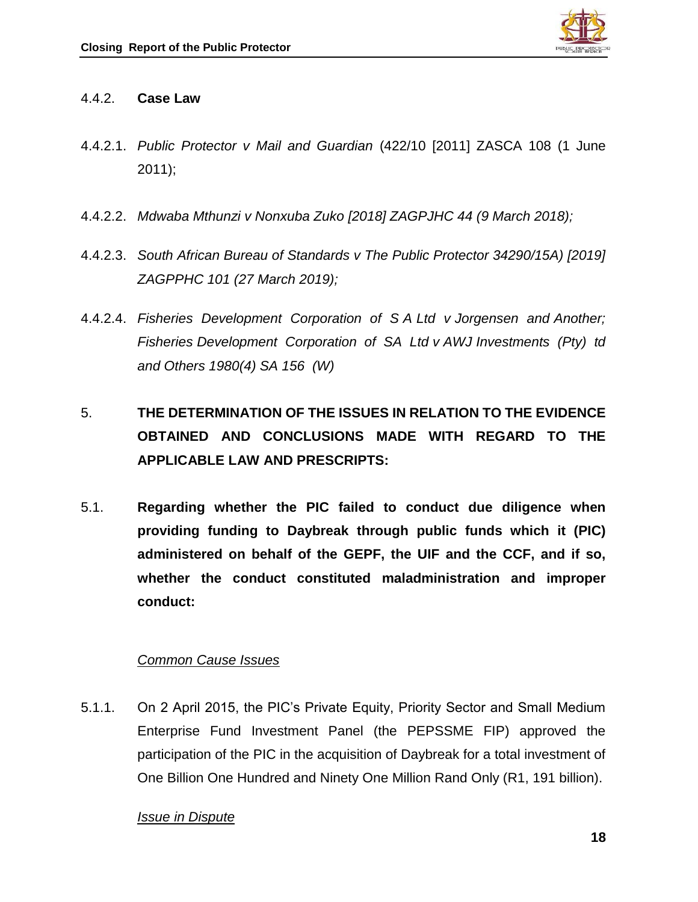

#### 4.4.2. **Case Law**

- 4.4.2.1. *Public Protector v Mail and Guardian* (422/10 [2011] ZASCA 108 (1 June 2011);
- 4.4.2.2. *Mdwaba Mthunzi v Nonxuba Zuko [2018] ZAGPJHC 44 (9 March 2018);*
- 4.4.2.3. *South African Bureau of Standards v The Public Protector 34290/15A) [2019] ZAGPPHC 101 (27 March 2019);*
- 4.4.2.4. *Fisheries Development Corporation of S A Ltd v Jorgensen and Another; Fisheries Development Corporation of SA Ltd v AWJ Investments (Pty) td and Others 1980(4) SA 156 (W)*
- 5. **THE DETERMINATION OF THE ISSUES IN RELATION TO THE EVIDENCE OBTAINED AND CONCLUSIONS MADE WITH REGARD TO THE APPLICABLE LAW AND PRESCRIPTS:**
- 5.1. **Regarding whether the PIC failed to conduct due diligence when providing funding to Daybreak through public funds which it (PIC) administered on behalf of the GEPF, the UIF and the CCF, and if so, whether the conduct constituted maladministration and improper conduct:**

## *Common Cause Issues*

5.1.1. On 2 April 2015, the PIC's Private Equity, Priority Sector and Small Medium Enterprise Fund Investment Panel (the PEPSSME FIP) approved the participation of the PIC in the acquisition of Daybreak for a total investment of One Billion One Hundred and Ninety One Million Rand Only (R1, 191 billion).

## *Issue in Dispute*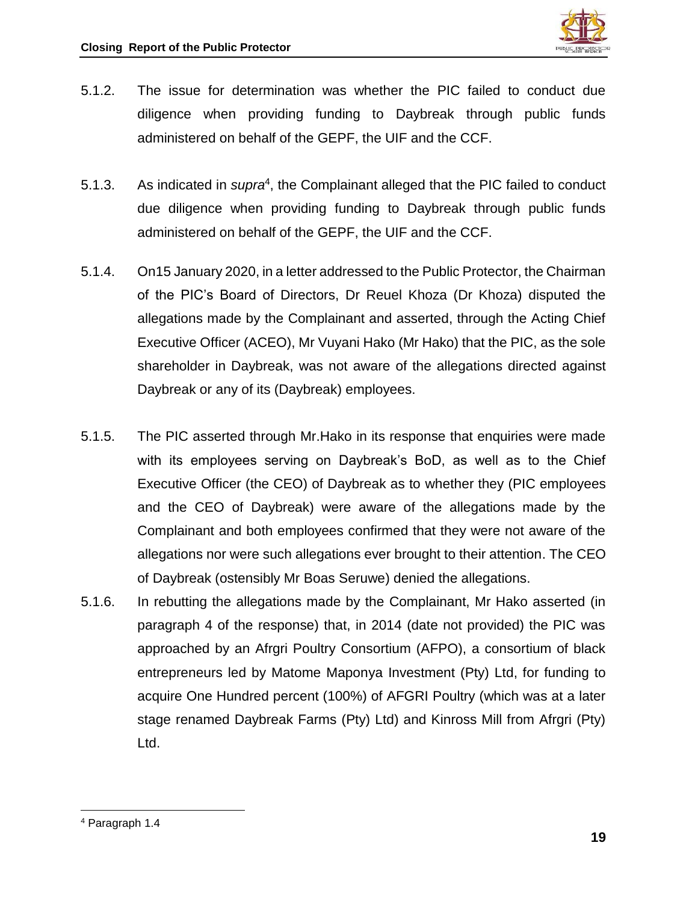

- 5.1.2. The issue for determination was whether the PIC failed to conduct due diligence when providing funding to Daybreak through public funds administered on behalf of the GEPF, the UIF and the CCF.
- 5.1.3. As indicated in *supra<sup>4</sup>*, the Complainant alleged that the PIC failed to conduct due diligence when providing funding to Daybreak through public funds administered on behalf of the GEPF, the UIF and the CCF.
- 5.1.4. On15 January 2020, in a letter addressed to the Public Protector, the Chairman of the PIC's Board of Directors, Dr Reuel Khoza (Dr Khoza) disputed the allegations made by the Complainant and asserted, through the Acting Chief Executive Officer (ACEO), Mr Vuyani Hako (Mr Hako) that the PIC, as the sole shareholder in Daybreak, was not aware of the allegations directed against Daybreak or any of its (Daybreak) employees.
- 5.1.5. The PIC asserted through Mr.Hako in its response that enquiries were made with its employees serving on Daybreak's BoD, as well as to the Chief Executive Officer (the CEO) of Daybreak as to whether they (PIC employees and the CEO of Daybreak) were aware of the allegations made by the Complainant and both employees confirmed that they were not aware of the allegations nor were such allegations ever brought to their attention. The CEO of Daybreak (ostensibly Mr Boas Seruwe) denied the allegations.
- 5.1.6. In rebutting the allegations made by the Complainant, Mr Hako asserted (in paragraph 4 of the response) that, in 2014 (date not provided) the PIC was approached by an Afrgri Poultry Consortium (AFPO), a consortium of black entrepreneurs led by Matome Maponya Investment (Pty) Ltd, for funding to acquire One Hundred percent (100%) of AFGRI Poultry (which was at a later stage renamed Daybreak Farms (Pty) Ltd) and Kinross Mill from Afrgri (Pty) Ltd.

 $\overline{\phantom{a}}$ <sup>4</sup> Paragraph 1.4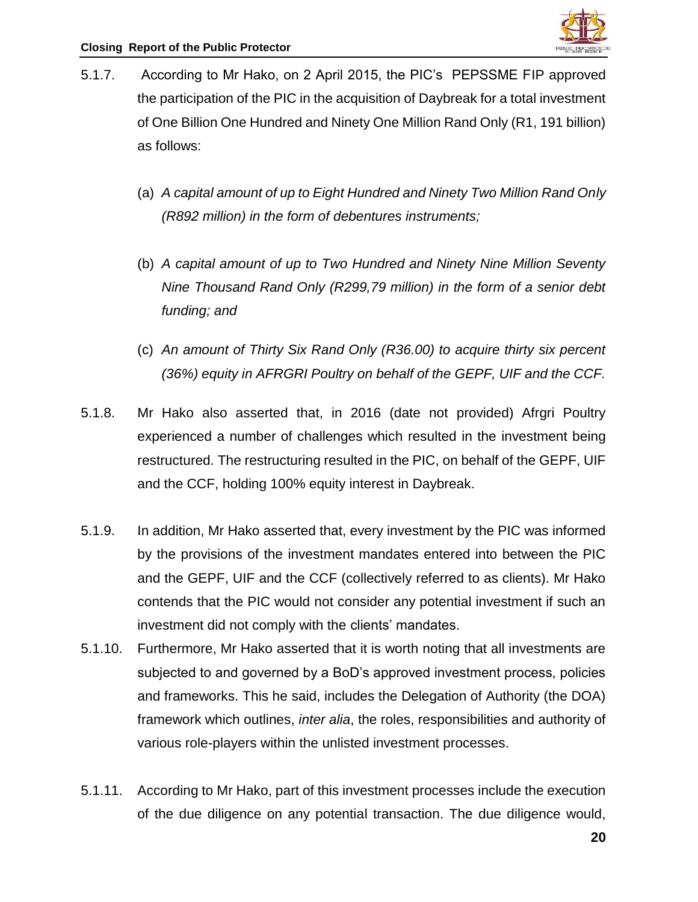

- 5.1.7. According to Mr Hako, on 2 April 2015, the PIC's PEPSSME FIP approved the participation of the PIC in the acquisition of Daybreak for a total investment of One Billion One Hundred and Ninety One Million Rand Only (R1, 191 billion) as follows:
	- (a) *A capital amount of up to Eight Hundred and Ninety Two Million Rand Only (R892 million) in the form of debentures instruments;*
	- (b) *A capital amount of up to Two Hundred and Ninety Nine Million Seventy Nine Thousand Rand Only (R299,79 million) in the form of a senior debt funding; and*
	- (c) *An amount of Thirty Six Rand Only (R36.00) to acquire thirty six percent (36%) equity in AFRGRI Poultry on behalf of the GEPF, UIF and the CCF.*
- 5.1.8. Mr Hako also asserted that, in 2016 (date not provided) Afrgri Poultry experienced a number of challenges which resulted in the investment being restructured. The restructuring resulted in the PIC, on behalf of the GEPF, UIF and the CCF, holding 100% equity interest in Daybreak.
- 5.1.9. In addition, Mr Hako asserted that, every investment by the PIC was informed by the provisions of the investment mandates entered into between the PIC and the GEPF, UIF and the CCF (collectively referred to as clients). Mr Hako contends that the PIC would not consider any potential investment if such an investment did not comply with the clients' mandates.
- 5.1.10. Furthermore, Mr Hako asserted that it is worth noting that all investments are subjected to and governed by a BoD's approved investment process, policies and frameworks. This he said, includes the Delegation of Authority (the DOA) framework which outlines, *inter alia*, the roles, responsibilities and authority of various role-players within the unlisted investment processes.
- 5.1.11. According to Mr Hako, part of this investment processes include the execution of the due diligence on any potential transaction. The due diligence would,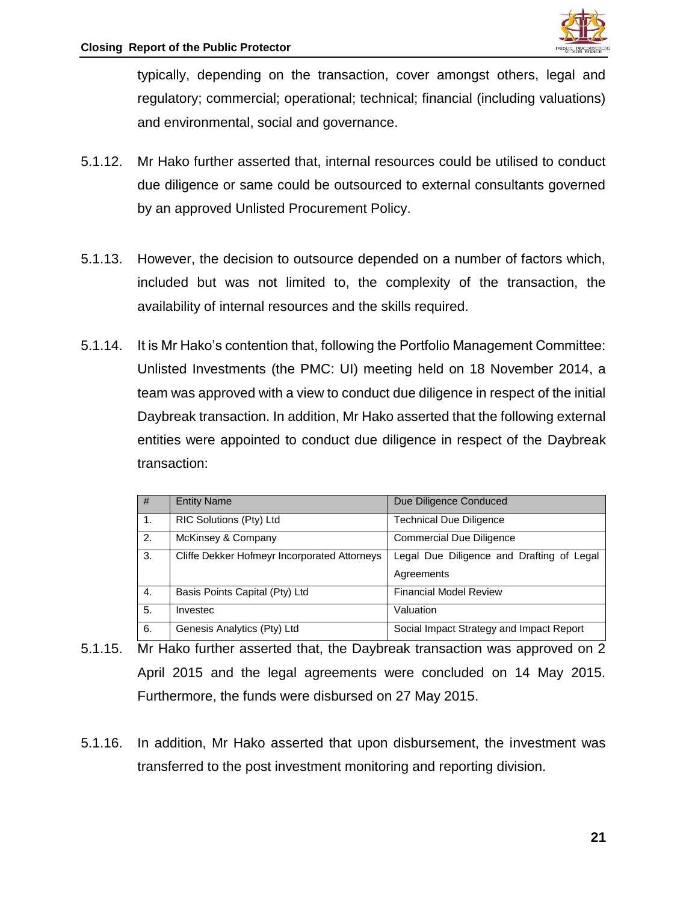

typically, depending on the transaction, cover amongst others, legal and regulatory; commercial; operational; technical; financial (including valuations) and environmental, social and governance.

- 5.1.12. Mr Hako further asserted that, internal resources could be utilised to conduct due diligence or same could be outsourced to external consultants governed by an approved Unlisted Procurement Policy.
- 5.1.13. However, the decision to outsource depended on a number of factors which, included but was not limited to, the complexity of the transaction, the availability of internal resources and the skills required.
- 5.1.14. It is Mr Hako's contention that, following the Portfolio Management Committee: Unlisted Investments (the PMC: UI) meeting held on 18 November 2014, a team was approved with a view to conduct due diligence in respect of the initial Daybreak transaction. In addition, Mr Hako asserted that the following external entities were appointed to conduct due diligence in respect of the Daybreak transaction:

| #  | <b>Entity Name</b>                           | Due Diligence Conduced                    |
|----|----------------------------------------------|-------------------------------------------|
| 1. | RIC Solutions (Pty) Ltd                      | <b>Technical Due Diligence</b>            |
| 2. | McKinsey & Company                           | <b>Commercial Due Diligence</b>           |
| 3. | Cliffe Dekker Hofmeyr Incorporated Attorneys | Legal Due Diligence and Drafting of Legal |
|    |                                              | Agreements                                |
| 4. | Basis Points Capital (Pty) Ltd               | <b>Financial Model Review</b>             |
| 5. | Investec                                     | Valuation                                 |
| 6. | Genesis Analytics (Pty) Ltd                  | Social Impact Strategy and Impact Report  |

- 5.1.15. Mr Hako further asserted that, the Daybreak transaction was approved on 2 April 2015 and the legal agreements were concluded on 14 May 2015. Furthermore, the funds were disbursed on 27 May 2015.
- 5.1.16. In addition, Mr Hako asserted that upon disbursement, the investment was transferred to the post investment monitoring and reporting division.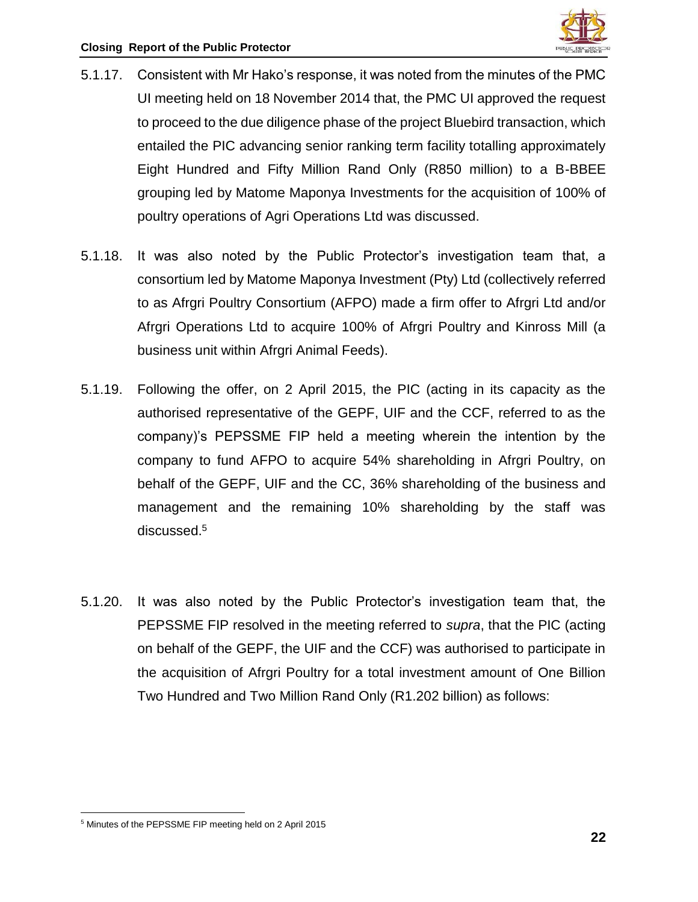

- 5.1.17. Consistent with Mr Hako's response, it was noted from the minutes of the PMC UI meeting held on 18 November 2014 that, the PMC UI approved the request to proceed to the due diligence phase of the project Bluebird transaction, which entailed the PIC advancing senior ranking term facility totalling approximately Eight Hundred and Fifty Million Rand Only (R850 million) to a B-BBEE grouping led by Matome Maponya Investments for the acquisition of 100% of poultry operations of Agri Operations Ltd was discussed.
- 5.1.18. It was also noted by the Public Protector's investigation team that, a consortium led by Matome Maponya Investment (Pty) Ltd (collectively referred to as Afrgri Poultry Consortium (AFPO) made a firm offer to Afrgri Ltd and/or Afrgri Operations Ltd to acquire 100% of Afrgri Poultry and Kinross Mill (a business unit within Afrgri Animal Feeds).
- 5.1.19. Following the offer, on 2 April 2015, the PIC (acting in its capacity as the authorised representative of the GEPF, UIF and the CCF, referred to as the company)'s PEPSSME FIP held a meeting wherein the intention by the company to fund AFPO to acquire 54% shareholding in Afrgri Poultry, on behalf of the GEPF, UIF and the CC, 36% shareholding of the business and management and the remaining 10% shareholding by the staff was discussed.<sup>5</sup>
- 5.1.20. It was also noted by the Public Protector's investigation team that, the PEPSSME FIP resolved in the meeting referred to *supra*, that the PIC (acting on behalf of the GEPF, the UIF and the CCF) was authorised to participate in the acquisition of Afrgri Poultry for a total investment amount of One Billion Two Hundred and Two Million Rand Only (R1.202 billion) as follows:

 $\overline{a}$ <sup>5</sup> Minutes of the PEPSSME FIP meeting held on 2 April 2015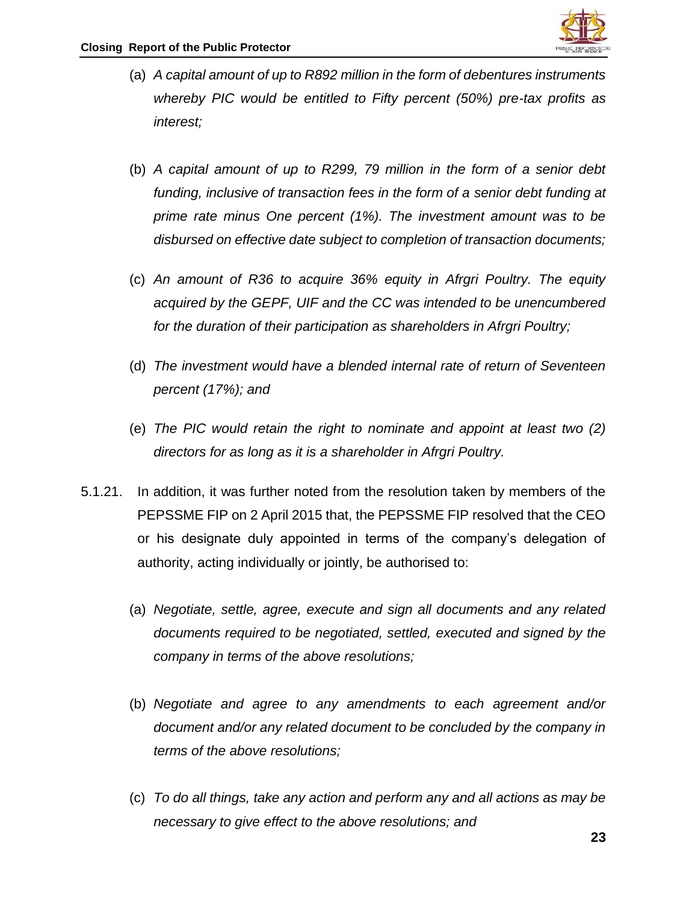

- (a) *A capital amount of up to R892 million in the form of debentures instruments whereby PIC would be entitled to Fifty percent (50%) pre-tax profits as interest;*
- (b) *A capital amount of up to R299, 79 million in the form of a senior debt funding, inclusive of transaction fees in the form of a senior debt funding at prime rate minus One percent (1%). The investment amount was to be disbursed on effective date subject to completion of transaction documents;*
- (c) *An amount of R36 to acquire 36% equity in Afrgri Poultry. The equity acquired by the GEPF, UIF and the CC was intended to be unencumbered for the duration of their participation as shareholders in Afrgri Poultry;*
- (d) *The investment would have a blended internal rate of return of Seventeen percent (17%); and*
- (e) *The PIC would retain the right to nominate and appoint at least two (2) directors for as long as it is a shareholder in Afrgri Poultry.*
- 5.1.21. In addition, it was further noted from the resolution taken by members of the PEPSSME FIP on 2 April 2015 that, the PEPSSME FIP resolved that the CEO or his designate duly appointed in terms of the company's delegation of authority, acting individually or jointly, be authorised to:
	- (a) *Negotiate, settle, agree, execute and sign all documents and any related documents required to be negotiated, settled, executed and signed by the company in terms of the above resolutions;*
	- (b) *Negotiate and agree to any amendments to each agreement and/or document and/or any related document to be concluded by the company in terms of the above resolutions;*
	- (c) *To do all things, take any action and perform any and all actions as may be necessary to give effect to the above resolutions; and*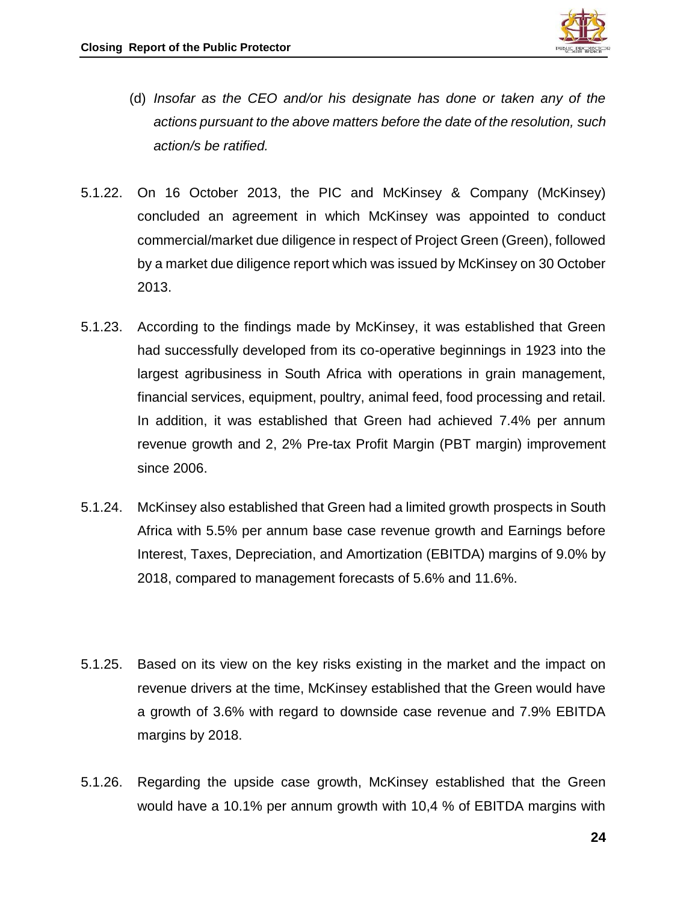

- (d) *Insofar as the CEO and/or his designate has done or taken any of the actions pursuant to the above matters before the date of the resolution, such action/s be ratified.*
- 5.1.22. On 16 October 2013, the PIC and McKinsey & Company (McKinsey) concluded an agreement in which McKinsey was appointed to conduct commercial/market due diligence in respect of Project Green (Green), followed by a market due diligence report which was issued by McKinsey on 30 October 2013.
- 5.1.23. According to the findings made by McKinsey, it was established that Green had successfully developed from its co-operative beginnings in 1923 into the largest agribusiness in South Africa with operations in grain management, financial services, equipment, poultry, animal feed, food processing and retail. In addition, it was established that Green had achieved 7.4% per annum revenue growth and 2, 2% Pre-tax Profit Margin (PBT margin) improvement since 2006.
- 5.1.24. McKinsey also established that Green had a limited growth prospects in South Africa with 5.5% per annum base case revenue growth and Earnings before Interest, Taxes, Depreciation, and Amortization (EBITDA) margins of 9.0% by 2018, compared to management forecasts of 5.6% and 11.6%.
- 5.1.25. Based on its view on the key risks existing in the market and the impact on revenue drivers at the time, McKinsey established that the Green would have a growth of 3.6% with regard to downside case revenue and 7.9% EBITDA margins by 2018.
- 5.1.26. Regarding the upside case growth, McKinsey established that the Green would have a 10.1% per annum growth with 10,4 % of EBITDA margins with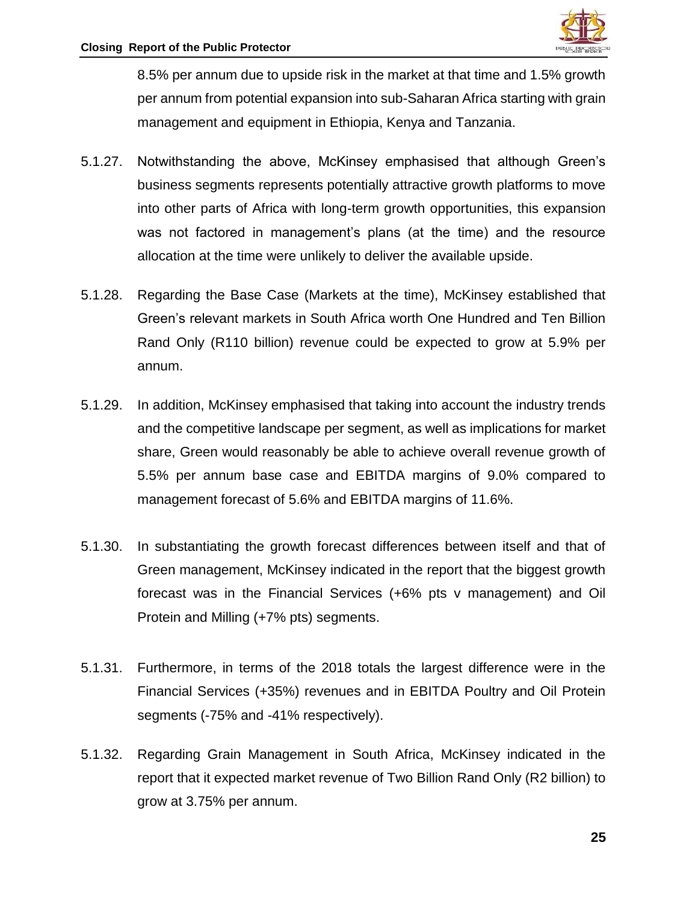

8.5% per annum due to upside risk in the market at that time and 1.5% growth per annum from potential expansion into sub-Saharan Africa starting with grain management and equipment in Ethiopia, Kenya and Tanzania.

- 5.1.27. Notwithstanding the above, McKinsey emphasised that although Green's business segments represents potentially attractive growth platforms to move into other parts of Africa with long-term growth opportunities, this expansion was not factored in management's plans (at the time) and the resource allocation at the time were unlikely to deliver the available upside.
- 5.1.28. Regarding the Base Case (Markets at the time), McKinsey established that Green's relevant markets in South Africa worth One Hundred and Ten Billion Rand Only (R110 billion) revenue could be expected to grow at 5.9% per annum.
- 5.1.29. In addition, McKinsey emphasised that taking into account the industry trends and the competitive landscape per segment, as well as implications for market share, Green would reasonably be able to achieve overall revenue growth of 5.5% per annum base case and EBITDA margins of 9.0% compared to management forecast of 5.6% and EBITDA margins of 11.6%.
- 5.1.30. In substantiating the growth forecast differences between itself and that of Green management, McKinsey indicated in the report that the biggest growth forecast was in the Financial Services (+6% pts v management) and Oil Protein and Milling (+7% pts) segments.
- 5.1.31. Furthermore, in terms of the 2018 totals the largest difference were in the Financial Services (+35%) revenues and in EBITDA Poultry and Oil Protein segments (-75% and -41% respectively).
- 5.1.32. Regarding Grain Management in South Africa, McKinsey indicated in the report that it expected market revenue of Two Billion Rand Only (R2 billion) to grow at 3.75% per annum.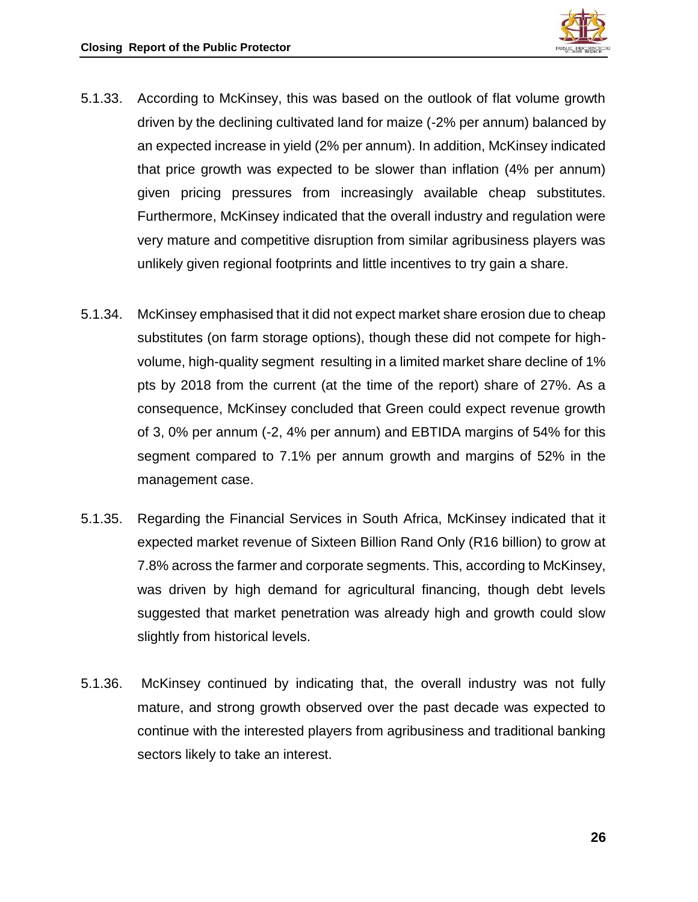

- 5.1.33. According to McKinsey, this was based on the outlook of flat volume growth driven by the declining cultivated land for maize (-2% per annum) balanced by an expected increase in yield (2% per annum). In addition, McKinsey indicated that price growth was expected to be slower than inflation (4% per annum) given pricing pressures from increasingly available cheap substitutes. Furthermore, McKinsey indicated that the overall industry and regulation were very mature and competitive disruption from similar agribusiness players was unlikely given regional footprints and little incentives to try gain a share.
- 5.1.34. McKinsey emphasised that it did not expect market share erosion due to cheap substitutes (on farm storage options), though these did not compete for highvolume, high-quality segment resulting in a limited market share decline of 1% pts by 2018 from the current (at the time of the report) share of 27%. As a consequence, McKinsey concluded that Green could expect revenue growth of 3, 0% per annum (-2, 4% per annum) and EBTIDA margins of 54% for this segment compared to 7.1% per annum growth and margins of 52% in the management case.
- 5.1.35. Regarding the Financial Services in South Africa, McKinsey indicated that it expected market revenue of Sixteen Billion Rand Only (R16 billion) to grow at 7.8% across the farmer and corporate segments. This, according to McKinsey, was driven by high demand for agricultural financing, though debt levels suggested that market penetration was already high and growth could slow slightly from historical levels.
- 5.1.36. McKinsey continued by indicating that, the overall industry was not fully mature, and strong growth observed over the past decade was expected to continue with the interested players from agribusiness and traditional banking sectors likely to take an interest.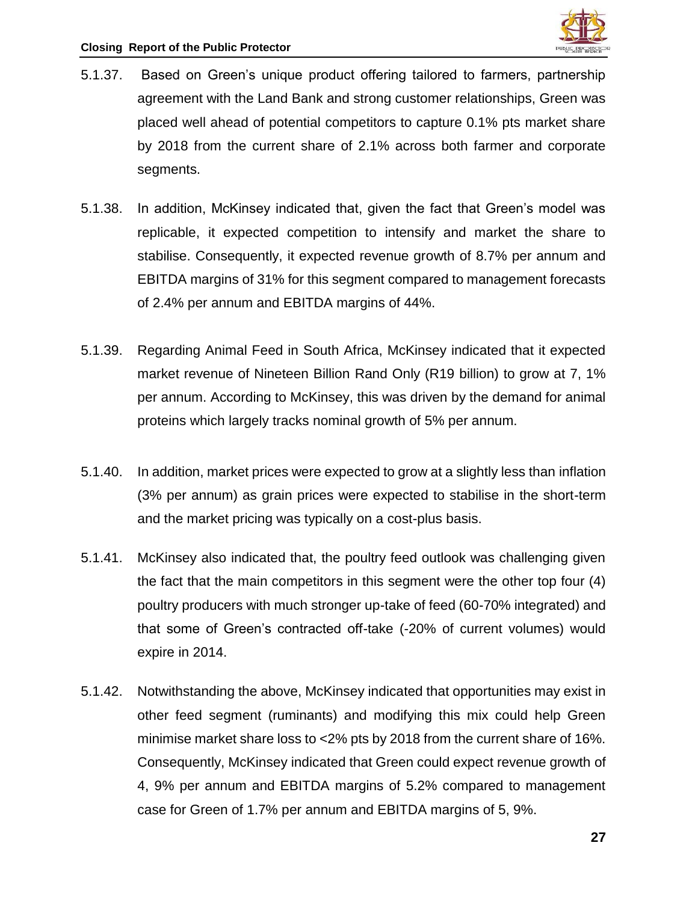

- 5.1.37. Based on Green's unique product offering tailored to farmers, partnership agreement with the Land Bank and strong customer relationships, Green was placed well ahead of potential competitors to capture 0.1% pts market share by 2018 from the current share of 2.1% across both farmer and corporate segments.
- 5.1.38. In addition, McKinsey indicated that, given the fact that Green's model was replicable, it expected competition to intensify and market the share to stabilise. Consequently, it expected revenue growth of 8.7% per annum and EBITDA margins of 31% for this segment compared to management forecasts of 2.4% per annum and EBITDA margins of 44%.
- 5.1.39. Regarding Animal Feed in South Africa, McKinsey indicated that it expected market revenue of Nineteen Billion Rand Only (R19 billion) to grow at 7, 1% per annum. According to McKinsey, this was driven by the demand for animal proteins which largely tracks nominal growth of 5% per annum.
- 5.1.40. In addition, market prices were expected to grow at a slightly less than inflation (3% per annum) as grain prices were expected to stabilise in the short-term and the market pricing was typically on a cost-plus basis.
- 5.1.41. McKinsey also indicated that, the poultry feed outlook was challenging given the fact that the main competitors in this segment were the other top four (4) poultry producers with much stronger up-take of feed (60-70% integrated) and that some of Green's contracted off-take (-20% of current volumes) would expire in 2014.
- 5.1.42. Notwithstanding the above, McKinsey indicated that opportunities may exist in other feed segment (ruminants) and modifying this mix could help Green minimise market share loss to <2% pts by 2018 from the current share of 16%. Consequently, McKinsey indicated that Green could expect revenue growth of 4, 9% per annum and EBITDA margins of 5.2% compared to management case for Green of 1.7% per annum and EBITDA margins of 5, 9%.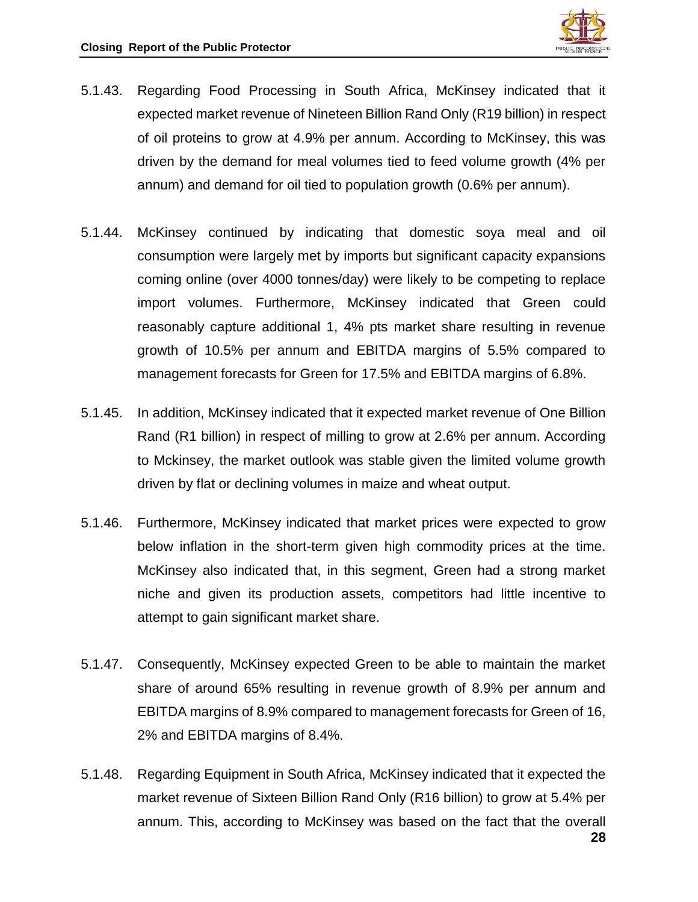

- 5.1.43. Regarding Food Processing in South Africa, McKinsey indicated that it expected market revenue of Nineteen Billion Rand Only (R19 billion) in respect of oil proteins to grow at 4.9% per annum. According to McKinsey, this was driven by the demand for meal volumes tied to feed volume growth (4% per annum) and demand for oil tied to population growth (0.6% per annum).
- 5.1.44. McKinsey continued by indicating that domestic soya meal and oil consumption were largely met by imports but significant capacity expansions coming online (over 4000 tonnes/day) were likely to be competing to replace import volumes. Furthermore, McKinsey indicated that Green could reasonably capture additional 1, 4% pts market share resulting in revenue growth of 10.5% per annum and EBITDA margins of 5.5% compared to management forecasts for Green for 17.5% and EBITDA margins of 6.8%.
- 5.1.45. In addition, McKinsey indicated that it expected market revenue of One Billion Rand (R1 billion) in respect of milling to grow at 2.6% per annum. According to Mckinsey, the market outlook was stable given the limited volume growth driven by flat or declining volumes in maize and wheat output.
- 5.1.46. Furthermore, McKinsey indicated that market prices were expected to grow below inflation in the short-term given high commodity prices at the time. McKinsey also indicated that, in this segment, Green had a strong market niche and given its production assets, competitors had little incentive to attempt to gain significant market share.
- 5.1.47. Consequently, McKinsey expected Green to be able to maintain the market share of around 65% resulting in revenue growth of 8.9% per annum and EBITDA margins of 8.9% compared to management forecasts for Green of 16, 2% and EBITDA margins of 8.4%.
- 5.1.48. Regarding Equipment in South Africa, McKinsey indicated that it expected the market revenue of Sixteen Billion Rand Only (R16 billion) to grow at 5.4% per annum. This, according to McKinsey was based on the fact that the overall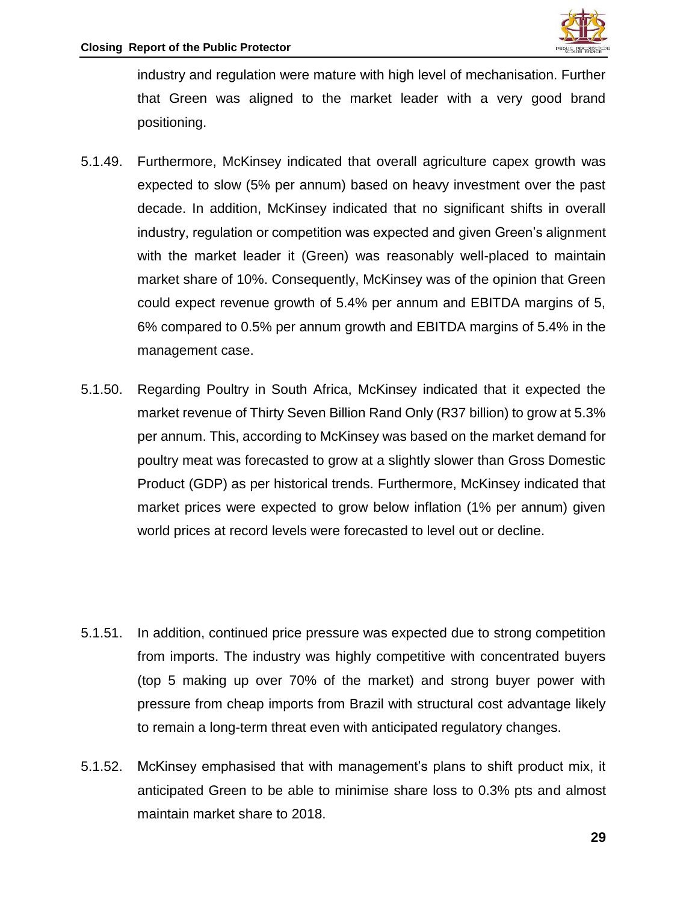

industry and regulation were mature with high level of mechanisation. Further that Green was aligned to the market leader with a very good brand positioning.

- 5.1.49. Furthermore, McKinsey indicated that overall agriculture capex growth was expected to slow (5% per annum) based on heavy investment over the past decade. In addition, McKinsey indicated that no significant shifts in overall industry, regulation or competition was expected and given Green's alignment with the market leader it (Green) was reasonably well-placed to maintain market share of 10%. Consequently, McKinsey was of the opinion that Green could expect revenue growth of 5.4% per annum and EBITDA margins of 5, 6% compared to 0.5% per annum growth and EBITDA margins of 5.4% in the management case.
- 5.1.50. Regarding Poultry in South Africa, McKinsey indicated that it expected the market revenue of Thirty Seven Billion Rand Only (R37 billion) to grow at 5.3% per annum. This, according to McKinsey was based on the market demand for poultry meat was forecasted to grow at a slightly slower than Gross Domestic Product (GDP) as per historical trends. Furthermore, McKinsey indicated that market prices were expected to grow below inflation (1% per annum) given world prices at record levels were forecasted to level out or decline.
- 5.1.51. In addition, continued price pressure was expected due to strong competition from imports. The industry was highly competitive with concentrated buyers (top 5 making up over 70% of the market) and strong buyer power with pressure from cheap imports from Brazil with structural cost advantage likely to remain a long-term threat even with anticipated regulatory changes.
- 5.1.52. McKinsey emphasised that with management's plans to shift product mix, it anticipated Green to be able to minimise share loss to 0.3% pts and almost maintain market share to 2018.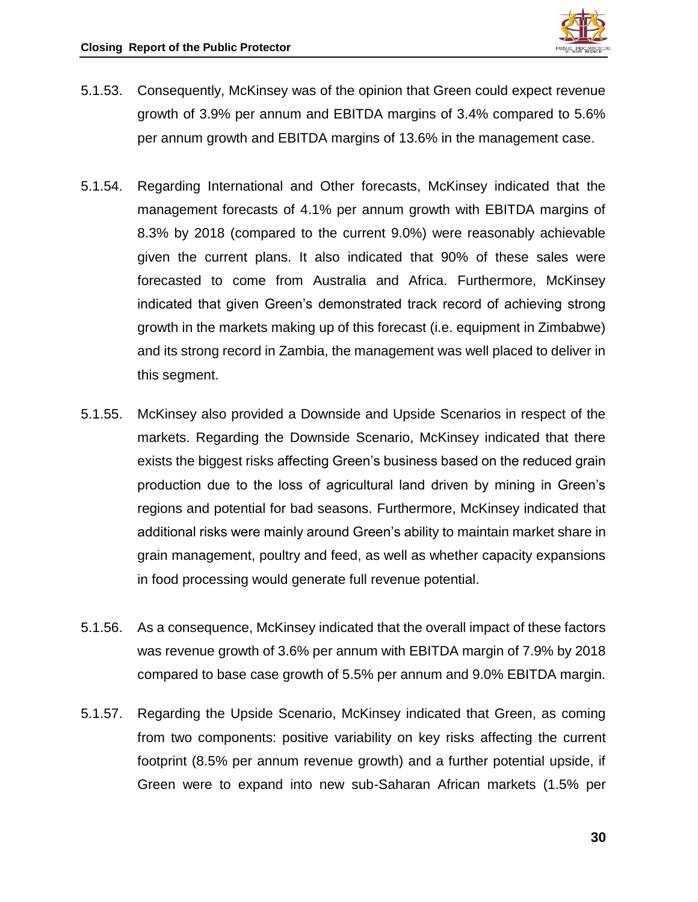

- 5.1.53. Consequently, McKinsey was of the opinion that Green could expect revenue growth of 3.9% per annum and EBITDA margins of 3.4% compared to 5.6% per annum growth and EBITDA margins of 13.6% in the management case.
- 5.1.54. Regarding International and Other forecasts, McKinsey indicated that the management forecasts of 4.1% per annum growth with EBITDA margins of 8.3% by 2018 (compared to the current 9.0%) were reasonably achievable given the current plans. It also indicated that 90% of these sales were forecasted to come from Australia and Africa. Furthermore, McKinsey indicated that given Green's demonstrated track record of achieving strong growth in the markets making up of this forecast (i.e. equipment in Zimbabwe) and its strong record in Zambia, the management was well placed to deliver in this segment.
- 5.1.55. McKinsey also provided a Downside and Upside Scenarios in respect of the markets. Regarding the Downside Scenario, McKinsey indicated that there exists the biggest risks affecting Green's business based on the reduced grain production due to the loss of agricultural land driven by mining in Green's regions and potential for bad seasons. Furthermore, McKinsey indicated that additional risks were mainly around Green's ability to maintain market share in grain management, poultry and feed, as well as whether capacity expansions in food processing would generate full revenue potential.
- 5.1.56. As a consequence, McKinsey indicated that the overall impact of these factors was revenue growth of 3.6% per annum with EBITDA margin of 7.9% by 2018 compared to base case growth of 5.5% per annum and 9.0% EBITDA margin.
- 5.1.57. Regarding the Upside Scenario, McKinsey indicated that Green, as coming from two components: positive variability on key risks affecting the current footprint (8.5% per annum revenue growth) and a further potential upside, if Green were to expand into new sub-Saharan African markets (1.5% per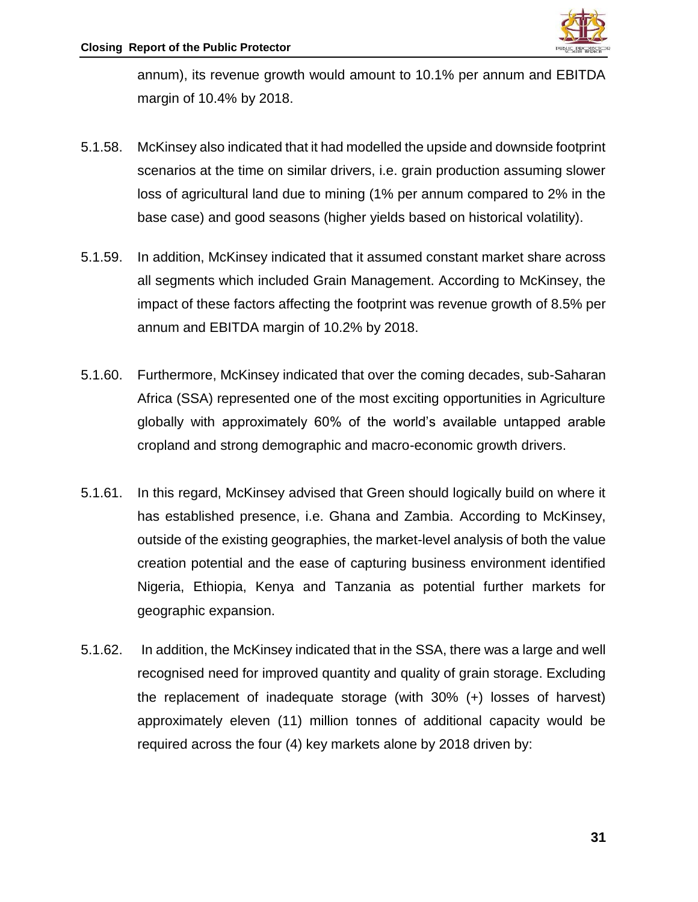annum), its revenue growth would amount to 10.1% per annum and EBITDA margin of 10.4% by 2018.

- 5.1.58. McKinsey also indicated that it had modelled the upside and downside footprint scenarios at the time on similar drivers, i.e. grain production assuming slower loss of agricultural land due to mining (1% per annum compared to 2% in the base case) and good seasons (higher yields based on historical volatility).
- 5.1.59. In addition, McKinsey indicated that it assumed constant market share across all segments which included Grain Management. According to McKinsey, the impact of these factors affecting the footprint was revenue growth of 8.5% per annum and EBITDA margin of 10.2% by 2018.
- 5.1.60. Furthermore, McKinsey indicated that over the coming decades, sub-Saharan Africa (SSA) represented one of the most exciting opportunities in Agriculture globally with approximately 60% of the world's available untapped arable cropland and strong demographic and macro-economic growth drivers.
- 5.1.61. In this regard, McKinsey advised that Green should logically build on where it has established presence, i.e. Ghana and Zambia. According to McKinsey, outside of the existing geographies, the market-level analysis of both the value creation potential and the ease of capturing business environment identified Nigeria, Ethiopia, Kenya and Tanzania as potential further markets for geographic expansion.
- 5.1.62. In addition, the McKinsey indicated that in the SSA, there was a large and well recognised need for improved quantity and quality of grain storage. Excluding the replacement of inadequate storage (with 30% (+) losses of harvest) approximately eleven (11) million tonnes of additional capacity would be required across the four (4) key markets alone by 2018 driven by: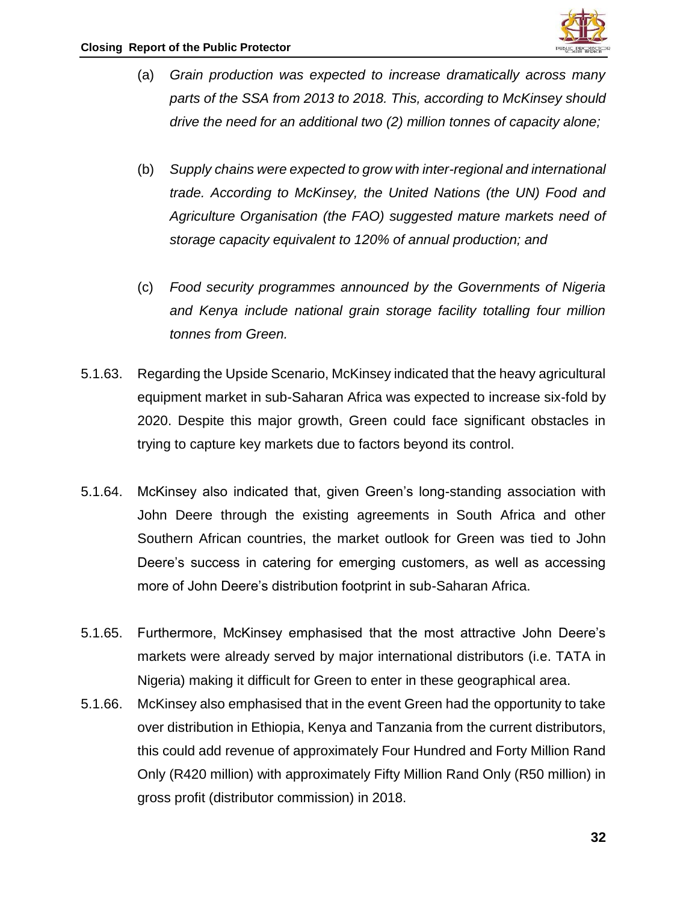

- (a) *Grain production was expected to increase dramatically across many parts of the SSA from 2013 to 2018. This, according to McKinsey should drive the need for an additional two (2) million tonnes of capacity alone;*
- (b) *Supply chains were expected to grow with inter-regional and international trade. According to McKinsey, the United Nations (the UN) Food and Agriculture Organisation (the FAO) suggested mature markets need of storage capacity equivalent to 120% of annual production; and*
- (c) *Food security programmes announced by the Governments of Nigeria and Kenya include national grain storage facility totalling four million tonnes from Green.*
- 5.1.63. Regarding the Upside Scenario, McKinsey indicated that the heavy agricultural equipment market in sub-Saharan Africa was expected to increase six-fold by 2020. Despite this major growth, Green could face significant obstacles in trying to capture key markets due to factors beyond its control.
- 5.1.64. McKinsey also indicated that, given Green's long-standing association with John Deere through the existing agreements in South Africa and other Southern African countries, the market outlook for Green was tied to John Deere's success in catering for emerging customers, as well as accessing more of John Deere's distribution footprint in sub-Saharan Africa.
- 5.1.65. Furthermore, McKinsey emphasised that the most attractive John Deere's markets were already served by major international distributors (i.e. TATA in Nigeria) making it difficult for Green to enter in these geographical area.
- 5.1.66. McKinsey also emphasised that in the event Green had the opportunity to take over distribution in Ethiopia, Kenya and Tanzania from the current distributors, this could add revenue of approximately Four Hundred and Forty Million Rand Only (R420 million) with approximately Fifty Million Rand Only (R50 million) in gross profit (distributor commission) in 2018.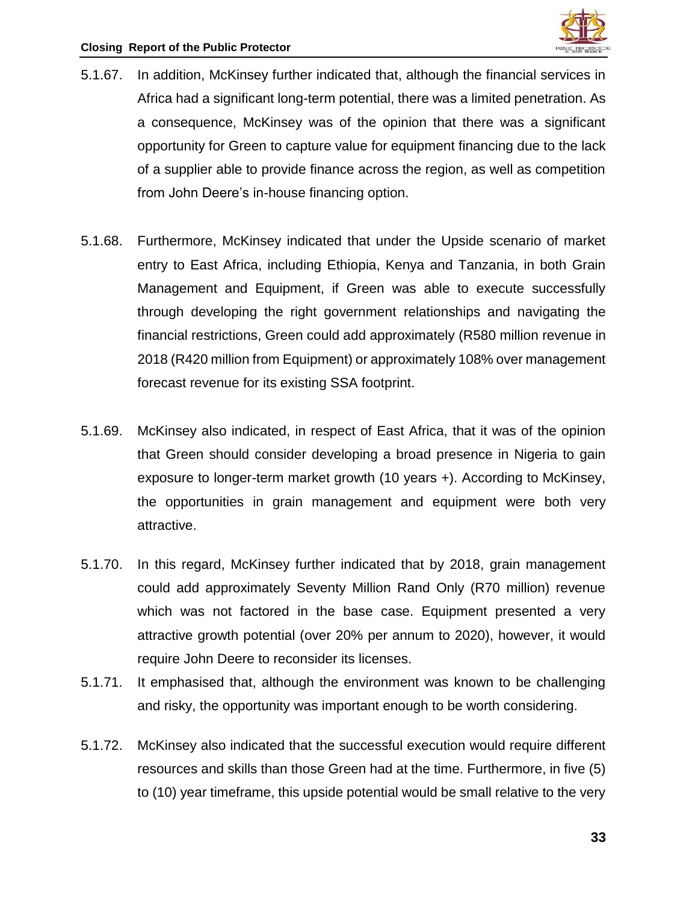- 5.1.67. In addition, McKinsey further indicated that, although the financial services in Africa had a significant long-term potential, there was a limited penetration. As a consequence, McKinsey was of the opinion that there was a significant opportunity for Green to capture value for equipment financing due to the lack of a supplier able to provide finance across the region, as well as competition from John Deere's in-house financing option.
- 5.1.68. Furthermore, McKinsey indicated that under the Upside scenario of market entry to East Africa, including Ethiopia, Kenya and Tanzania, in both Grain Management and Equipment, if Green was able to execute successfully through developing the right government relationships and navigating the financial restrictions, Green could add approximately (R580 million revenue in 2018 (R420 million from Equipment) or approximately 108% over management forecast revenue for its existing SSA footprint.
- 5.1.69. McKinsey also indicated, in respect of East Africa, that it was of the opinion that Green should consider developing a broad presence in Nigeria to gain exposure to longer-term market growth (10 years +). According to McKinsey, the opportunities in grain management and equipment were both very attractive.
- 5.1.70. In this regard, McKinsey further indicated that by 2018, grain management could add approximately Seventy Million Rand Only (R70 million) revenue which was not factored in the base case. Equipment presented a very attractive growth potential (over 20% per annum to 2020), however, it would require John Deere to reconsider its licenses.
- 5.1.71. It emphasised that, although the environment was known to be challenging and risky, the opportunity was important enough to be worth considering.
- 5.1.72. McKinsey also indicated that the successful execution would require different resources and skills than those Green had at the time. Furthermore, in five (5) to (10) year timeframe, this upside potential would be small relative to the very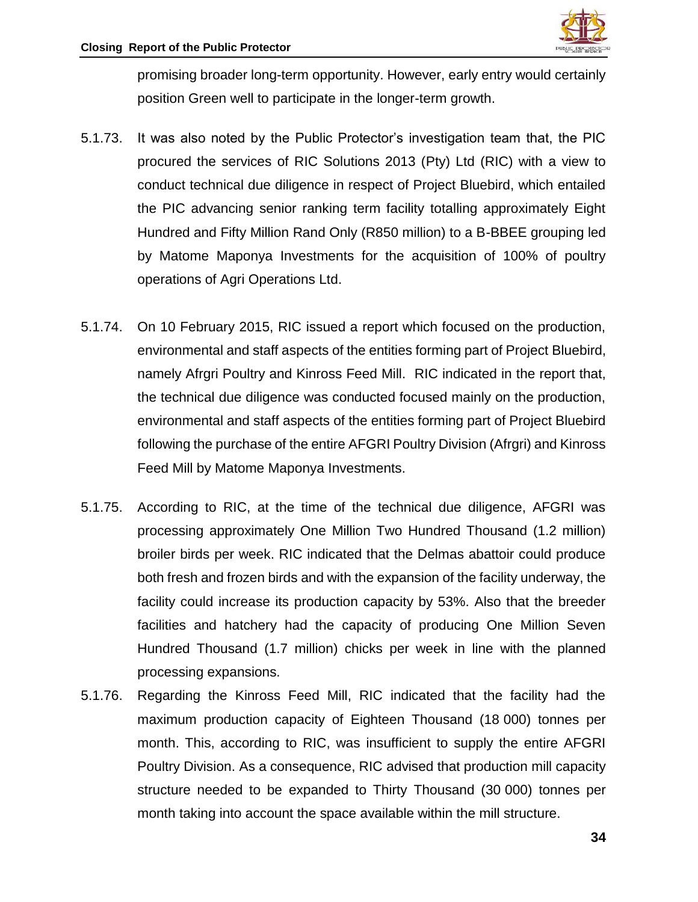

promising broader long-term opportunity. However, early entry would certainly position Green well to participate in the longer-term growth.

- 5.1.73. It was also noted by the Public Protector's investigation team that, the PIC procured the services of RIC Solutions 2013 (Pty) Ltd (RIC) with a view to conduct technical due diligence in respect of Project Bluebird, which entailed the PIC advancing senior ranking term facility totalling approximately Eight Hundred and Fifty Million Rand Only (R850 million) to a B-BBEE grouping led by Matome Maponya Investments for the acquisition of 100% of poultry operations of Agri Operations Ltd.
- 5.1.74. On 10 February 2015, RIC issued a report which focused on the production, environmental and staff aspects of the entities forming part of Project Bluebird, namely Afrgri Poultry and Kinross Feed Mill. RIC indicated in the report that, the technical due diligence was conducted focused mainly on the production, environmental and staff aspects of the entities forming part of Project Bluebird following the purchase of the entire AFGRI Poultry Division (Afrgri) and Kinross Feed Mill by Matome Maponya Investments.
- 5.1.75. According to RIC, at the time of the technical due diligence, AFGRI was processing approximately One Million Two Hundred Thousand (1.2 million) broiler birds per week. RIC indicated that the Delmas abattoir could produce both fresh and frozen birds and with the expansion of the facility underway, the facility could increase its production capacity by 53%. Also that the breeder facilities and hatchery had the capacity of producing One Million Seven Hundred Thousand (1.7 million) chicks per week in line with the planned processing expansions.
- 5.1.76. Regarding the Kinross Feed Mill, RIC indicated that the facility had the maximum production capacity of Eighteen Thousand (18 000) tonnes per month. This, according to RIC, was insufficient to supply the entire AFGRI Poultry Division. As a consequence, RIC advised that production mill capacity structure needed to be expanded to Thirty Thousand (30 000) tonnes per month taking into account the space available within the mill structure.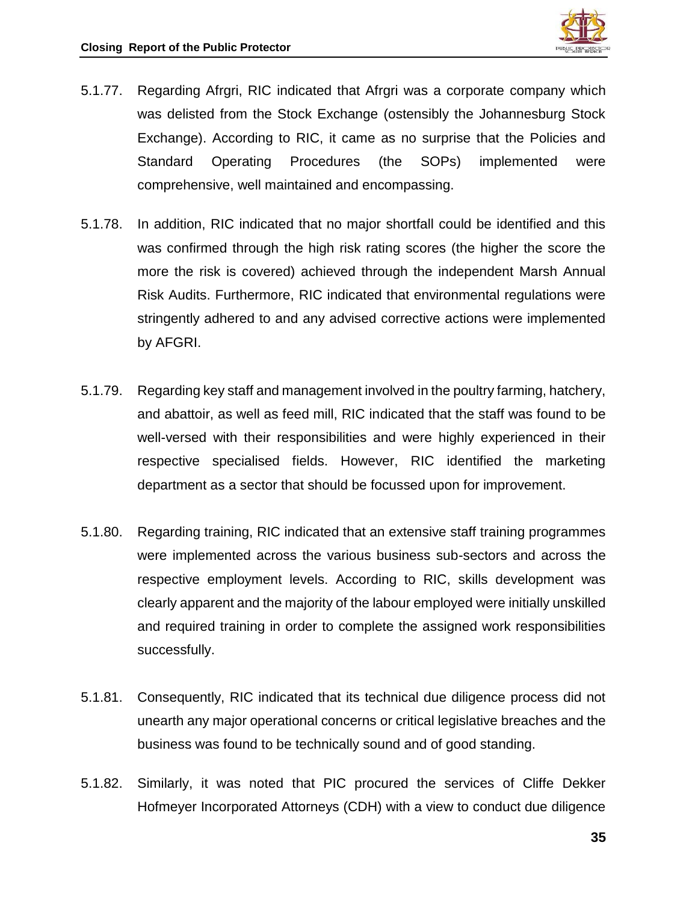

- 5.1.77. Regarding Afrgri, RIC indicated that Afrgri was a corporate company which was delisted from the Stock Exchange (ostensibly the Johannesburg Stock Exchange). According to RIC, it came as no surprise that the Policies and Standard Operating Procedures (the SOPs) implemented were comprehensive, well maintained and encompassing.
- 5.1.78. In addition, RIC indicated that no major shortfall could be identified and this was confirmed through the high risk rating scores (the higher the score the more the risk is covered) achieved through the independent Marsh Annual Risk Audits. Furthermore, RIC indicated that environmental regulations were stringently adhered to and any advised corrective actions were implemented by AFGRI.
- 5.1.79. Regarding key staff and management involved in the poultry farming, hatchery, and abattoir, as well as feed mill, RIC indicated that the staff was found to be well-versed with their responsibilities and were highly experienced in their respective specialised fields. However, RIC identified the marketing department as a sector that should be focussed upon for improvement.
- 5.1.80. Regarding training, RIC indicated that an extensive staff training programmes were implemented across the various business sub-sectors and across the respective employment levels. According to RIC, skills development was clearly apparent and the majority of the labour employed were initially unskilled and required training in order to complete the assigned work responsibilities successfully.
- 5.1.81. Consequently, RIC indicated that its technical due diligence process did not unearth any major operational concerns or critical legislative breaches and the business was found to be technically sound and of good standing.
- 5.1.82. Similarly, it was noted that PIC procured the services of Cliffe Dekker Hofmeyer Incorporated Attorneys (CDH) with a view to conduct due diligence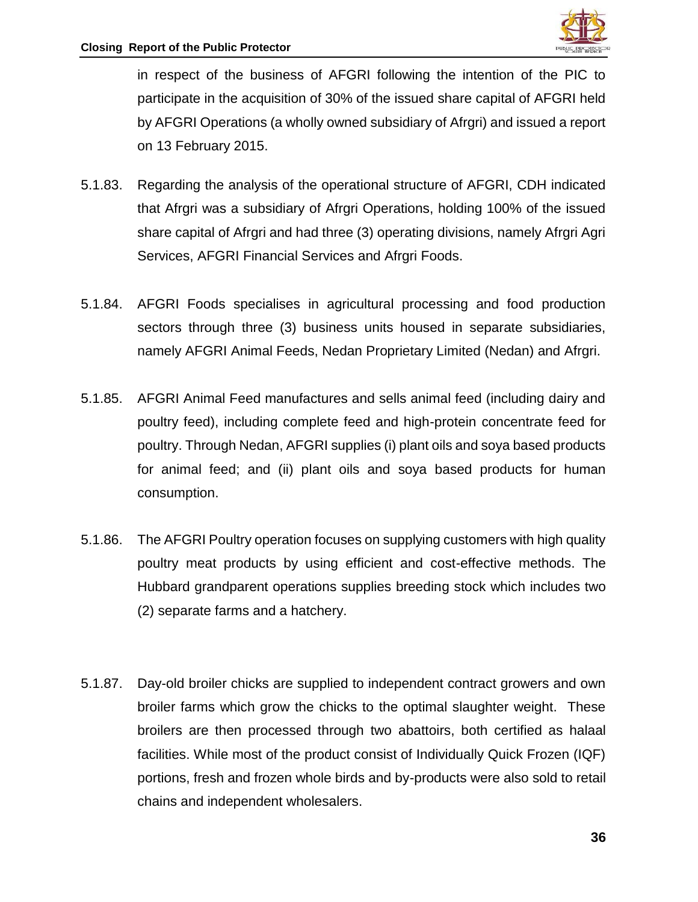

in respect of the business of AFGRI following the intention of the PIC to participate in the acquisition of 30% of the issued share capital of AFGRI held by AFGRI Operations (a wholly owned subsidiary of Afrgri) and issued a report on 13 February 2015.

- 5.1.83. Regarding the analysis of the operational structure of AFGRI, CDH indicated that Afrgri was a subsidiary of Afrgri Operations, holding 100% of the issued share capital of Afrgri and had three (3) operating divisions, namely Afrgri Agri Services, AFGRI Financial Services and Afrgri Foods.
- 5.1.84. AFGRI Foods specialises in agricultural processing and food production sectors through three (3) business units housed in separate subsidiaries, namely AFGRI Animal Feeds, Nedan Proprietary Limited (Nedan) and Afrgri.
- 5.1.85. AFGRI Animal Feed manufactures and sells animal feed (including dairy and poultry feed), including complete feed and high-protein concentrate feed for poultry. Through Nedan, AFGRI supplies (i) plant oils and soya based products for animal feed; and (ii) plant oils and soya based products for human consumption.
- 5.1.86. The AFGRI Poultry operation focuses on supplying customers with high quality poultry meat products by using efficient and cost-effective methods. The Hubbard grandparent operations supplies breeding stock which includes two (2) separate farms and a hatchery.
- 5.1.87. Day-old broiler chicks are supplied to independent contract growers and own broiler farms which grow the chicks to the optimal slaughter weight. These broilers are then processed through two abattoirs, both certified as halaal facilities. While most of the product consist of Individually Quick Frozen (IQF) portions, fresh and frozen whole birds and by-products were also sold to retail chains and independent wholesalers.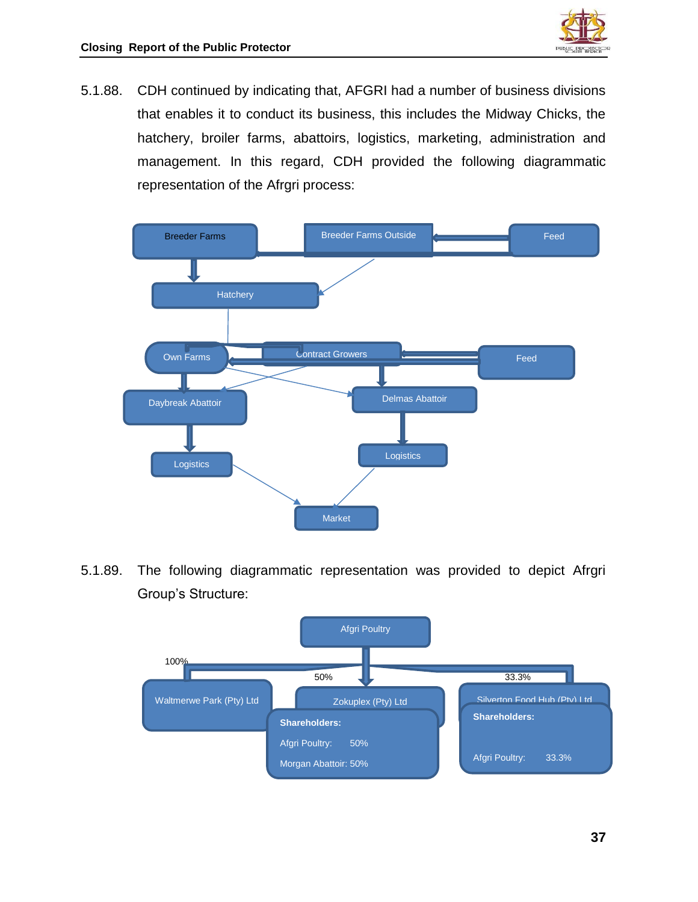

5.1.88. CDH continued by indicating that, AFGRI had a number of business divisions that enables it to conduct its business, this includes the Midway Chicks, the hatchery, broiler farms, abattoirs, logistics, marketing, administration and management. In this regard, CDH provided the following diagrammatic representation of the Afrgri process:



5.1.89. The following diagrammatic representation was provided to depict Afrgri Group's Structure:

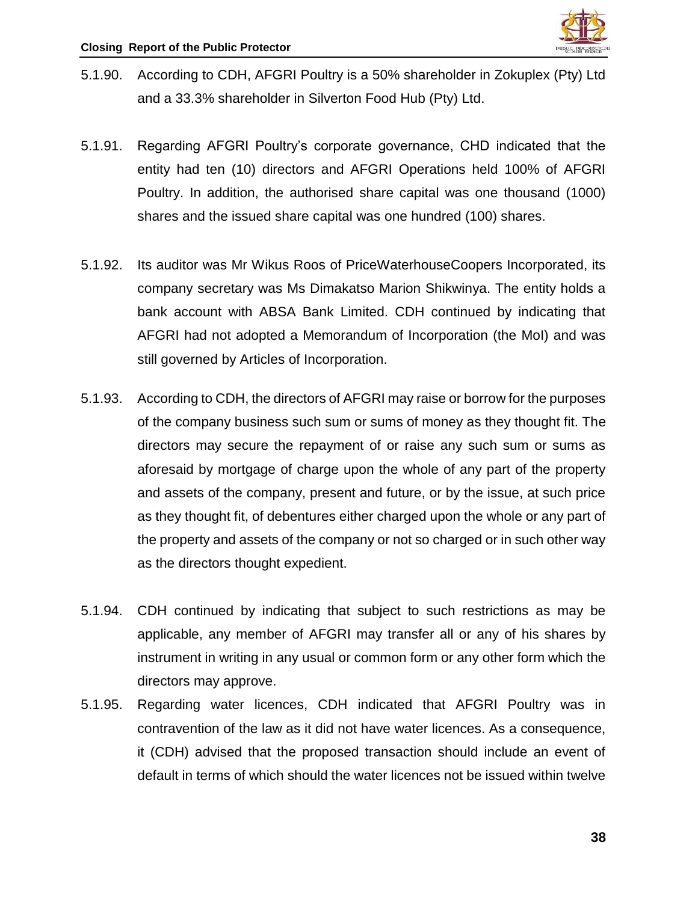

- 5.1.90. According to CDH, AFGRI Poultry is a 50% shareholder in Zokuplex (Pty) Ltd and a 33.3% shareholder in Silverton Food Hub (Pty) Ltd.
- 5.1.91. Regarding AFGRI Poultry's corporate governance, CHD indicated that the entity had ten (10) directors and AFGRI Operations held 100% of AFGRI Poultry. In addition, the authorised share capital was one thousand (1000) shares and the issued share capital was one hundred (100) shares.
- 5.1.92. Its auditor was Mr Wikus Roos of PriceWaterhouseCoopers Incorporated, its company secretary was Ms Dimakatso Marion Shikwinya. The entity holds a bank account with ABSA Bank Limited. CDH continued by indicating that AFGRI had not adopted a Memorandum of Incorporation (the MoI) and was still governed by Articles of Incorporation.
- 5.1.93. According to CDH, the directors of AFGRI may raise or borrow for the purposes of the company business such sum or sums of money as they thought fit. The directors may secure the repayment of or raise any such sum or sums as aforesaid by mortgage of charge upon the whole of any part of the property and assets of the company, present and future, or by the issue, at such price as they thought fit, of debentures either charged upon the whole or any part of the property and assets of the company or not so charged or in such other way as the directors thought expedient.
- 5.1.94. CDH continued by indicating that subject to such restrictions as may be applicable, any member of AFGRI may transfer all or any of his shares by instrument in writing in any usual or common form or any other form which the directors may approve.
- 5.1.95. Regarding water licences, CDH indicated that AFGRI Poultry was in contravention of the law as it did not have water licences. As a consequence, it (CDH) advised that the proposed transaction should include an event of default in terms of which should the water licences not be issued within twelve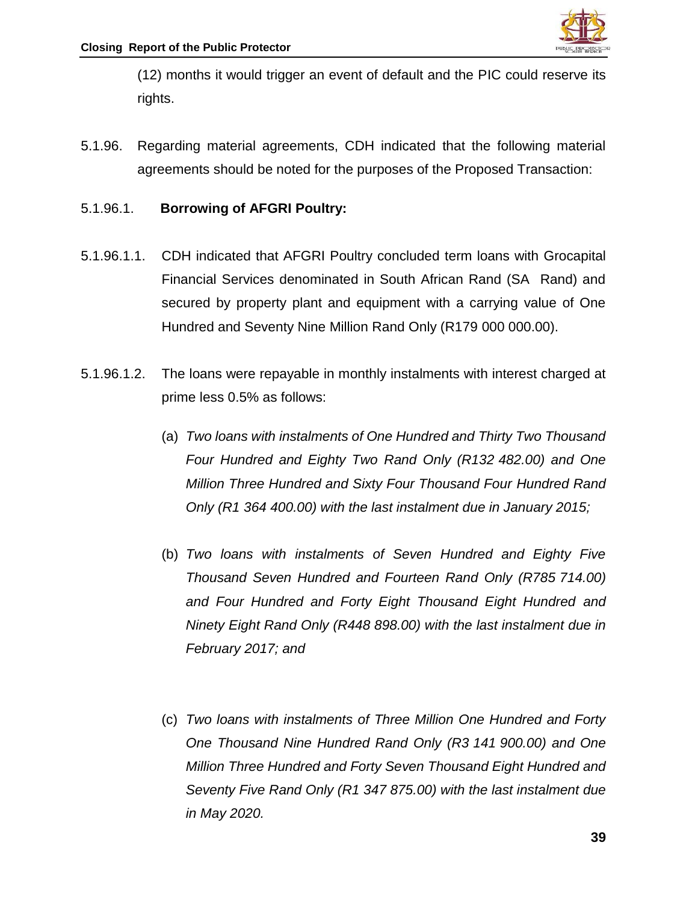

(12) months it would trigger an event of default and the PIC could reserve its rights.

5.1.96. Regarding material agreements, CDH indicated that the following material agreements should be noted for the purposes of the Proposed Transaction:

## 5.1.96.1. **Borrowing of AFGRI Poultry:**

- 5.1.96.1.1. CDH indicated that AFGRI Poultry concluded term loans with Grocapital Financial Services denominated in South African Rand (SA Rand) and secured by property plant and equipment with a carrying value of One Hundred and Seventy Nine Million Rand Only (R179 000 000.00).
- 5.1.96.1.2. The loans were repayable in monthly instalments with interest charged at prime less 0.5% as follows:
	- (a) *Two loans with instalments of One Hundred and Thirty Two Thousand Four Hundred and Eighty Two Rand Only (R132 482.00) and One Million Three Hundred and Sixty Four Thousand Four Hundred Rand Only (R1 364 400.00) with the last instalment due in January 2015;*
	- (b) *Two loans with instalments of Seven Hundred and Eighty Five Thousand Seven Hundred and Fourteen Rand Only (R785 714.00) and Four Hundred and Forty Eight Thousand Eight Hundred and Ninety Eight Rand Only (R448 898.00) with the last instalment due in February 2017; and*
	- (c) *Two loans with instalments of Three Million One Hundred and Forty One Thousand Nine Hundred Rand Only (R3 141 900.00) and One Million Three Hundred and Forty Seven Thousand Eight Hundred and Seventy Five Rand Only (R1 347 875.00) with the last instalment due in May 2020.*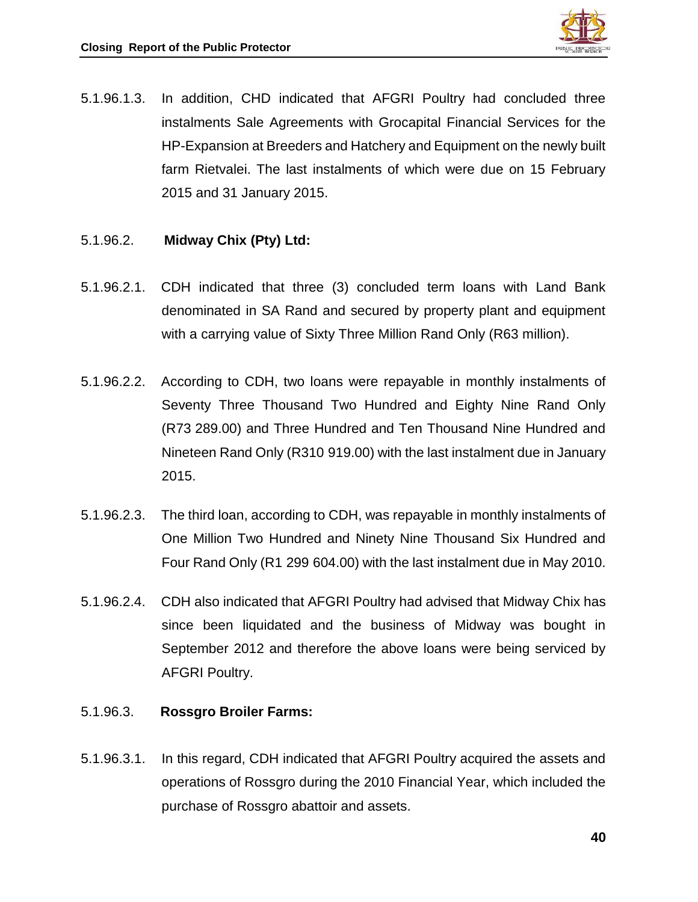

- 5.1.96.1.3. In addition, CHD indicated that AFGRI Poultry had concluded three instalments Sale Agreements with Grocapital Financial Services for the HP-Expansion at Breeders and Hatchery and Equipment on the newly built farm Rietvalei. The last instalments of which were due on 15 February 2015 and 31 January 2015.
- 5.1.96.2. **Midway Chix (Pty) Ltd:**
- 5.1.96.2.1. CDH indicated that three (3) concluded term loans with Land Bank denominated in SA Rand and secured by property plant and equipment with a carrying value of Sixty Three Million Rand Only (R63 million).
- 5.1.96.2.2. According to CDH, two loans were repayable in monthly instalments of Seventy Three Thousand Two Hundred and Eighty Nine Rand Only (R73 289.00) and Three Hundred and Ten Thousand Nine Hundred and Nineteen Rand Only (R310 919.00) with the last instalment due in January 2015.
- 5.1.96.2.3. The third loan, according to CDH, was repayable in monthly instalments of One Million Two Hundred and Ninety Nine Thousand Six Hundred and Four Rand Only (R1 299 604.00) with the last instalment due in May 2010.
- 5.1.96.2.4. CDH also indicated that AFGRI Poultry had advised that Midway Chix has since been liquidated and the business of Midway was bought in September 2012 and therefore the above loans were being serviced by AFGRI Poultry.

#### 5.1.96.3. **Rossgro Broiler Farms:**

5.1.96.3.1. In this regard, CDH indicated that AFGRI Poultry acquired the assets and operations of Rossgro during the 2010 Financial Year, which included the purchase of Rossgro abattoir and assets.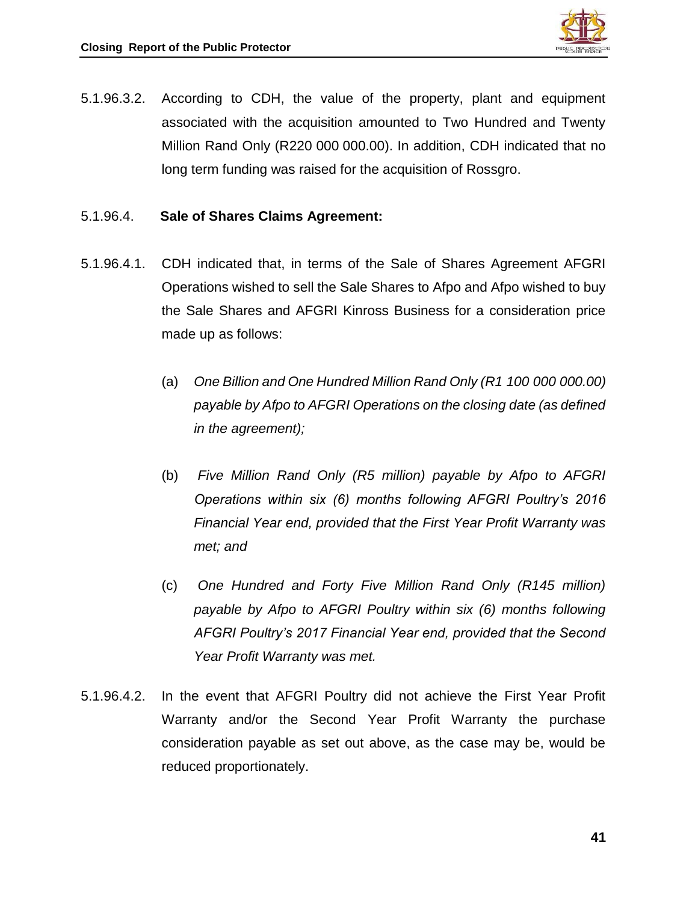

5.1.96.3.2. According to CDH, the value of the property, plant and equipment associated with the acquisition amounted to Two Hundred and Twenty Million Rand Only (R220 000 000.00). In addition, CDH indicated that no long term funding was raised for the acquisition of Rossgro.

## 5.1.96.4. **Sale of Shares Claims Agreement:**

- 5.1.96.4.1. CDH indicated that, in terms of the Sale of Shares Agreement AFGRI Operations wished to sell the Sale Shares to Afpo and Afpo wished to buy the Sale Shares and AFGRI Kinross Business for a consideration price made up as follows:
	- (a) *One Billion and One Hundred Million Rand Only (R1 100 000 000.00) payable by Afpo to AFGRI Operations on the closing date (as defined in the agreement);*
	- (b) *Five Million Rand Only (R5 million) payable by Afpo to AFGRI Operations within six (6) months following AFGRI Poultry's 2016 Financial Year end, provided that the First Year Profit Warranty was met; and*
	- (c) *One Hundred and Forty Five Million Rand Only (R145 million) payable by Afpo to AFGRI Poultry within six (6) months following AFGRI Poultry's 2017 Financial Year end, provided that the Second Year Profit Warranty was met.*
- 5.1.96.4.2. In the event that AFGRI Poultry did not achieve the First Year Profit Warranty and/or the Second Year Profit Warranty the purchase consideration payable as set out above, as the case may be, would be reduced proportionately.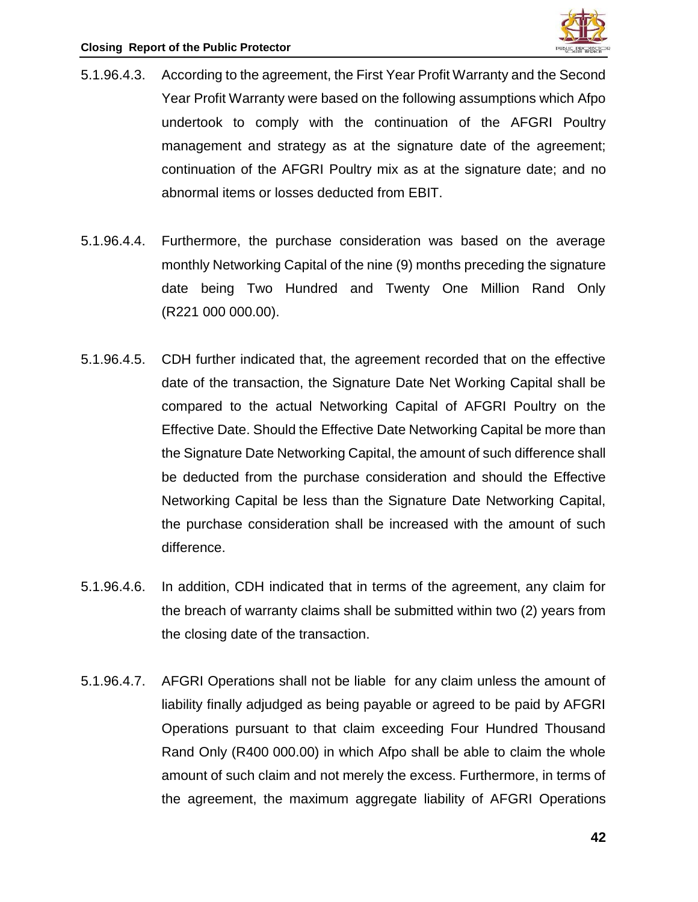

- 5.1.96.4.3. According to the agreement, the First Year Profit Warranty and the Second Year Profit Warranty were based on the following assumptions which Afpo undertook to comply with the continuation of the AFGRI Poultry management and strategy as at the signature date of the agreement; continuation of the AFGRI Poultry mix as at the signature date; and no abnormal items or losses deducted from EBIT.
- 5.1.96.4.4. Furthermore, the purchase consideration was based on the average monthly Networking Capital of the nine (9) months preceding the signature date being Two Hundred and Twenty One Million Rand Only (R221 000 000.00).
- 5.1.96.4.5. CDH further indicated that, the agreement recorded that on the effective date of the transaction, the Signature Date Net Working Capital shall be compared to the actual Networking Capital of AFGRI Poultry on the Effective Date. Should the Effective Date Networking Capital be more than the Signature Date Networking Capital, the amount of such difference shall be deducted from the purchase consideration and should the Effective Networking Capital be less than the Signature Date Networking Capital, the purchase consideration shall be increased with the amount of such difference.
- 5.1.96.4.6. In addition, CDH indicated that in terms of the agreement, any claim for the breach of warranty claims shall be submitted within two (2) years from the closing date of the transaction.
- 5.1.96.4.7. AFGRI Operations shall not be liable for any claim unless the amount of liability finally adjudged as being payable or agreed to be paid by AFGRI Operations pursuant to that claim exceeding Four Hundred Thousand Rand Only (R400 000.00) in which Afpo shall be able to claim the whole amount of such claim and not merely the excess. Furthermore, in terms of the agreement, the maximum aggregate liability of AFGRI Operations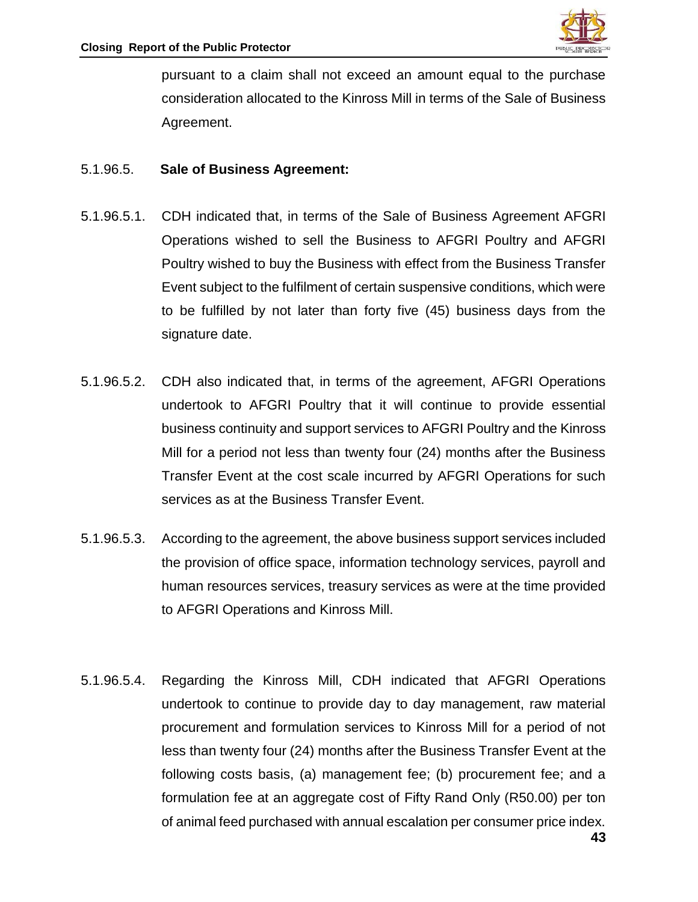

pursuant to a claim shall not exceed an amount equal to the purchase consideration allocated to the Kinross Mill in terms of the Sale of Business Agreement.

#### 5.1.96.5. **Sale of Business Agreement:**

- 5.1.96.5.1. CDH indicated that, in terms of the Sale of Business Agreement AFGRI Operations wished to sell the Business to AFGRI Poultry and AFGRI Poultry wished to buy the Business with effect from the Business Transfer Event subject to the fulfilment of certain suspensive conditions, which were to be fulfilled by not later than forty five (45) business days from the signature date.
- 5.1.96.5.2. CDH also indicated that, in terms of the agreement, AFGRI Operations undertook to AFGRI Poultry that it will continue to provide essential business continuity and support services to AFGRI Poultry and the Kinross Mill for a period not less than twenty four (24) months after the Business Transfer Event at the cost scale incurred by AFGRI Operations for such services as at the Business Transfer Event.
- 5.1.96.5.3. According to the agreement, the above business support services included the provision of office space, information technology services, payroll and human resources services, treasury services as were at the time provided to AFGRI Operations and Kinross Mill.
- 5.1.96.5.4. Regarding the Kinross Mill, CDH indicated that AFGRI Operations undertook to continue to provide day to day management, raw material procurement and formulation services to Kinross Mill for a period of not less than twenty four (24) months after the Business Transfer Event at the following costs basis, (a) management fee; (b) procurement fee; and a formulation fee at an aggregate cost of Fifty Rand Only (R50.00) per ton of animal feed purchased with annual escalation per consumer price index.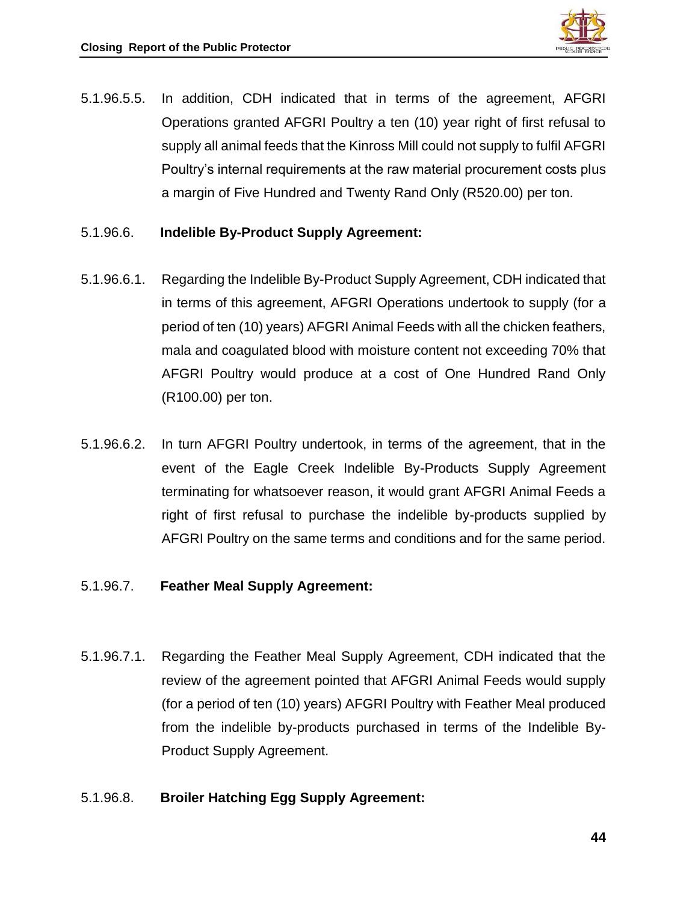

- 5.1.96.5.5. In addition, CDH indicated that in terms of the agreement, AFGRI Operations granted AFGRI Poultry a ten (10) year right of first refusal to supply all animal feeds that the Kinross Mill could not supply to fulfil AFGRI Poultry's internal requirements at the raw material procurement costs plus a margin of Five Hundred and Twenty Rand Only (R520.00) per ton.
- 5.1.96.6. **Indelible By-Product Supply Agreement:**
- 5.1.96.6.1. Regarding the Indelible By-Product Supply Agreement, CDH indicated that in terms of this agreement, AFGRI Operations undertook to supply (for a period of ten (10) years) AFGRI Animal Feeds with all the chicken feathers, mala and coagulated blood with moisture content not exceeding 70% that AFGRI Poultry would produce at a cost of One Hundred Rand Only (R100.00) per ton.
- 5.1.96.6.2. In turn AFGRI Poultry undertook, in terms of the agreement, that in the event of the Eagle Creek Indelible By-Products Supply Agreement terminating for whatsoever reason, it would grant AFGRI Animal Feeds a right of first refusal to purchase the indelible by-products supplied by AFGRI Poultry on the same terms and conditions and for the same period.
- 5.1.96.7. **Feather Meal Supply Agreement:**
- 5.1.96.7.1. Regarding the Feather Meal Supply Agreement, CDH indicated that the review of the agreement pointed that AFGRI Animal Feeds would supply (for a period of ten (10) years) AFGRI Poultry with Feather Meal produced from the indelible by-products purchased in terms of the Indelible By-Product Supply Agreement.

## 5.1.96.8. **Broiler Hatching Egg Supply Agreement:**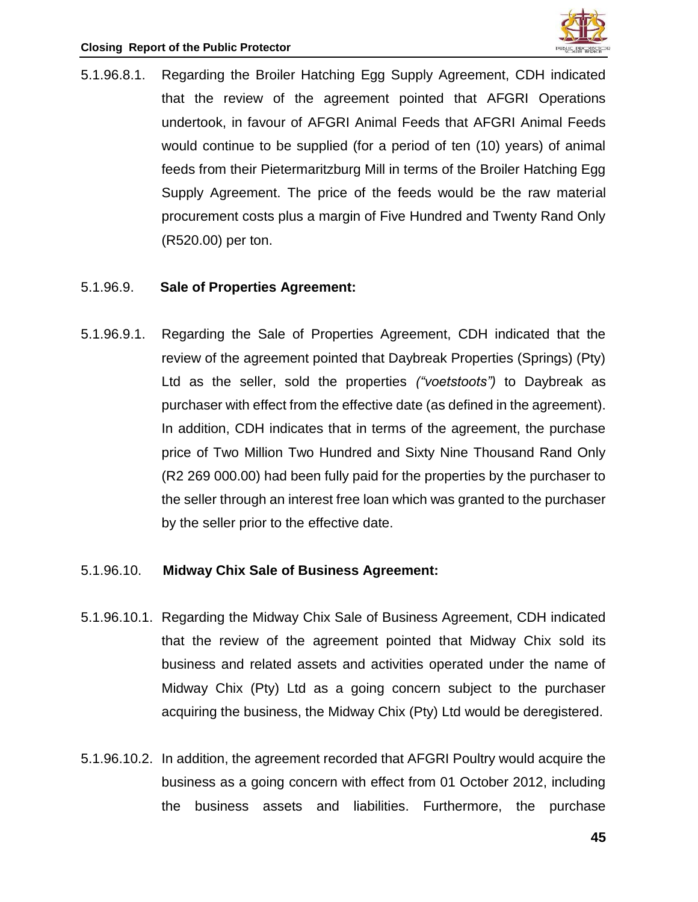

5.1.96.8.1. Regarding the Broiler Hatching Egg Supply Agreement, CDH indicated that the review of the agreement pointed that AFGRI Operations undertook, in favour of AFGRI Animal Feeds that AFGRI Animal Feeds would continue to be supplied (for a period of ten (10) years) of animal feeds from their Pietermaritzburg Mill in terms of the Broiler Hatching Egg Supply Agreement. The price of the feeds would be the raw material procurement costs plus a margin of Five Hundred and Twenty Rand Only (R520.00) per ton.

#### 5.1.96.9. **Sale of Properties Agreement:**

5.1.96.9.1. Regarding the Sale of Properties Agreement, CDH indicated that the review of the agreement pointed that Daybreak Properties (Springs) (Pty) Ltd as the seller, sold the properties *("voetstoots")* to Daybreak as purchaser with effect from the effective date (as defined in the agreement). In addition, CDH indicates that in terms of the agreement, the purchase price of Two Million Two Hundred and Sixty Nine Thousand Rand Only (R2 269 000.00) had been fully paid for the properties by the purchaser to the seller through an interest free loan which was granted to the purchaser by the seller prior to the effective date.

#### 5.1.96.10. **Midway Chix Sale of Business Agreement:**

- 5.1.96.10.1. Regarding the Midway Chix Sale of Business Agreement, CDH indicated that the review of the agreement pointed that Midway Chix sold its business and related assets and activities operated under the name of Midway Chix (Pty) Ltd as a going concern subject to the purchaser acquiring the business, the Midway Chix (Pty) Ltd would be deregistered.
- 5.1.96.10.2. In addition, the agreement recorded that AFGRI Poultry would acquire the business as a going concern with effect from 01 October 2012, including the business assets and liabilities. Furthermore, the purchase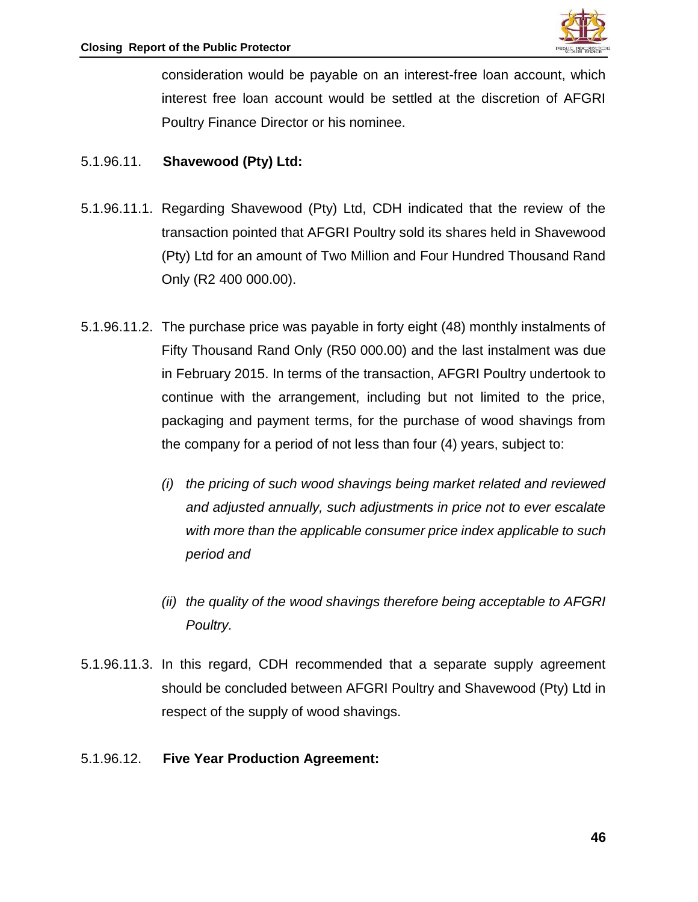

consideration would be payable on an interest-free loan account, which interest free loan account would be settled at the discretion of AFGRI Poultry Finance Director or his nominee.

## 5.1.96.11. **Shavewood (Pty) Ltd:**

- 5.1.96.11.1. Regarding Shavewood (Pty) Ltd, CDH indicated that the review of the transaction pointed that AFGRI Poultry sold its shares held in Shavewood (Pty) Ltd for an amount of Two Million and Four Hundred Thousand Rand Only (R2 400 000.00).
- 5.1.96.11.2. The purchase price was payable in forty eight (48) monthly instalments of Fifty Thousand Rand Only (R50 000.00) and the last instalment was due in February 2015. In terms of the transaction, AFGRI Poultry undertook to continue with the arrangement, including but not limited to the price, packaging and payment terms, for the purchase of wood shavings from the company for a period of not less than four (4) years, subject to:
	- *(i) the pricing of such wood shavings being market related and reviewed and adjusted annually, such adjustments in price not to ever escalate with more than the applicable consumer price index applicable to such period and*
	- *(ii) the quality of the wood shavings therefore being acceptable to AFGRI Poultry.*
- 5.1.96.11.3. In this regard, CDH recommended that a separate supply agreement should be concluded between AFGRI Poultry and Shavewood (Pty) Ltd in respect of the supply of wood shavings.
- 5.1.96.12. **Five Year Production Agreement:**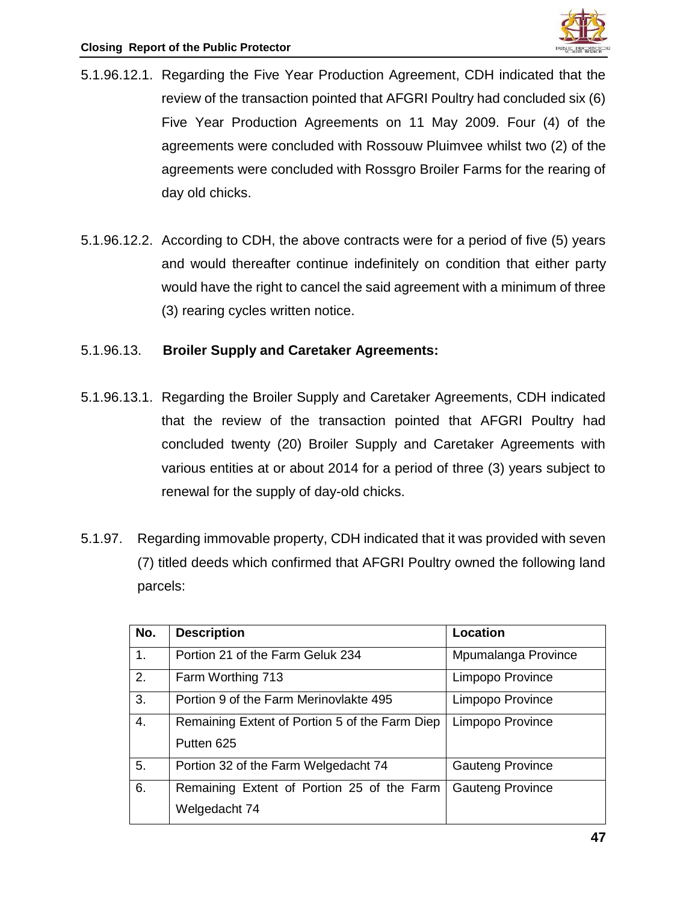- 5.1.96.12.1. Regarding the Five Year Production Agreement, CDH indicated that the review of the transaction pointed that AFGRI Poultry had concluded six (6) Five Year Production Agreements on 11 May 2009. Four (4) of the agreements were concluded with Rossouw Pluimvee whilst two (2) of the agreements were concluded with Rossgro Broiler Farms for the rearing of day old chicks.
- 5.1.96.12.2. According to CDH, the above contracts were for a period of five (5) years and would thereafter continue indefinitely on condition that either party would have the right to cancel the said agreement with a minimum of three (3) rearing cycles written notice.

## 5.1.96.13. **Broiler Supply and Caretaker Agreements:**

- 5.1.96.13.1. Regarding the Broiler Supply and Caretaker Agreements, CDH indicated that the review of the transaction pointed that AFGRI Poultry had concluded twenty (20) Broiler Supply and Caretaker Agreements with various entities at or about 2014 for a period of three (3) years subject to renewal for the supply of day-old chicks.
- 5.1.97. Regarding immovable property, CDH indicated that it was provided with seven (7) titled deeds which confirmed that AFGRI Poultry owned the following land parcels:

| No. | <b>Description</b>                             | <b>Location</b>         |
|-----|------------------------------------------------|-------------------------|
| 1.  | Portion 21 of the Farm Geluk 234               | Mpumalanga Province     |
| 2.  | Farm Worthing 713                              | Limpopo Province        |
| 3.  | Portion 9 of the Farm Merinovlakte 495         | Limpopo Province        |
| 4.  | Remaining Extent of Portion 5 of the Farm Diep | Limpopo Province        |
|     | Putten 625                                     |                         |
| 5.  | Portion 32 of the Farm Welgedacht 74           | <b>Gauteng Province</b> |
| 6.  | Remaining Extent of Portion 25 of the Farm     | <b>Gauteng Province</b> |
|     | Welgedacht 74                                  |                         |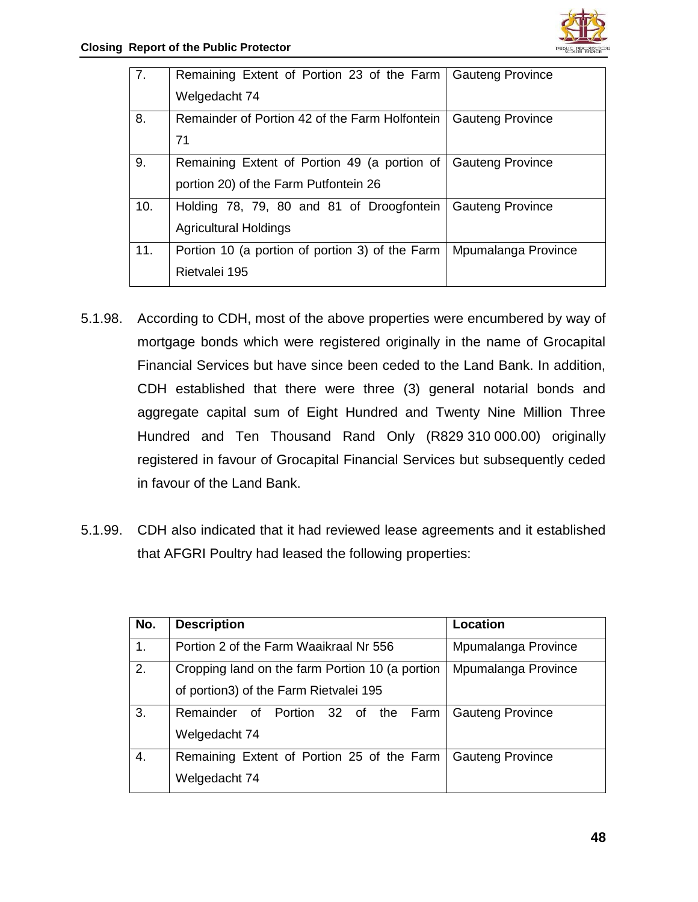| 7.  | Remaining Extent of Portion 23 of the Farm   Gauteng Province<br>Welgedacht 74        |                         |
|-----|---------------------------------------------------------------------------------------|-------------------------|
| 8.  | Remainder of Portion 42 of the Farm Holfontein<br>71                                  | <b>Gauteng Province</b> |
| 9.  | Remaining Extent of Portion 49 (a portion of<br>portion 20) of the Farm Putfontein 26 | <b>Gauteng Province</b> |
| 10. | Holding 78, 79, 80 and 81 of Droogfontein<br><b>Agricultural Holdings</b>             | <b>Gauteng Province</b> |
| 11. | Portion 10 (a portion of portion 3) of the Farm  <br>Rietvalei 195                    | Mpumalanga Province     |

- 5.1.98. According to CDH, most of the above properties were encumbered by way of mortgage bonds which were registered originally in the name of Grocapital Financial Services but have since been ceded to the Land Bank. In addition, CDH established that there were three (3) general notarial bonds and aggregate capital sum of Eight Hundred and Twenty Nine Million Three Hundred and Ten Thousand Rand Only (R829 310 000.00) originally registered in favour of Grocapital Financial Services but subsequently ceded in favour of the Land Bank.
- 5.1.99. CDH also indicated that it had reviewed lease agreements and it established that AFGRI Poultry had leased the following properties:

| No. | <b>Description</b>                              | Location                |
|-----|-------------------------------------------------|-------------------------|
| 1.  | Portion 2 of the Farm Waaikraal Nr 556          | Mpumalanga Province     |
| 2.  | Cropping land on the farm Portion 10 (a portion | Mpumalanga Province     |
|     | of portion3) of the Farm Rietvalei 195          |                         |
| 3.  | Remainder of Portion 32 of the Farm             | <b>Gauteng Province</b> |
|     | Welgedacht 74                                   |                         |
| 4.  | Remaining Extent of Portion 25 of the Farm      | <b>Gauteng Province</b> |
|     | Welgedacht 74                                   |                         |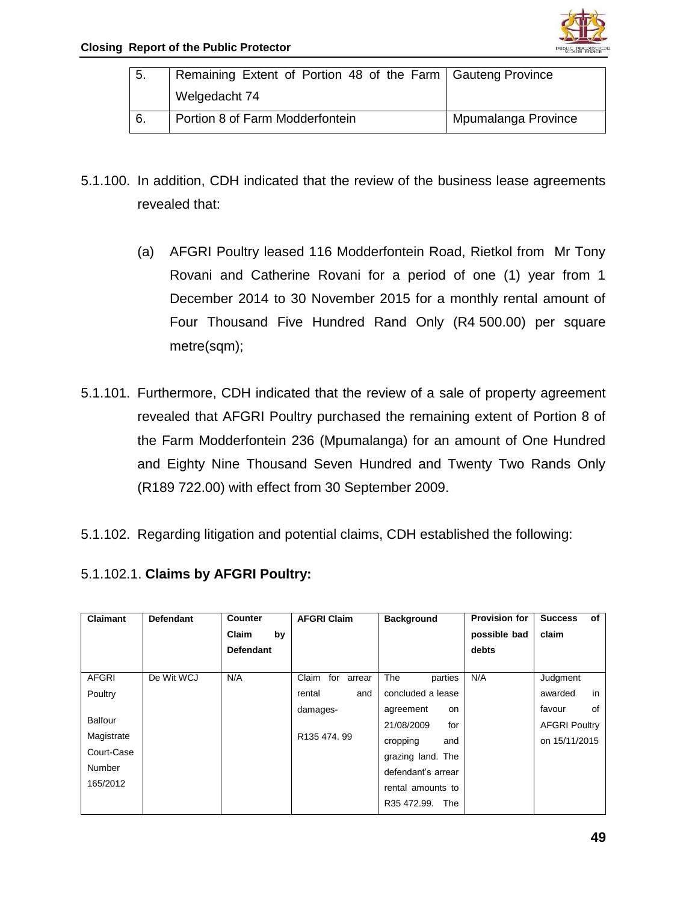

| $\vert 5.$       | Remaining Extent of Portion 48 of the Farm Gauteng Province |                     |
|------------------|-------------------------------------------------------------|---------------------|
|                  | Welgedacht 74                                               |                     |
| $\overline{6}$ . | Portion 8 of Farm Modderfontein                             | Mpumalanga Province |

- 5.1.100. In addition, CDH indicated that the review of the business lease agreements revealed that:
	- (a) AFGRI Poultry leased 116 Modderfontein Road, Rietkol from Mr Tony Rovani and Catherine Rovani for a period of one (1) year from 1 December 2014 to 30 November 2015 for a monthly rental amount of Four Thousand Five Hundred Rand Only (R4 500.00) per square metre(sqm);
- 5.1.101. Furthermore, CDH indicated that the review of a sale of property agreement revealed that AFGRI Poultry purchased the remaining extent of Portion 8 of the Farm Modderfontein 236 (Mpumalanga) for an amount of One Hundred and Eighty Nine Thousand Seven Hundred and Twenty Two Rands Only (R189 722.00) with effect from 30 September 2009.
- 5.1.102. Regarding litigation and potential claims, CDH established the following:
- 5.1.102.1. **Claims by AFGRI Poultry:**

| Claimant     | <b>Defendant</b> | Counter          | <b>AFGRI Claim</b>     | <b>Background</b>      | <b>Provision for</b> | οf<br><b>Success</b> |
|--------------|------------------|------------------|------------------------|------------------------|----------------------|----------------------|
|              |                  | Claim<br>by      |                        |                        | possible bad         | claim                |
|              |                  | <b>Defendant</b> |                        |                        | debts                |                      |
|              |                  |                  |                        |                        |                      |                      |
| <b>AFGRI</b> | De Wit WCJ       | N/A              | Claim<br>for<br>arrear | <b>The</b><br>parties  | N/A                  | Judgment             |
| Poultry      |                  |                  | rental<br>and          | concluded a lease      |                      | in<br>awarded        |
|              |                  |                  | damages-               | agreement<br><b>on</b> |                      | 0f<br>favour         |
| Balfour      |                  |                  |                        | 21/08/2009<br>for      |                      | <b>AFGRI Poultry</b> |
| Magistrate   |                  |                  | R135 474, 99           | cropping<br>and        |                      | on 15/11/2015        |
| Court-Case   |                  |                  |                        | grazing land. The      |                      |                      |
| Number       |                  |                  |                        | defendant's arrear     |                      |                      |
| 165/2012     |                  |                  |                        | rental amounts to      |                      |                      |
|              |                  |                  |                        | R35 472.99.<br>The     |                      |                      |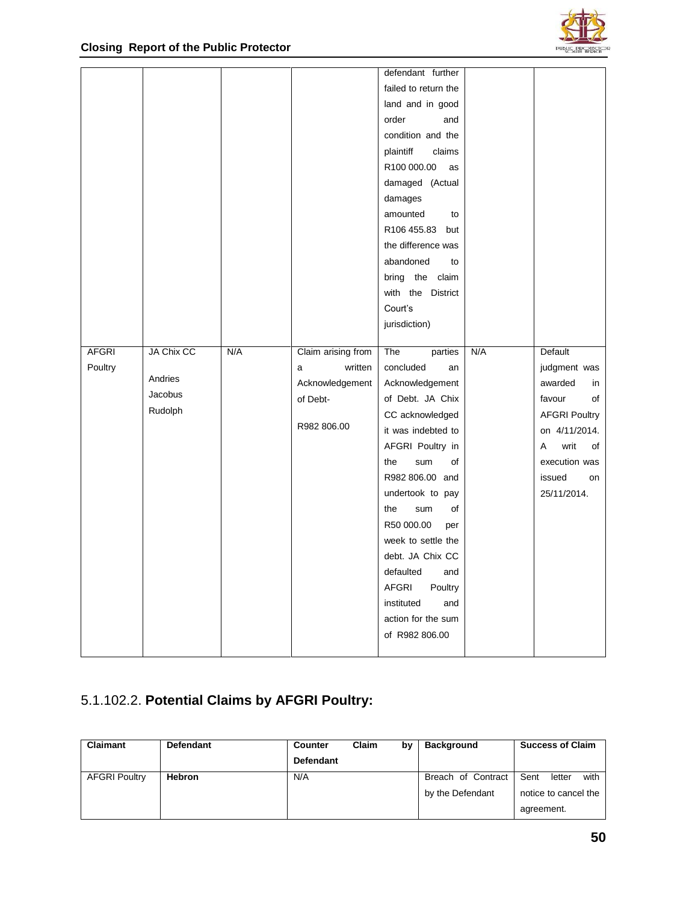

|              |            |     |                    | defendant further       |     |                      |
|--------------|------------|-----|--------------------|-------------------------|-----|----------------------|
|              |            |     |                    | failed to return the    |     |                      |
|              |            |     |                    | land and in good        |     |                      |
|              |            |     |                    | order<br>and            |     |                      |
|              |            |     |                    | condition and the       |     |                      |
|              |            |     |                    | plaintiff<br>claims     |     |                      |
|              |            |     |                    | R100 000.00<br>as       |     |                      |
|              |            |     |                    | damaged (Actual         |     |                      |
|              |            |     |                    | damages                 |     |                      |
|              |            |     |                    | amounted<br>to          |     |                      |
|              |            |     |                    | R106 455.83 but         |     |                      |
|              |            |     |                    | the difference was      |     |                      |
|              |            |     |                    | abandoned<br>to         |     |                      |
|              |            |     |                    | bring the claim         |     |                      |
|              |            |     |                    | with the District       |     |                      |
|              |            |     |                    | Court's                 |     |                      |
|              |            |     |                    | jurisdiction)           |     |                      |
|              |            |     |                    |                         |     |                      |
| <b>AFGRI</b> | JA Chix CC | N/A | Claim arising from | The<br>parties          | N/A | Default              |
| Poultry      |            |     | written<br>a       | concluded<br>an         |     | judgment was         |
|              | Andries    |     | Acknowledgement    | Acknowledgement         |     | awarded<br>in        |
|              | Jacobus    |     | of Debt-           | of Debt. JA Chix        |     | favour<br>of         |
|              | Rudolph    |     |                    | CC acknowledged         |     | <b>AFGRI Poultry</b> |
|              |            |     | R982 806.00        | it was indebted to      |     | on 4/11/2014.        |
|              |            |     |                    | AFGRI Poultry in        |     | writ<br>of<br>A      |
|              |            |     |                    | sum<br>of<br>the        |     | execution was        |
|              |            |     |                    | R982 806.00 and         |     | issued<br>on         |
|              |            |     |                    | undertook to pay        |     | 25/11/2014.          |
|              |            |     |                    | the<br>sum<br>of        |     |                      |
|              |            |     |                    | R50 000.00<br>per       |     |                      |
|              |            |     |                    | week to settle the      |     |                      |
|              |            |     |                    | debt. JA Chix CC        |     |                      |
|              |            |     |                    | defaulted<br>and        |     |                      |
|              |            |     |                    | <b>AFGRI</b><br>Poultry |     |                      |
|              |            |     |                    | instituted<br>and       |     |                      |
|              |            |     |                    | action for the sum      |     |                      |
|              |            |     |                    |                         |     |                      |
|              |            |     |                    | of R982 806.00          |     |                      |

# 5.1.102.2. **Potential Claims by AFGRI Poultry:**

| <b>Claimant</b>      | <b>Defendant</b> | <b>Counter</b>   | Claim | b٧ | <b>Background</b>  | <b>Success of Claim</b> |
|----------------------|------------------|------------------|-------|----|--------------------|-------------------------|
|                      |                  | <b>Defendant</b> |       |    |                    |                         |
| <b>AFGRI Poultry</b> | <b>Hebron</b>    | N/A              |       |    | Breach of Contract | Sent<br>with<br>letter  |
|                      |                  |                  |       |    | by the Defendant   | notice to cancel the    |
|                      |                  |                  |       |    |                    | agreement.              |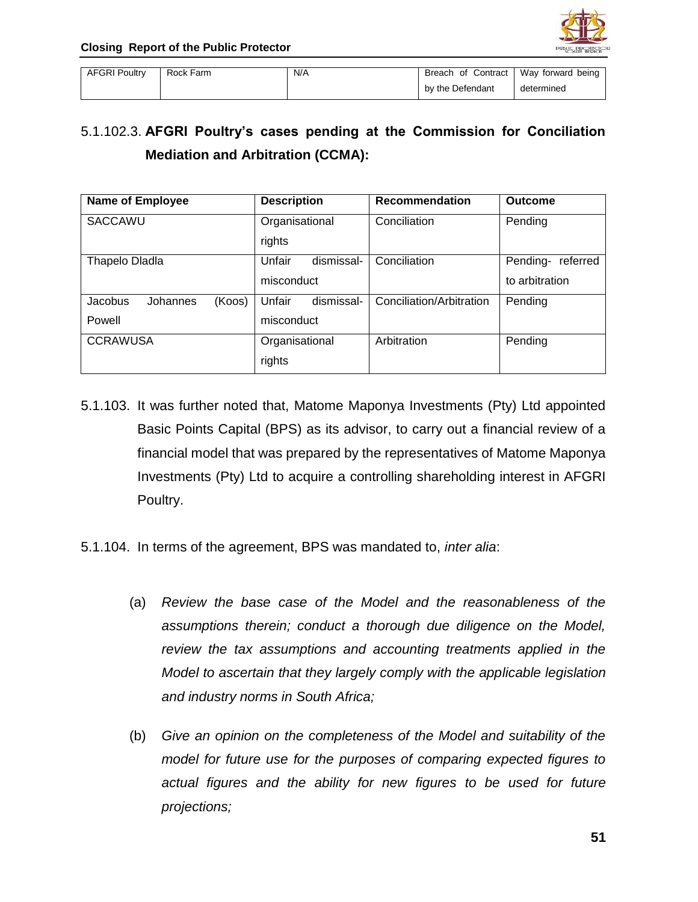

| <b>AFGRI Poultry</b> | Rock Farm | N/A | Breach of Contract | Way forward being |
|----------------------|-----------|-----|--------------------|-------------------|
|                      |           |     | by the Defendant   | determined        |

# 5.1.102.3. **AFGRI Poultry's cases pending at the Commission for Conciliation Mediation and Arbitration (CCMA):**

| <b>Name of Employee</b>       | <b>Description</b>   | <b>Recommendation</b>    | <b>Outcome</b>       |
|-------------------------------|----------------------|--------------------------|----------------------|
| SACCAWU                       | Organisational       | Conciliation             | Pending              |
|                               | rights               |                          |                      |
| Thapelo Dladla                | Unfair<br>dismissal- | Conciliation             | Pending-<br>referred |
|                               | misconduct           |                          | to arbitration       |
| (Koos)<br>Jacobus<br>Johannes | Unfair<br>dismissal- | Conciliation/Arbitration | Pending              |
| Powell                        | misconduct           |                          |                      |
| <b>CCRAWUSA</b>               | Organisational       | Arbitration              | Pending              |
|                               | rights               |                          |                      |

- 5.1.103. It was further noted that, Matome Maponya Investments (Pty) Ltd appointed Basic Points Capital (BPS) as its advisor, to carry out a financial review of a financial model that was prepared by the representatives of Matome Maponya Investments (Pty) Ltd to acquire a controlling shareholding interest in AFGRI Poultry.
- 5.1.104. In terms of the agreement, BPS was mandated to, *inter alia*:
	- (a) *Review the base case of the Model and the reasonableness of the assumptions therein; conduct a thorough due diligence on the Model, review the tax assumptions and accounting treatments applied in the Model to ascertain that they largely comply with the applicable legislation and industry norms in South Africa;*
	- (b) *Give an opinion on the completeness of the Model and suitability of the model for future use for the purposes of comparing expected figures to actual figures and the ability for new figures to be used for future projections;*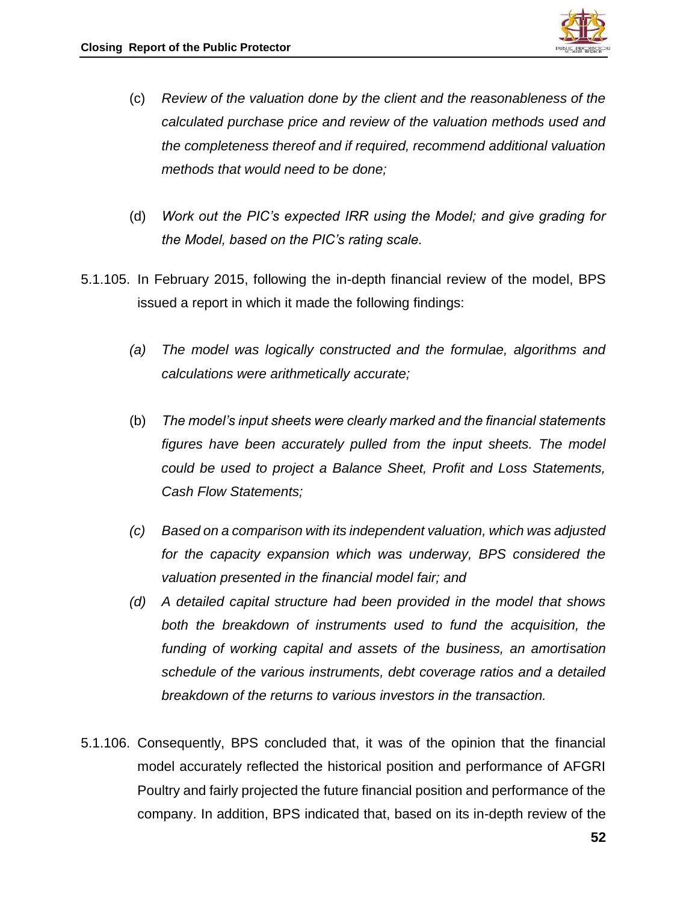

- (c) *Review of the valuation done by the client and the reasonableness of the calculated purchase price and review of the valuation methods used and the completeness thereof and if required, recommend additional valuation methods that would need to be done;*
- (d) *Work out the PIC's expected IRR using the Model; and give grading for the Model, based on the PIC's rating scale.*
- 5.1.105. In February 2015, following the in-depth financial review of the model, BPS issued a report in which it made the following findings:
	- *(a) The model was logically constructed and the formulae, algorithms and calculations were arithmetically accurate;*
	- (b) *The model's input sheets were clearly marked and the financial statements figures have been accurately pulled from the input sheets. The model could be used to project a Balance Sheet, Profit and Loss Statements, Cash Flow Statements;*
	- *(c) Based on a comparison with its independent valuation, which was adjusted for the capacity expansion which was underway, BPS considered the valuation presented in the financial model fair; and*
	- *(d) A detailed capital structure had been provided in the model that shows both the breakdown of instruments used to fund the acquisition, the funding of working capital and assets of the business, an amortisation schedule of the various instruments, debt coverage ratios and a detailed breakdown of the returns to various investors in the transaction.*
- 5.1.106. Consequently, BPS concluded that, it was of the opinion that the financial model accurately reflected the historical position and performance of AFGRI Poultry and fairly projected the future financial position and performance of the company. In addition, BPS indicated that, based on its in-depth review of the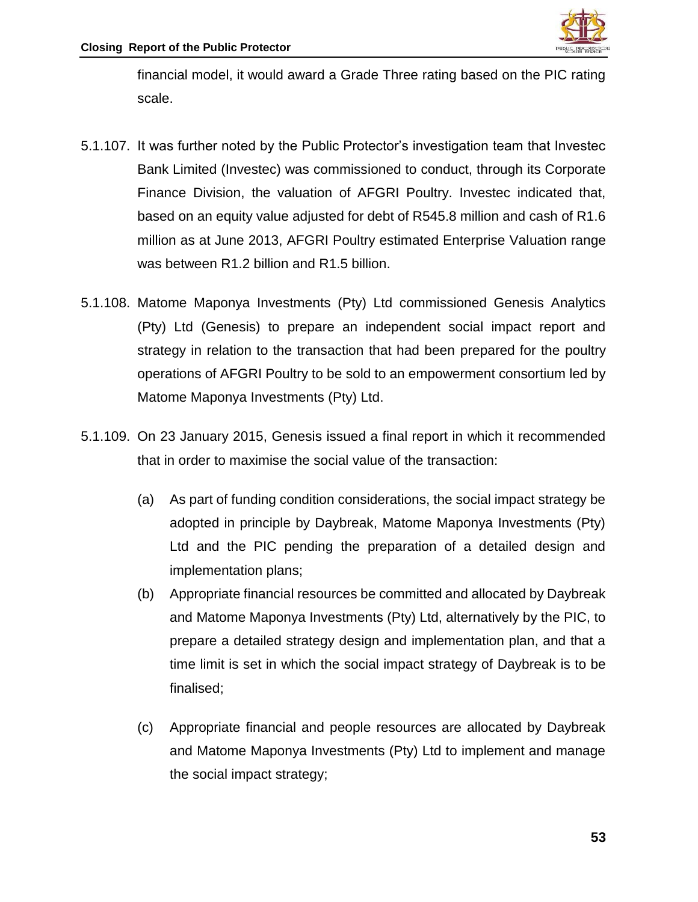

financial model, it would award a Grade Three rating based on the PIC rating scale.

- 5.1.107. It was further noted by the Public Protector's investigation team that Investec Bank Limited (Investec) was commissioned to conduct, through its Corporate Finance Division, the valuation of AFGRI Poultry. Investec indicated that, based on an equity value adjusted for debt of R545.8 million and cash of R1.6 million as at June 2013, AFGRI Poultry estimated Enterprise Valuation range was between R1.2 billion and R1.5 billion.
- 5.1.108. Matome Maponya Investments (Pty) Ltd commissioned Genesis Analytics (Pty) Ltd (Genesis) to prepare an independent social impact report and strategy in relation to the transaction that had been prepared for the poultry operations of AFGRI Poultry to be sold to an empowerment consortium led by Matome Maponya Investments (Pty) Ltd.
- 5.1.109. On 23 January 2015, Genesis issued a final report in which it recommended that in order to maximise the social value of the transaction:
	- (a) As part of funding condition considerations, the social impact strategy be adopted in principle by Daybreak, Matome Maponya Investments (Pty) Ltd and the PIC pending the preparation of a detailed design and implementation plans;
	- (b) Appropriate financial resources be committed and allocated by Daybreak and Matome Maponya Investments (Pty) Ltd, alternatively by the PIC, to prepare a detailed strategy design and implementation plan, and that a time limit is set in which the social impact strategy of Daybreak is to be finalised;
	- (c) Appropriate financial and people resources are allocated by Daybreak and Matome Maponya Investments (Pty) Ltd to implement and manage the social impact strategy;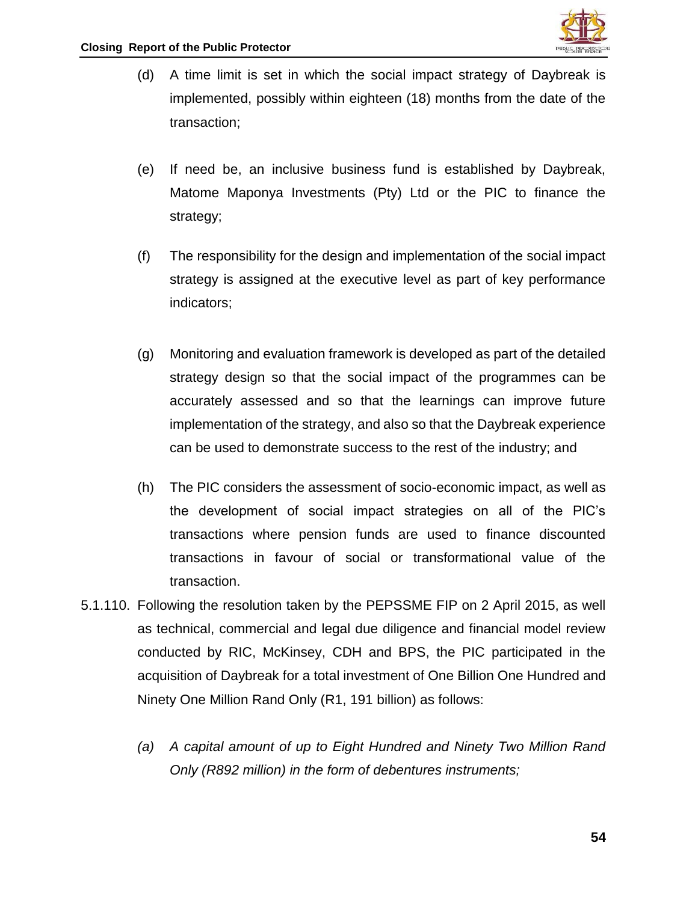

- (d) A time limit is set in which the social impact strategy of Daybreak is implemented, possibly within eighteen (18) months from the date of the transaction;
- (e) If need be, an inclusive business fund is established by Daybreak, Matome Maponya Investments (Pty) Ltd or the PIC to finance the strategy;
- (f) The responsibility for the design and implementation of the social impact strategy is assigned at the executive level as part of key performance indicators;
- (g) Monitoring and evaluation framework is developed as part of the detailed strategy design so that the social impact of the programmes can be accurately assessed and so that the learnings can improve future implementation of the strategy, and also so that the Daybreak experience can be used to demonstrate success to the rest of the industry; and
- (h) The PIC considers the assessment of socio-economic impact, as well as the development of social impact strategies on all of the PIC's transactions where pension funds are used to finance discounted transactions in favour of social or transformational value of the transaction.
- 5.1.110. Following the resolution taken by the PEPSSME FIP on 2 April 2015, as well as technical, commercial and legal due diligence and financial model review conducted by RIC, McKinsey, CDH and BPS, the PIC participated in the acquisition of Daybreak for a total investment of One Billion One Hundred and Ninety One Million Rand Only (R1, 191 billion) as follows:
	- *(a) A capital amount of up to Eight Hundred and Ninety Two Million Rand Only (R892 million) in the form of debentures instruments;*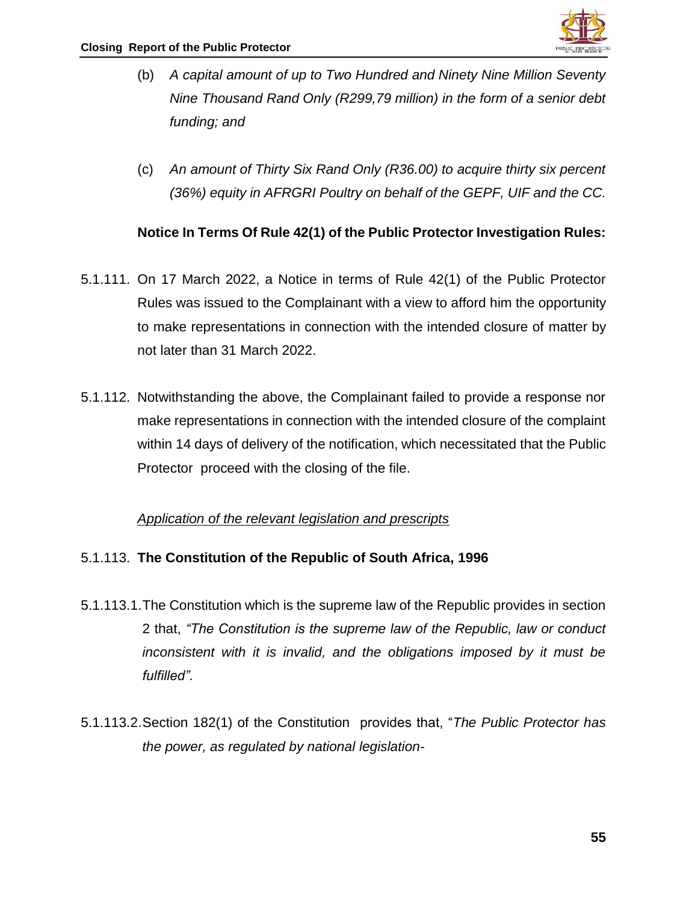

- (b) *A capital amount of up to Two Hundred and Ninety Nine Million Seventy Nine Thousand Rand Only (R299,79 million) in the form of a senior debt funding; and*
- (c) *An amount of Thirty Six Rand Only (R36.00) to acquire thirty six percent (36%) equity in AFRGRI Poultry on behalf of the GEPF, UIF and the CC.*

## **Notice In Terms Of Rule 42(1) of the Public Protector Investigation Rules:**

- 5.1.111. On 17 March 2022, a Notice in terms of Rule 42(1) of the Public Protector Rules was issued to the Complainant with a view to afford him the opportunity to make representations in connection with the intended closure of matter by not later than 31 March 2022.
- 5.1.112. Notwithstanding the above, the Complainant failed to provide a response nor make representations in connection with the intended closure of the complaint within 14 days of delivery of the notification, which necessitated that the Public Protector proceed with the closing of the file.

#### *Application of the relevant legislation and prescripts*

#### 5.1.113. **The Constitution of the Republic of South Africa, 1996**

- 5.1.113.1.The Constitution which is the supreme law of the Republic provides in section 2 that, *"The Constitution is the supreme law of the Republic, law or conduct inconsistent with it is invalid, and the obligations imposed by it must be fulfilled".*
- 5.1.113.2.Section 182(1) of the Constitution provides that, "*The Public Protector has the power, as regulated by national legislation-*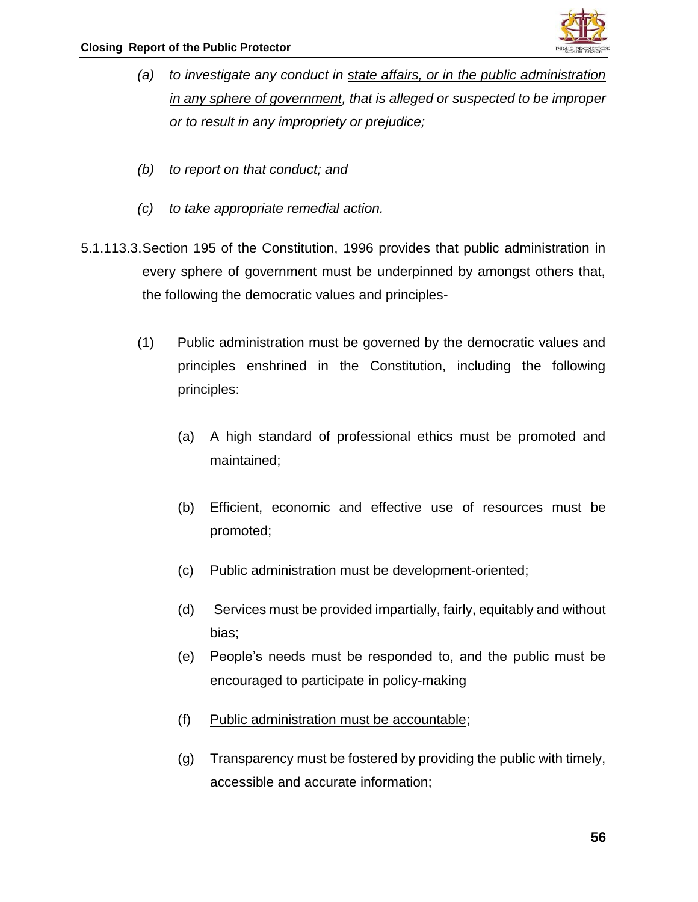

- *(a) to investigate any conduct in state affairs, or in the public administration in any sphere of government, that is alleged or suspected to be improper or to result in any impropriety or prejudice;*
- *(b) to report on that conduct; and*
- *(c) to take appropriate remedial action.*
- 5.1.113.3.Section 195 of the Constitution, 1996 provides that public administration in every sphere of government must be underpinned by amongst others that, the following the democratic values and principles-
	- (1) Public administration must be governed by the democratic values and principles enshrined in the Constitution, including the following principles:
		- (a) A high standard of professional ethics must be promoted and maintained;
		- (b) Efficient, economic and effective use of resources must be promoted;
		- (c) Public administration must be development-oriented;
		- (d) Services must be provided impartially, fairly, equitably and without bias;
		- (e) People's needs must be responded to, and the public must be encouraged to participate in policy-making
		- (f) Public administration must be accountable;
		- (g) Transparency must be fostered by providing the public with timely, accessible and accurate information;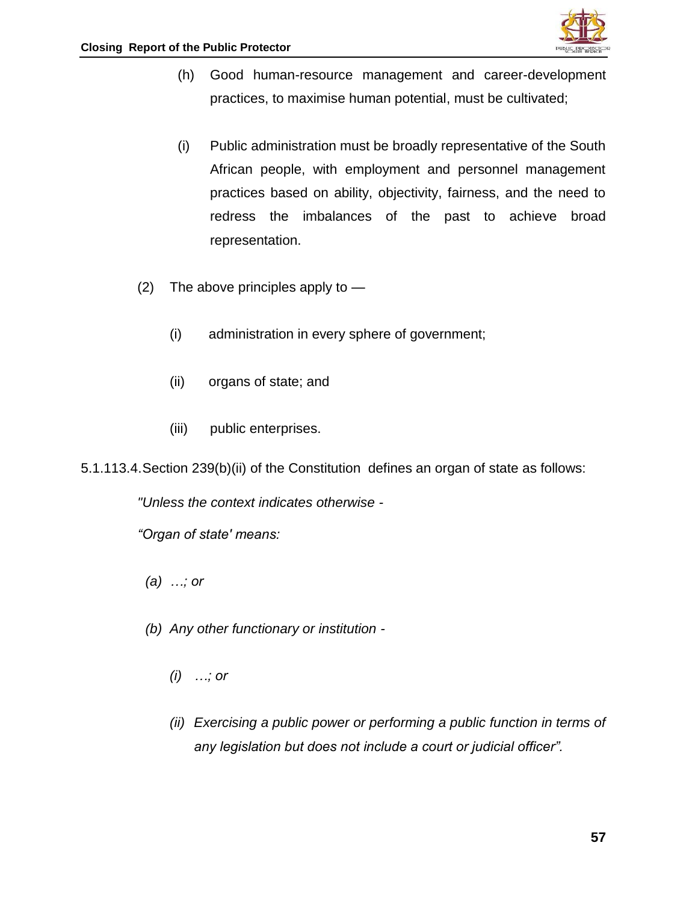

- (h) Good human-resource management and career-development practices, to maximise human potential, must be cultivated;
- (i) Public administration must be broadly representative of the South African people, with employment and personnel management practices based on ability, objectivity, fairness, and the need to redress the imbalances of the past to achieve broad representation.
- (2) The above principles apply to
	- (i) administration in every sphere of government;
	- (ii) organs of state; and
	- (iii) public enterprises.

5.1.113.4.Section 239(b)(ii) of the Constitution defines an organ of state as follows:

*"Unless the context indicates otherwise -*

*"Organ of state' means:*

- *(a) …; or*
- *(b) Any other functionary or institution -*
	- *(i) …; or*
	- *(ii) Exercising a public power or performing a public function in terms of any legislation but does not include a court or judicial officer".*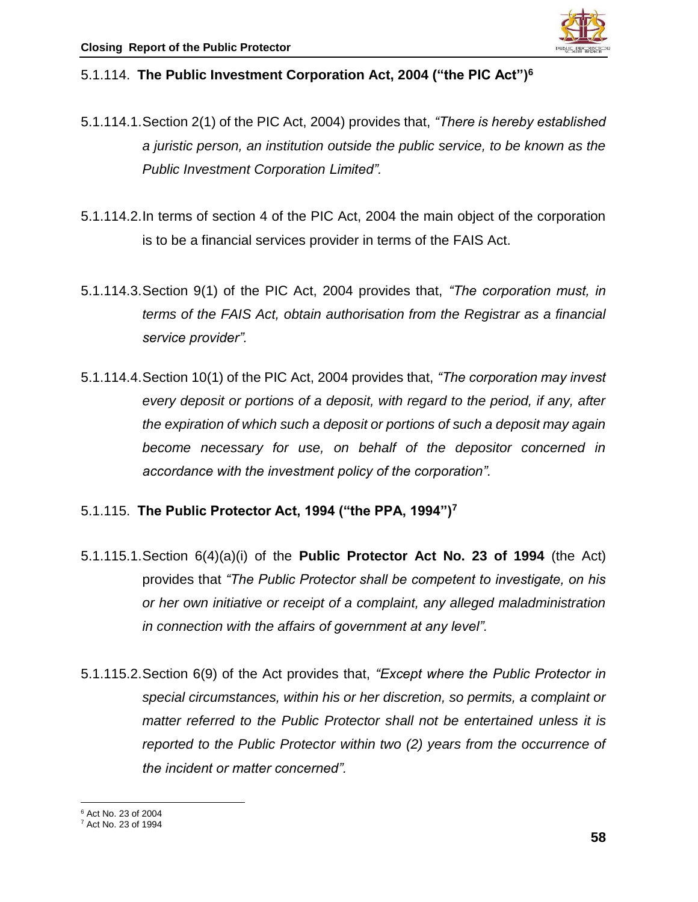

#### 5.1.114. **The Public Investment Corporation Act, 2004 ("the PIC Act")<sup>6</sup>**

- 5.1.114.1.Section 2(1) of the PIC Act, 2004) provides that, *"There is hereby established a juristic person, an institution outside the public service, to be known as the Public Investment Corporation Limited".*
- 5.1.114.2.In terms of section 4 of the PIC Act, 2004 the main object of the corporation is to be a financial services provider in terms of the FAIS Act.
- 5.1.114.3.Section 9(1) of the PIC Act, 2004 provides that, *"The corporation must, in terms of the FAIS Act, obtain authorisation from the Registrar as a financial service provider".*
- 5.1.114.4.Section 10(1) of the PIC Act, 2004 provides that, *"The corporation may invest every deposit or portions of a deposit, with regard to the period, if any, after the expiration of which such a deposit or portions of such a deposit may again become necessary for use, on behalf of the depositor concerned in accordance with the investment policy of the corporation".*
- 5.1.115. **The Public Protector Act, 1994 ("the PPA, 1994")<sup>7</sup>**
- 5.1.115.1.Section 6(4)(a)(i) of the **Public Protector Act No. 23 of 1994** (the Act) provides that *"The Public Protector shall be competent to investigate, on his or her own initiative or receipt of a complaint, any alleged maladministration in connection with the affairs of government at any level".*
- 5.1.115.2.Section 6(9) of the Act provides that, *"Except where the Public Protector in special circumstances, within his or her discretion, so permits, a complaint or matter referred to the Public Protector shall not be entertained unless it is reported to the Public Protector within two (2) years from the occurrence of the incident or matter concerned".*

 $\overline{\phantom{a}}$ <sup>6</sup> Act No. 23 of 2004

<sup>7</sup> Act No. 23 of 1994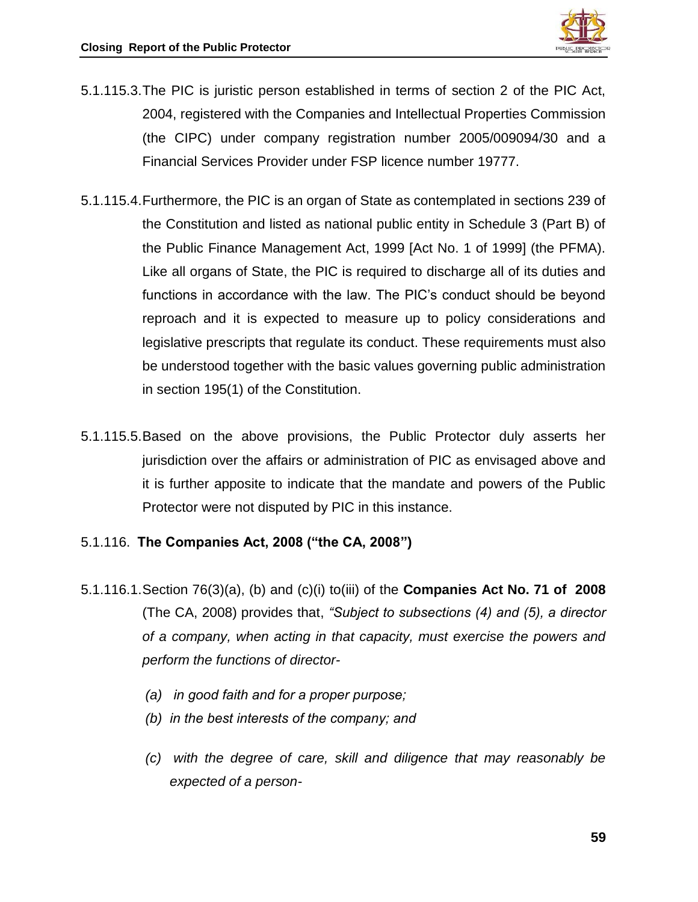

- 5.1.115.3.The PIC is juristic person established in terms of section 2 of the PIC Act, 2004, registered with the Companies and Intellectual Properties Commission (the CIPC) under company registration number 2005/009094/30 and a Financial Services Provider under FSP licence number 19777.
- 5.1.115.4.Furthermore, the PIC is an organ of State as contemplated in sections 239 of the Constitution and listed as national public entity in Schedule 3 (Part B) of the Public Finance Management Act, 1999 [Act No. 1 of 1999] (the PFMA). Like all organs of State, the PIC is required to discharge all of its duties and functions in accordance with the law. The PIC's conduct should be beyond reproach and it is expected to measure up to policy considerations and legislative prescripts that regulate its conduct. These requirements must also be understood together with the basic values governing public administration in section 195(1) of the Constitution.
- 5.1.115.5.Based on the above provisions, the Public Protector duly asserts her jurisdiction over the affairs or administration of PIC as envisaged above and it is further apposite to indicate that the mandate and powers of the Public Protector were not disputed by PIC in this instance.

## 5.1.116. **The Companies Act, 2008 ("the CA, 2008")**

- 5.1.116.1.Section 76(3)(a), (b) and (c)(i) to(iii) of the **Companies Act No. 71 of 2008** (The CA, 2008) provides that, *"Subject to subsections (4) and (5), a director of a company, when acting in that capacity, must exercise the powers and perform the functions of director-*
	- *(a) in good faith and for a proper purpose;*
	- *(b) in the best interests of the company; and*
	- *(c) with the degree of care, skill and diligence that may reasonably be expected of a person-*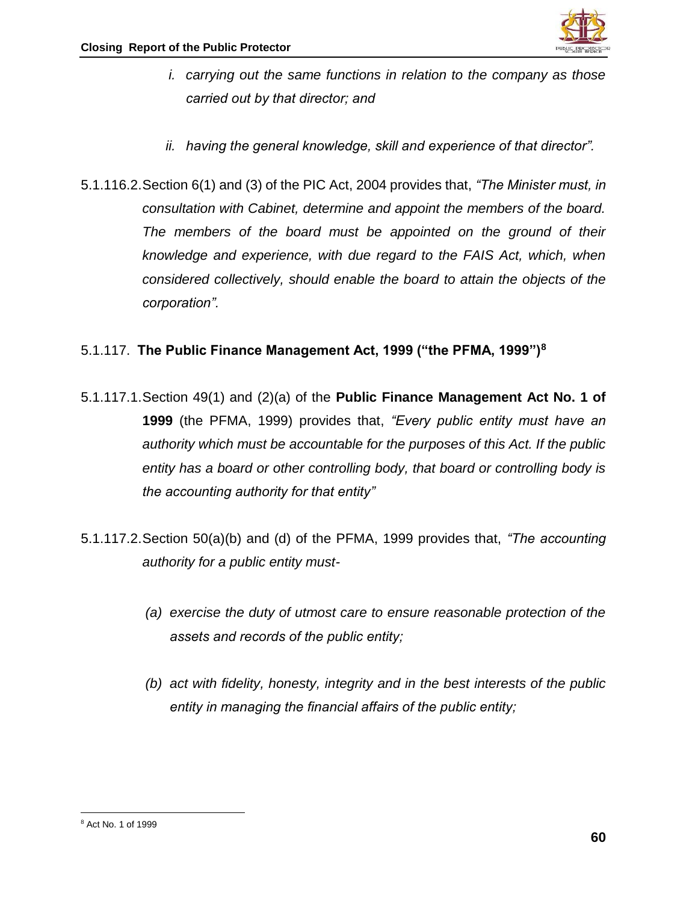

- *i. carrying out the same functions in relation to the company as those carried out by that director; and*
- *ii. having the general knowledge, skill and experience of that director".*
- 5.1.116.2.Section 6(1) and (3) of the PIC Act, 2004 provides that, *"The Minister must, in consultation with Cabinet, determine and appoint the members of the board. The members of the board must be appointed on the ground of their knowledge and experience, with due regard to the FAIS Act, which, when considered collectively, should enable the board to attain the objects of the corporation".*

# 5.1.117. **The Public Finance Management Act, 1999 ("the PFMA, 1999")<sup>8</sup>**

- 5.1.117.1.Section 49(1) and (2)(a) of the **Public Finance Management Act No. 1 of 1999** (the PFMA, 1999) provides that, *"Every public entity must have an authority which must be accountable for the purposes of this Act. If the public entity has a board or other controlling body, that board or controlling body is the accounting authority for that entity"*
- 5.1.117.2.Section 50(a)(b) and (d) of the PFMA, 1999 provides that, *"The accounting authority for a public entity must-*
	- *(a) exercise the duty of utmost care to ensure reasonable protection of the assets and records of the public entity;*
	- *(b) act with fidelity, honesty, integrity and in the best interests of the public entity in managing the financial affairs of the public entity;*

 $\overline{a}$ <sup>8</sup> Act No. 1 of 1999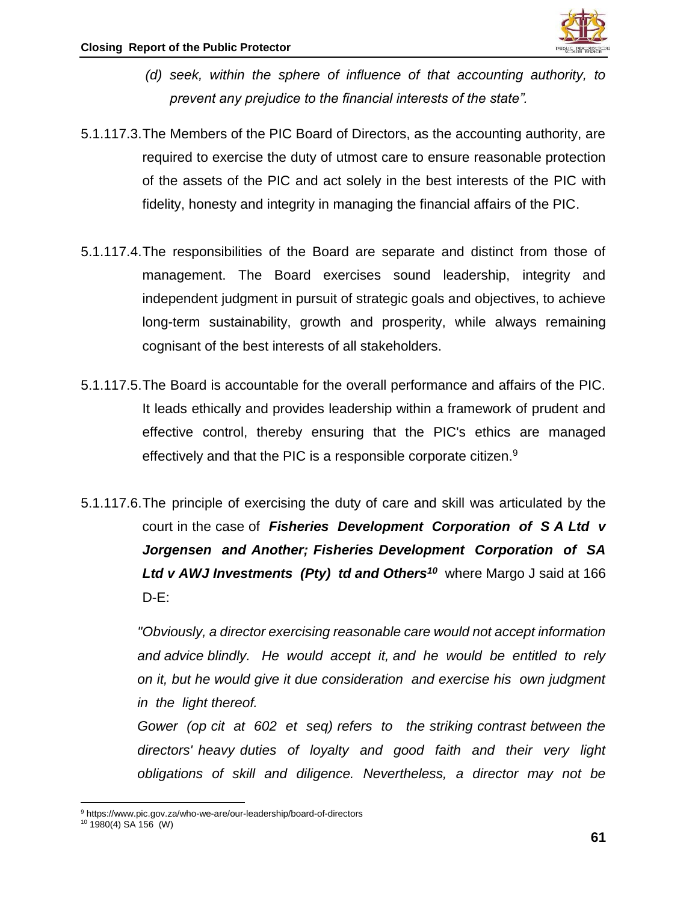

- *(d) seek, within the sphere of influence of that accounting authority, to prevent any prejudice to the financial interests of the state".*
- 5.1.117.3.The Members of the PIC Board of Directors, as the accounting authority, are required to exercise the duty of utmost care to ensure reasonable protection of the assets of the PIC and act solely in the best interests of the PIC with fidelity, honesty and integrity in managing the financial affairs of the PIC.
- 5.1.117.4.The responsibilities of the Board are separate and distinct from those of management. The Board exercises sound leadership, integrity and independent judgment in pursuit of strategic goals and objectives, to achieve long-term sustainability, growth and prosperity, while always remaining cognisant of the best interests of all stakeholders.
- 5.1.117.5.The Board is accountable for the overall performance and affairs of the PIC. It leads ethically and provides leadership within a framework of prudent and effective control, thereby ensuring that the PIC's ethics are managed effectively and that the PIC is a responsible corporate citizen.<sup>9</sup>
- 5.1.117.6.The principle of exercising the duty of care and skill was articulated by the court in the case of *Fisheries Development Corporation of S A Ltd v Jorgensen and Another; Fisheries Development Corporation of SA Ltd v AWJ Investments (Pty) td and Others<sup>10</sup>* where Margo J said at 166 D-E:

*"Obviously, a director exercising reasonable care would not accept information and advice blindly. He would accept it, and he would be entitled to rely on it, but he would give it due consideration and exercise his own judgment in the light thereof.* 

*Gower (op cit at 602 et seq) refers to the striking contrast between the directors' heavy duties of loyalty and good faith and their very light obligations of skill and diligence. Nevertheless, a director may not be* 

 $\overline{\phantom{a}}$ 

<sup>9</sup> https://www.pic.gov.za/who-we-are/our-leadership/board-of-directors

<sup>10</sup> 1980(4) SA 156 (W)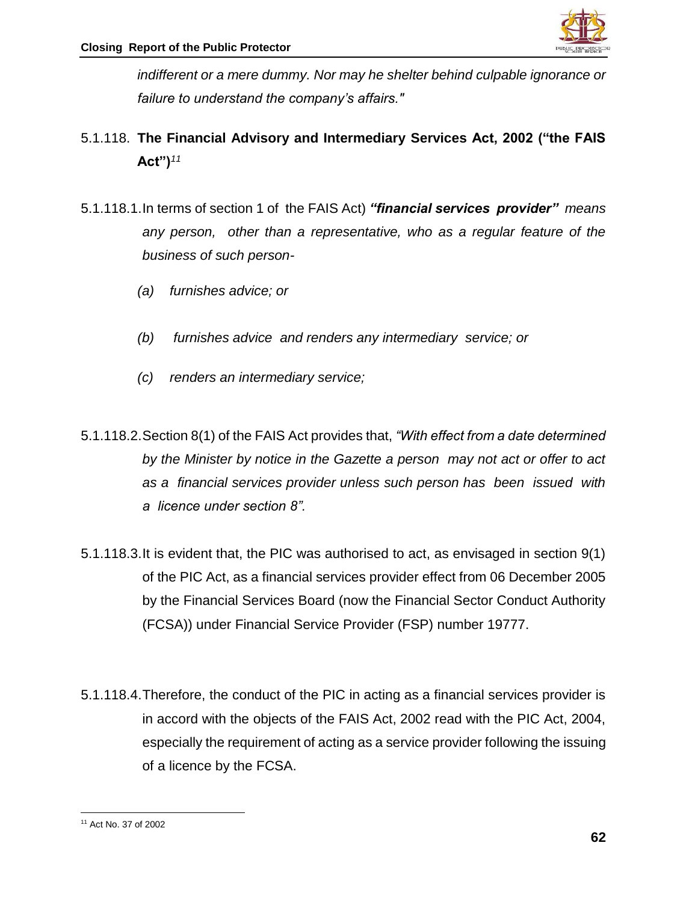

*indifferent or a mere dummy. Nor may he shelter behind culpable ignorance or failure to understand the company's affairs."*

- 5.1.118. **The Financial Advisory and Intermediary Services Act, 2002 ("the FAIS Act")***<sup>11</sup>*
- 5.1.118.1.In terms of section 1 of the FAIS Act) *"financial services provider" means any person, other than a representative, who as a regular feature of the business of such person-*
	- *(a) furnishes advice; or*
	- *(b) furnishes advice and renders any intermediary service; or*
	- *(c) renders an intermediary service;*
- 5.1.118.2.Section 8(1) of the FAIS Act provides that, *"With effect from a date determined by the Minister by notice in the Gazette a person may not act or offer to act as a financial services provider unless such person has been issued with a licence under section 8".*
- 5.1.118.3.It is evident that, the PIC was authorised to act, as envisaged in section 9(1) of the PIC Act, as a financial services provider effect from 06 December 2005 by the Financial Services Board (now the Financial Sector Conduct Authority (FCSA)) under Financial Service Provider (FSP) number 19777.
- 5.1.118.4.Therefore, the conduct of the PIC in acting as a financial services provider is in accord with the objects of the FAIS Act, 2002 read with the PIC Act, 2004, especially the requirement of acting as a service provider following the issuing of a licence by the FCSA.

 $\overline{a}$ <sup>11</sup> Act No. 37 of 2002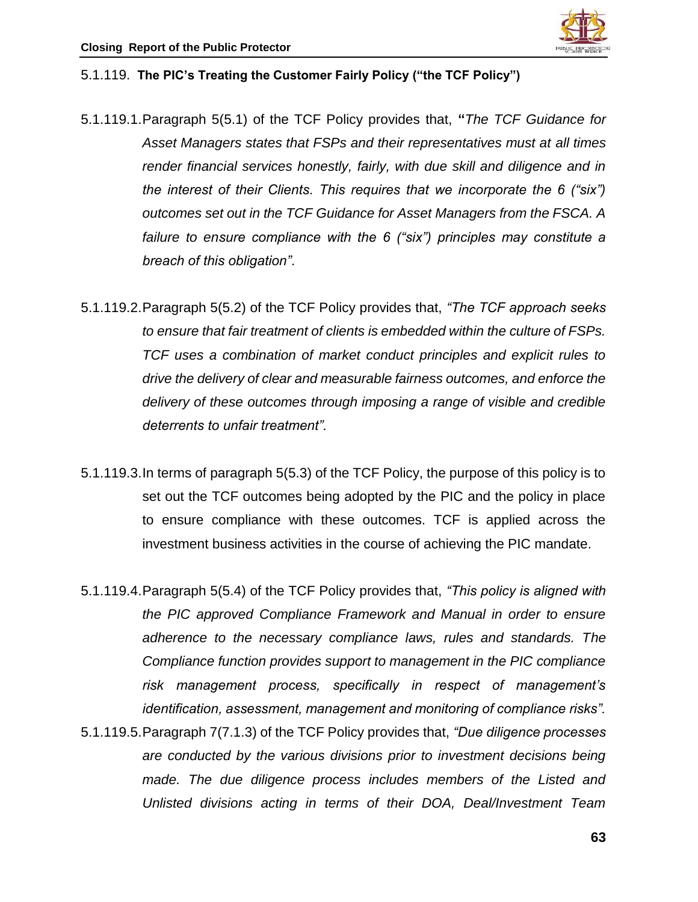

#### 5.1.119. **The PIC's Treating the Customer Fairly Policy ("the TCF Policy")**

- 5.1.119.1.Paragraph 5(5.1) of the TCF Policy provides that, **"***The TCF Guidance for Asset Managers states that FSPs and their representatives must at all times render financial services honestly, fairly, with due skill and diligence and in the interest of their Clients. This requires that we incorporate the 6 ("six") outcomes set out in the TCF Guidance for Asset Managers from the FSCA. A failure to ensure compliance with the 6 ("six") principles may constitute a breach of this obligation"*.
- 5.1.119.2.Paragraph 5(5.2) of the TCF Policy provides that, *"The TCF approach seeks to ensure that fair treatment of clients is embedded within the culture of FSPs. TCF uses a combination of market conduct principles and explicit rules to drive the delivery of clear and measurable fairness outcomes, and enforce the delivery of these outcomes through imposing a range of visible and credible deterrents to unfair treatment".*
- 5.1.119.3.In terms of paragraph 5(5.3) of the TCF Policy, the purpose of this policy is to set out the TCF outcomes being adopted by the PIC and the policy in place to ensure compliance with these outcomes. TCF is applied across the investment business activities in the course of achieving the PIC mandate.
- 5.1.119.4.Paragraph 5(5.4) of the TCF Policy provides that, *"This policy is aligned with the PIC approved Compliance Framework and Manual in order to ensure adherence to the necessary compliance laws, rules and standards. The Compliance function provides support to management in the PIC compliance risk management process, specifically in respect of management's identification, assessment, management and monitoring of compliance risks".*
- 5.1.119.5.Paragraph 7(7.1.3) of the TCF Policy provides that, *"Due diligence processes are conducted by the various divisions prior to investment decisions being made. The due diligence process includes members of the Listed and Unlisted divisions acting in terms of their DOA, Deal/Investment Team*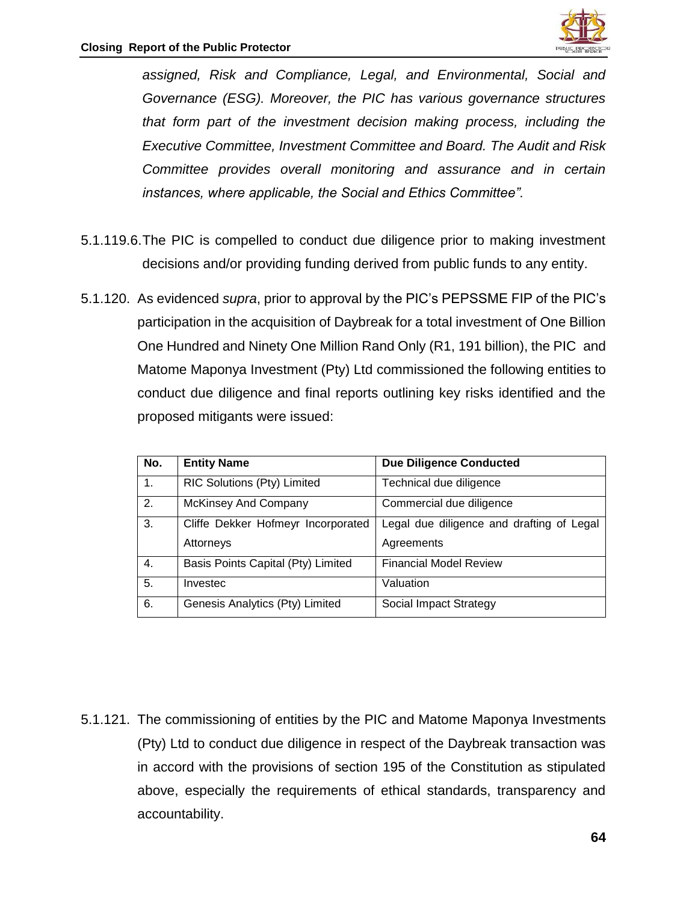

*assigned, Risk and Compliance, Legal, and Environmental, Social and Governance (ESG). Moreover, the PIC has various governance structures that form part of the investment decision making process, including the Executive Committee, Investment Committee and Board. The Audit and Risk Committee provides overall monitoring and assurance and in certain instances, where applicable, the Social and Ethics Committee".*

- 5.1.119.6.The PIC is compelled to conduct due diligence prior to making investment decisions and/or providing funding derived from public funds to any entity.
- 5.1.120. As evidenced *supra*, prior to approval by the PIC's PEPSSME FIP of the PIC's participation in the acquisition of Daybreak for a total investment of One Billion One Hundred and Ninety One Million Rand Only (R1, 191 billion), the PIC and Matome Maponya Investment (Pty) Ltd commissioned the following entities to conduct due diligence and final reports outlining key risks identified and the proposed mitigants were issued:

| No. | <b>Entity Name</b>                 | <b>Due Diligence Conducted</b>            |
|-----|------------------------------------|-------------------------------------------|
| 1.  | RIC Solutions (Pty) Limited        | Technical due diligence                   |
| 2.  | <b>McKinsey And Company</b>        | Commercial due diligence                  |
| 3.  | Cliffe Dekker Hofmeyr Incorporated | Legal due diligence and drafting of Legal |
|     | Attorneys                          | Agreements                                |
| 4.  | Basis Points Capital (Pty) Limited | <b>Financial Model Review</b>             |
| 5.  | Investec                           | Valuation                                 |
| 6.  | Genesis Analytics (Pty) Limited    | Social Impact Strategy                    |

5.1.121. The commissioning of entities by the PIC and Matome Maponya Investments (Pty) Ltd to conduct due diligence in respect of the Daybreak transaction was in accord with the provisions of section 195 of the Constitution as stipulated above, especially the requirements of ethical standards, transparency and accountability.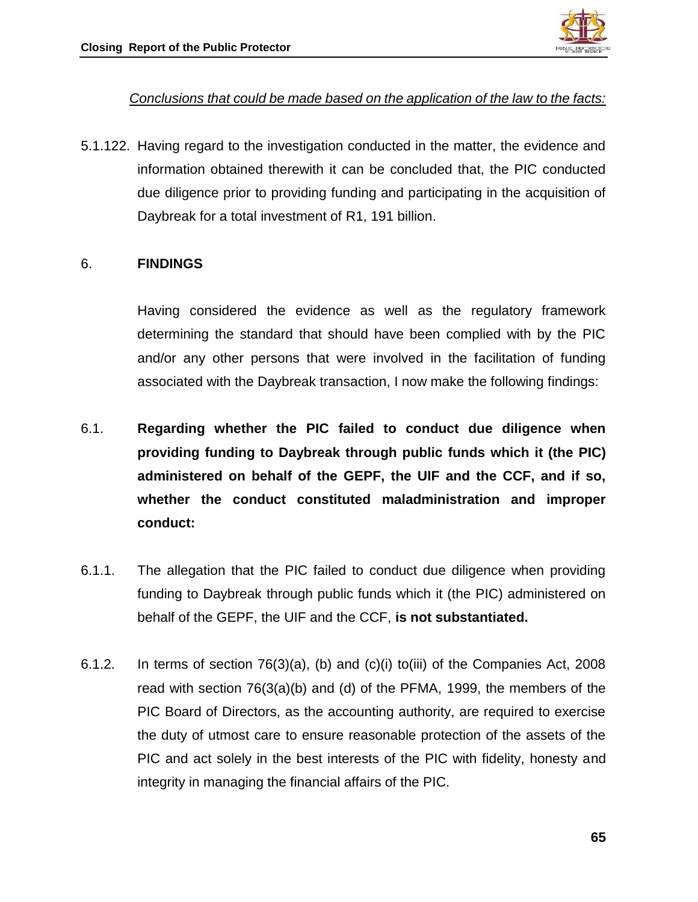

## *Conclusions that could be made based on the application of the law to the facts:*

5.1.122. Having regard to the investigation conducted in the matter, the evidence and information obtained therewith it can be concluded that, the PIC conducted due diligence prior to providing funding and participating in the acquisition of Daybreak for a total investment of R1, 191 billion.

#### 6. **FINDINGS**

Having considered the evidence as well as the regulatory framework determining the standard that should have been complied with by the PIC and/or any other persons that were involved in the facilitation of funding associated with the Daybreak transaction, I now make the following findings:

- 6.1. **Regarding whether the PIC failed to conduct due diligence when providing funding to Daybreak through public funds which it (the PIC) administered on behalf of the GEPF, the UIF and the CCF, and if so, whether the conduct constituted maladministration and improper conduct:**
- 6.1.1. The allegation that the PIC failed to conduct due diligence when providing funding to Daybreak through public funds which it (the PIC) administered on behalf of the GEPF, the UIF and the CCF, **is not substantiated.**
- 6.1.2. In terms of section 76(3)(a), (b) and (c)(i) to(iii) of the Companies Act, 2008 read with section 76(3(a)(b) and (d) of the PFMA, 1999, the members of the PIC Board of Directors, as the accounting authority, are required to exercise the duty of utmost care to ensure reasonable protection of the assets of the PIC and act solely in the best interests of the PIC with fidelity, honesty and integrity in managing the financial affairs of the PIC.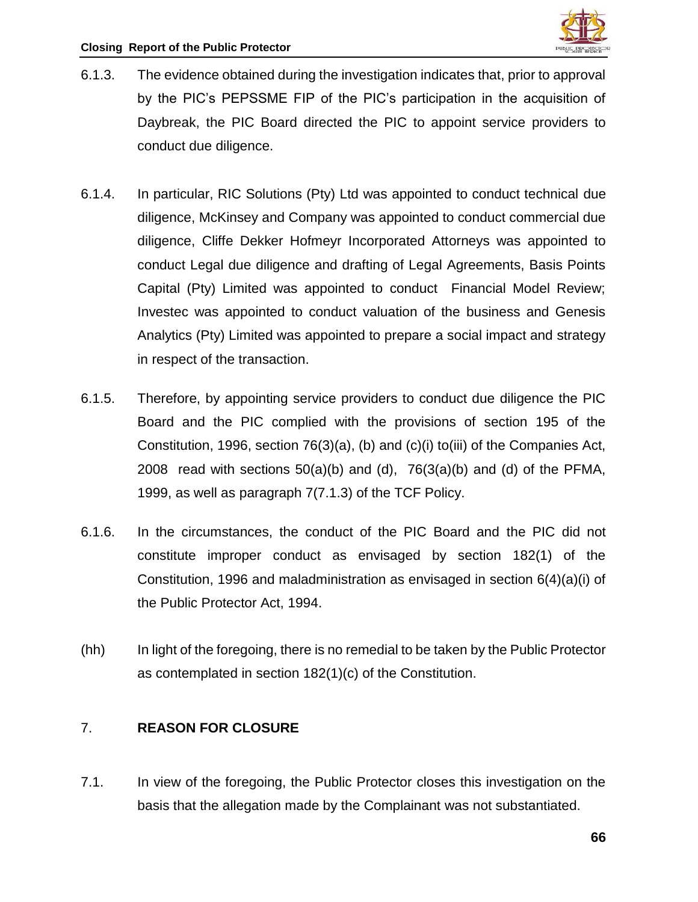- 6.1.3. The evidence obtained during the investigation indicates that, prior to approval by the PIC's PEPSSME FIP of the PIC's participation in the acquisition of Daybreak, the PIC Board directed the PIC to appoint service providers to conduct due diligence.
- 6.1.4. In particular, RIC Solutions (Pty) Ltd was appointed to conduct technical due diligence, McKinsey and Company was appointed to conduct commercial due diligence, Cliffe Dekker Hofmeyr Incorporated Attorneys was appointed to conduct Legal due diligence and drafting of Legal Agreements, Basis Points Capital (Pty) Limited was appointed to conduct Financial Model Review; Investec was appointed to conduct valuation of the business and Genesis Analytics (Pty) Limited was appointed to prepare a social impact and strategy in respect of the transaction.
- 6.1.5. Therefore, by appointing service providers to conduct due diligence the PIC Board and the PIC complied with the provisions of section 195 of the Constitution, 1996, section 76(3)(a), (b) and (c)(i) to(iii) of the Companies Act, 2008 read with sections  $50(a)(b)$  and  $(d)$ ,  $76(3(a)(b)$  and  $(d)$  of the PFMA, 1999, as well as paragraph 7(7.1.3) of the TCF Policy.
- 6.1.6. In the circumstances, the conduct of the PIC Board and the PIC did not constitute improper conduct as envisaged by section 182(1) of the Constitution, 1996 and maladministration as envisaged in section 6(4)(a)(i) of the Public Protector Act, 1994.
- (hh) In light of the foregoing, there is no remedial to be taken by the Public Protector as contemplated in section 182(1)(c) of the Constitution.

## 7. **REASON FOR CLOSURE**

7.1. In view of the foregoing, the Public Protector closes this investigation on the basis that the allegation made by the Complainant was not substantiated.